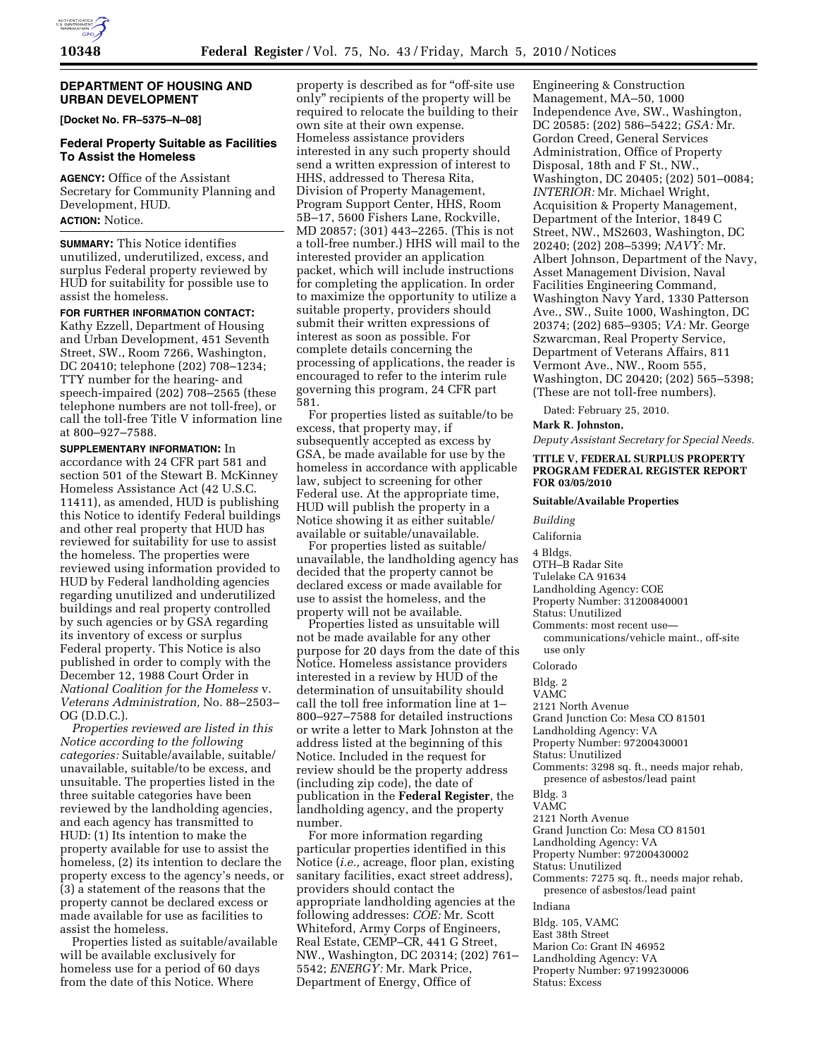# **DEPARTMENT OF HOUSING AND URBAN DEVELOPMENT**

**[Docket No. FR–5375–N–08]** 

## **Federal Property Suitable as Facilities To Assist the Homeless**

**AGENCY:** Office of the Assistant Secretary for Community Planning and Development, HUD.

# **ACTION:** Notice.

**SUMMARY:** This Notice identifies unutilized, underutilized, excess, and surplus Federal property reviewed by HUD for suitability for possible use to assist the homeless.

## **FOR FURTHER INFORMATION CONTACT:**

Kathy Ezzell, Department of Housing and Urban Development, 451 Seventh Street, SW., Room 7266, Washington, DC 20410; telephone (202) 708–1234; TTY number for the hearing- and speech-impaired (202) 708–2565 (these telephone numbers are not toll-free), or call the toll-free Title V information line at 800–927–7588.

**SUPPLEMENTARY INFORMATION:** In accordance with 24 CFR part 581 and section 501 of the Stewart B. McKinney Homeless Assistance Act (42 U.S.C. 11411), as amended, HUD is publishing this Notice to identify Federal buildings and other real property that HUD has reviewed for suitability for use to assist the homeless. The properties were reviewed using information provided to HUD by Federal landholding agencies regarding unutilized and underutilized buildings and real property controlled by such agencies or by GSA regarding its inventory of excess or surplus Federal property. This Notice is also published in order to comply with the December 12, 1988 Court Order in *National Coalition for the Homeless* v. *Veterans Administration,* No. 88–2503– OG (D.D.C.).

*Properties reviewed are listed in this Notice according to the following categories:* Suitable/available, suitable/ unavailable, suitable/to be excess, and unsuitable. The properties listed in the three suitable categories have been reviewed by the landholding agencies, and each agency has transmitted to HUD: (1) Its intention to make the property available for use to assist the homeless, (2) its intention to declare the property excess to the agency's needs, or (3) a statement of the reasons that the property cannot be declared excess or made available for use as facilities to assist the homeless.

Properties listed as suitable/available will be available exclusively for homeless use for a period of 60 days from the date of this Notice. Where

property is described as for ''off-site use only'' recipients of the property will be required to relocate the building to their own site at their own expense. Homeless assistance providers interested in any such property should send a written expression of interest to HHS, addressed to Theresa Rita, Division of Property Management, Program Support Center, HHS, Room 5B–17, 5600 Fishers Lane, Rockville, MD 20857; (301) 443–2265. (This is not a toll-free number.) HHS will mail to the interested provider an application packet, which will include instructions for completing the application. In order to maximize the opportunity to utilize a suitable property, providers should submit their written expressions of interest as soon as possible. For complete details concerning the processing of applications, the reader is encouraged to refer to the interim rule governing this program, 24 CFR part 581.

For properties listed as suitable/to be excess, that property may, if subsequently accepted as excess by GSA, be made available for use by the homeless in accordance with applicable law, subject to screening for other Federal use. At the appropriate time, HUD will publish the property in a Notice showing it as either suitable/ available or suitable/unavailable.

For properties listed as suitable/ unavailable, the landholding agency has decided that the property cannot be declared excess or made available for use to assist the homeless, and the property will not be available.

Properties listed as unsuitable will not be made available for any other purpose for 20 days from the date of this Notice. Homeless assistance providers interested in a review by HUD of the determination of unsuitability should call the toll free information line at 1– 800–927–7588 for detailed instructions or write a letter to Mark Johnston at the address listed at the beginning of this Notice. Included in the request for review should be the property address (including zip code), the date of publication in the **Federal Register**, the landholding agency, and the property number.

For more information regarding particular properties identified in this Notice (*i.e.,* acreage, floor plan, existing sanitary facilities, exact street address), providers should contact the appropriate landholding agencies at the following addresses: *COE:* Mr. Scott Whiteford, Army Corps of Engineers, Real Estate, CEMP–CR, 441 G Street, NW., Washington, DC 20314; (202) 761– 5542; *ENERGY:* Mr. Mark Price, Department of Energy, Office of

Engineering & Construction Management, MA–50, 1000 Independence Ave, SW., Washington, DC 20585: (202) 586–5422; *GSA:* Mr. Gordon Creed, General Services Administration, Office of Property Disposal, 18th and F St., NW., Washington, DC 20405; (202) 501–0084; *INTERIOR:* Mr. Michael Wright, Acquisition & Property Management, Department of the Interior, 1849 C Street, NW., MS2603, Washington, DC 20240; (202) 208–5399; *NAVY:* Mr. Albert Johnson, Department of the Navy, Asset Management Division, Naval Facilities Engineering Command, Washington Navy Yard, 1330 Patterson Ave., SW., Suite 1000, Washington, DC 20374; (202) 685–9305; *VA:* Mr. George Szwarcman, Real Property Service, Department of Veterans Affairs, 811 Vermont Ave., NW., Room 555, Washington, DC 20420; (202) 565–5398; (These are not toll-free numbers).

Dated: February 25, 2010.

#### **Mark R. Johnston,**

*Deputy Assistant Secretary for Special Needs.* 

### **TITLE V, FEDERAL SURPLUS PROPERTY PROGRAM FEDERAL REGISTER REPORT FOR 03/05/2010**

#### **Suitable/Available Properties**

*Building* 

California

4 Bldgs.

- OTH–B Radar Site
- Tulelake CA 91634
- Landholding Agency: COE

Property Number: 31200840001

- Status: Unutilized
- Comments: most recent use communications/vehicle maint., off-site use only

Colorado

- Bldg. 2
- VAMC
- 2121 North Avenue
- Grand Junction Co: Mesa CO 81501
- Landholding Agency: VA
- Property Number: 97200430001
- Status: Unutilized
- Comments: 3298 sq. ft., needs major rehab, presence of asbestos/lead paint

Bldg. 3

VAMC

- 2121 North Avenue
- Grand Junction Co: Mesa CO 81501
- Landholding Agency: VA
- Property Number: 97200430002
- Status: Unutilized
- Comments: 7275 sq. ft., needs major rehab,
- presence of asbestos/lead paint

Indiana

- Bldg. 105, VAMC
- East 38th Street
- Marion Co: Grant IN 46952
- Landholding Agency: VA
- Property Number: 97199230006
- Status: Excess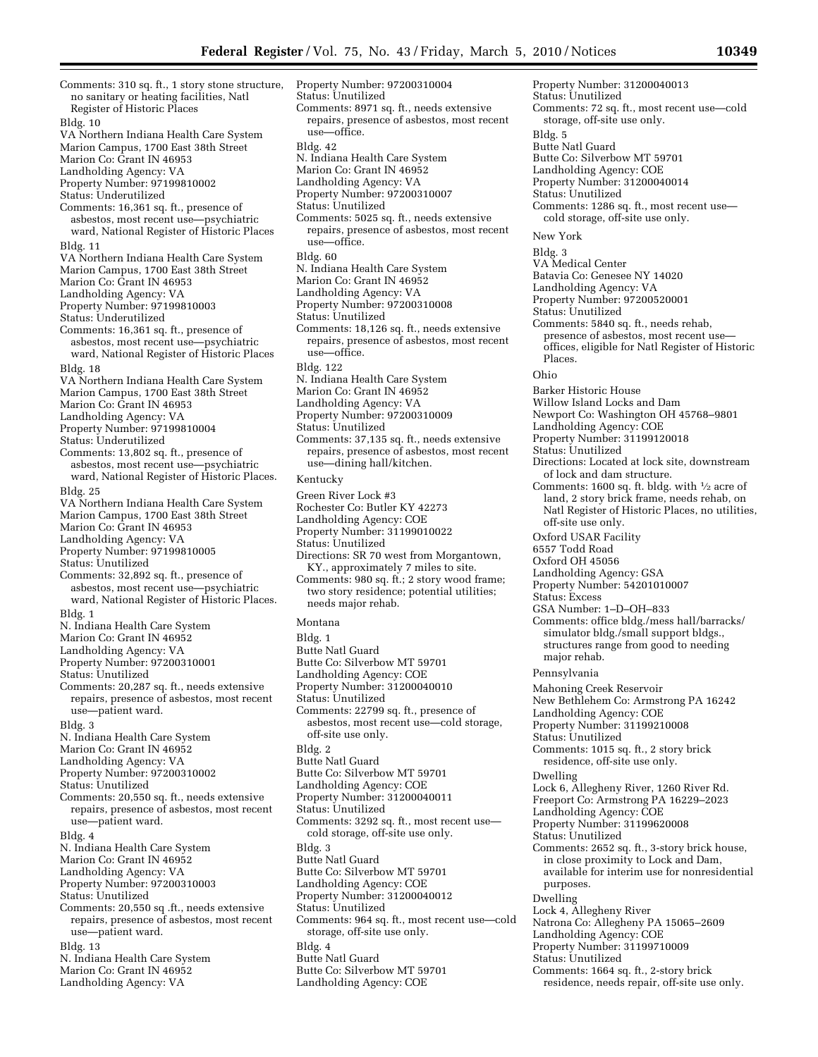Comments: 310 sq. ft., 1 story stone structure, no sanitary or heating facilities, Natl Register of Historic Places Bldg. 10 VA Northern Indiana Health Care System Marion Campus, 1700 East 38th Street Marion Co: Grant IN 46953 Landholding Agency: VA Property Number: 97199810002 Status: Underutilized Comments: 16,361 sq. ft., presence of asbestos, most recent use—psychiatric ward, National Register of Historic Places Bldg. 11 VA Northern Indiana Health Care System Marion Campus, 1700 East 38th Street Marion Co: Grant IN 46953 Landholding Agency: VA Property Number: 97199810003 Status: Underutilized Comments: 16,361 sq. ft., presence of asbestos, most recent use—psychiatric ward, National Register of Historic Places Bldg. 18 VA Northern Indiana Health Care System Marion Campus, 1700 East 38th Street Marion Co: Grant IN 46953 Landholding Agency: VA Property Number: 97199810004 Status: Underutilized Comments: 13,802 sq. ft., presence of asbestos, most recent use—psychiatric ward, National Register of Historic Places. Bldg. 25 VA Northern Indiana Health Care System Marion Campus, 1700 East 38th Street Marion Co: Grant IN 46953 Landholding Agency: VA Property Number: 97199810005 Status: Unutilized Comments: 32,892 sq. ft., presence of asbestos, most recent use—psychiatric ward, National Register of Historic Places. Bldg. 1 N. Indiana Health Care System Marion Co: Grant IN 46952 Landholding Agency: VA Property Number: 97200310001 Status: Unutilized Comments: 20,287 sq. ft., needs extensive repairs, presence of asbestos, most recent use—patient ward. Bldg. 3 N. Indiana Health Care System Marion Co: Grant IN 46952 Landholding Agency: VA Property Number: 97200310002 Status: Unutilized Comments: 20,550 sq. ft., needs extensive repairs, presence of asbestos, most recent use—patient ward. Bldg. 4 N. Indiana Health Care System Marion Co: Grant IN 46952 Landholding Agency: VA Property Number: 97200310003 Status: Unutilized Comments: 20,550 sq .ft., needs extensive repairs, presence of asbestos, most recent use—patient ward. Bldg. 13 N. Indiana Health Care System Marion Co: Grant IN 46952 Landholding Agency: VA

Property Number: 97200310004 Status: Unutilized Comments: 8971 sq. ft., needs extensive repairs, presence of asbestos, most recent use—office. Bldg. 42 N. Indiana Health Care System Marion Co: Grant IN 46952 Landholding Agency: VA Property Number: 97200310007 Status: Unutilized Comments: 5025 sq. ft., needs extensive repairs, presence of asbestos, most recent use—office. Bldg. 60 N. Indiana Health Care System Marion Co: Grant IN 46952 Landholding Agency: VA Property Number: 97200310008 Status: Unutilized Comments: 18,126 sq. ft., needs extensive repairs, presence of asbestos, most recent use—office. Bldg. 122 N. Indiana Health Care System Marion Co: Grant IN 46952 Landholding Agency: VA Property Number: 97200310009 Status: Unutilized Comments: 37,135 sq. ft., needs extensive repairs, presence of asbestos, most recent use—dining hall/kitchen. Kentucky Green River Lock #3 Rochester Co: Butler KY 42273 Landholding Agency: COE Property Number: 31199010022 Status: Unutilized Directions: SR 70 west from Morgantown, KY., approximately 7 miles to site. Comments: 980 sq. ft.; 2 story wood frame; two story residence; potential utilities; needs major rehab. Montana Bldg. 1 Butte Natl Guard Butte Co: Silverbow MT 59701 Landholding Agency: COE Property Number: 31200040010 Status: Unutilized Comments: 22799 sq. ft., presence of asbestos, most recent use—cold storage, off-site use only. Bldg. 2 Butte Natl Guard Butte Co: Silverbow MT 59701 Landholding Agency: COE Property Number: 31200040011 Status: Unutilized Comments: 3292 sq. ft., most recent use cold storage, off-site use only. Bldg. 3 Butte Natl Guard Butte Co: Silverbow MT 59701 Landholding Agency: COE Property Number: 31200040012 Status: Unutilized Comments: 964 sq. ft., most recent use—cold storage, off-site use only. Bldg. 4 Butte Natl Guard Butte Co: Silverbow MT 59701 Landholding Agency: COE

Property Number: 31200040013 Status: Unutilized Comments: 72 sq. ft., most recent use—cold storage, off-site use only. Bldg. 5 Butte Natl Guard Butte Co: Silverbow MT 59701 Landholding Agency: COE Property Number: 31200040014 Status: Unutilized Comments: 1286 sq. ft., most recent use cold storage, off-site use only. New York Bldg. 3 VA Medical Center Batavia Co: Genesee NY 14020 Landholding Agency: VA Property Number: 97200520001 Status: Unutilized Comments: 5840 sq. ft., needs rehab, presence of asbestos, most recent use offices, eligible for Natl Register of Historic Places. Ohio Barker Historic House Willow Island Locks and Dam Newport Co: Washington OH 45768–9801 Landholding Agency: COE Property Number: 31199120018 Status: Unutilized Directions: Located at lock site, downstream of lock and dam structure. Comments: 1600 sq. ft. bldg. with 1⁄2 acre of land, 2 story brick frame, needs rehab, on Natl Register of Historic Places, no utilities, off-site use only. Oxford USAR Facility 6557 Todd Road Oxford OH 45056 Landholding Agency: GSA Property Number: 54201010007 Status: Excess GSA Number: 1–D–OH–833 Comments: office bldg./mess hall/barracks/ simulator bldg./small support bldgs., structures range from good to needing major rehab. Pennsylvania Mahoning Creek Reservoir New Bethlehem Co: Armstrong PA 16242 Landholding Agency: COE Property Number: 31199210008 Status: Unutilized Comments: 1015 sq. ft., 2 story brick residence, off-site use only. Dwelling Lock 6, Allegheny River, 1260 River Rd. Freeport Co: Armstrong PA 16229–2023 Landholding Agency: COE Property Number: 31199620008 Status: Unutilized Comments: 2652 sq. ft., 3-story brick house, in close proximity to Lock and Dam, available for interim use for nonresidential purposes. Dwelling Lock 4, Allegheny River Natrona Co: Allegheny PA 15065–2609 Landholding Agency: COE Property Number: 31199710009 Status: Unutilized Comments: 1664 sq. ft., 2-story brick residence, needs repair, off-site use only.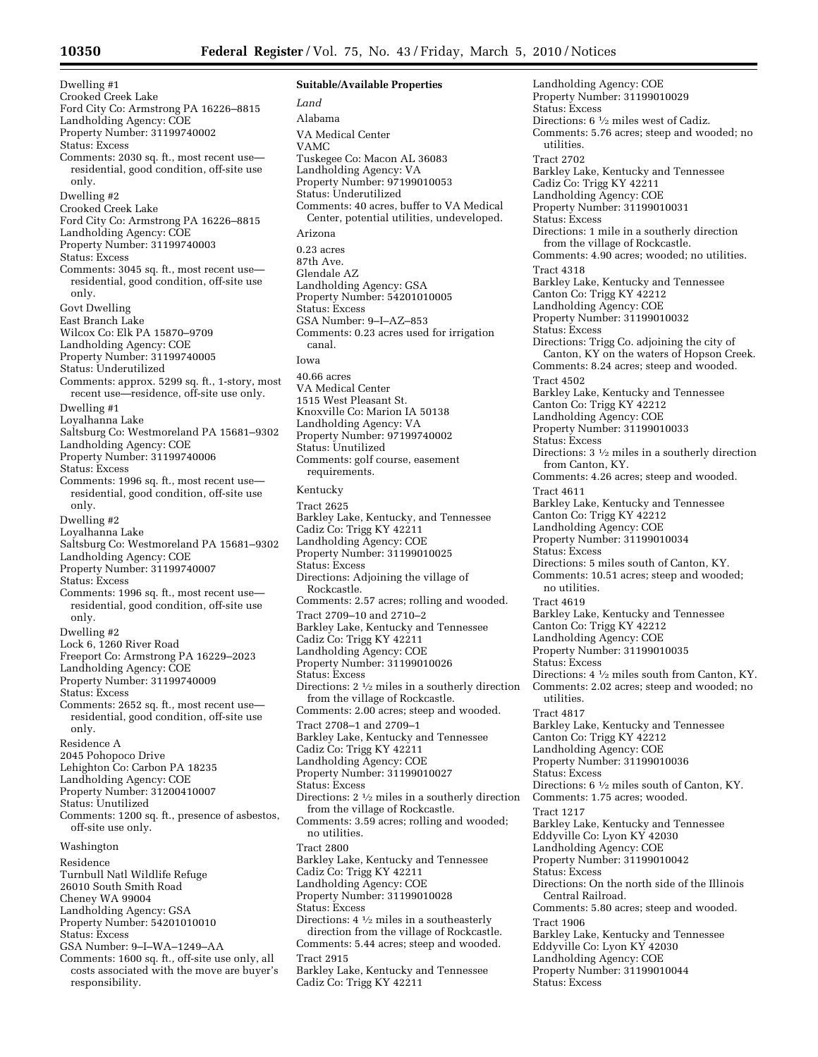Dwelling #1 Crooked Creek Lake Ford City Co: Armstrong PA 16226–8815 Landholding Agency: COE Property Number: 31199740002 Status: Excess Comments: 2030 sq. ft., most recent use residential, good condition, off-site use only. Dwelling #2 Crooked Creek Lake Ford City Co: Armstrong PA 16226–8815 Landholding Agency: COE Property Number: 31199740003 Status: Excess Comments: 3045 sq. ft., most recent use residential, good condition, off-site use only. Govt Dwelling East Branch Lake Wilcox Co: Elk PA 15870–9709 Landholding Agency: COE Property Number: 31199740005 Status: Underutilized Comments: approx. 5299 sq. ft., 1-story, most recent use—residence, off-site use only. Dwelling #1 Loyalhanna Lake Saltsburg Co: Westmoreland PA 15681–9302 Landholding Agency: COE Property Number: 31199740006 Status: Excess Comments: 1996 sq. ft., most recent use residential, good condition, off-site use only. Dwelling #2 Loyalhanna Lake Saltsburg Co: Westmoreland PA 15681–9302 Landholding Agency: COE Property Number: 31199740007 Status: Excess Comments: 1996 sq. ft., most recent use residential, good condition, off-site use only. Dwelling #2 Lock 6, 1260 River Road Freeport Co: Armstrong PA 16229–2023 Landholding Agency: COE Property Number: 31199740009 Status: Excess Comments: 2652 sq. ft., most recent use residential, good condition, off-site use only. Residence A 2045 Pohopoco Drive Lehighton Co: Carbon PA 18235 Landholding Agency: COE Property Number: 31200410007 Status: Unutilized Comments: 1200 sq. ft., presence of asbestos, off-site use only. Washington Residence Turnbull Natl Wildlife Refuge 26010 South Smith Road Cheney WA 99004 Landholding Agency: GSA Property Number: 54201010010 Status: Excess GSA Number: 9–I–WA–1249–AA Comments: 1600 sq. ft., off-site use only, all costs associated with the move are buyer's responsibility.

**Suitable/Available Properties**  *Land*  Alabama VA Medical Center VAMC Tuskegee Co: Macon AL 36083 Landholding Agency: VA Property Number: 97199010053 Status: Underutilized Comments: 40 acres, buffer to VA Medical Center, potential utilities, undeveloped. Arizona 0.23 acres 87th Ave. Glendale AZ Landholding Agency: GSA Property Number: 54201010005 Status: Excess GSA Number: 9–I–AZ–853 Comments: 0.23 acres used for irrigation canal. Iowa 40.66 acres VA Medical Center 1515 West Pleasant St. Knoxville Co: Marion IA 50138 Landholding Agency: VA Property Number: 97199740002 Status: Unutilized Comments: golf course, easement requirements. Kentucky Tract 2625 Barkley Lake, Kentucky, and Tennessee Cadiz Co: Trigg KY 42211 Landholding Agency: COE Property Number: 31199010025 Status: Excess Directions: Adjoining the village of Rockcastle. Comments: 2.57 acres; rolling and wooded. Tract 2709–10 and 2710–2 Barkley Lake, Kentucky and Tennessee Cadiz Co: Trigg KY 42211 Landholding Agency: COE Property Number: 31199010026 Status: Excess Directions: 2 1⁄2 miles in a southerly direction from the village of Rockcastle. Comments: 2.00 acres; steep and wooded. Tract 2708–1 and 2709–1 Barkley Lake, Kentucky and Tennessee Cadiz Co: Trigg KY 42211 Landholding Agency: COE Property Number: 31199010027 Status: Excess Directions: 2 1⁄2 miles in a southerly direction from the village of Rockcastle. Comments: 3.59 acres; rolling and wooded; no utilities. Tract 2800 Barkley Lake, Kentucky and Tennessee Cadiz Co: Trigg KY 42211 Landholding Agency: COE Property Number: 31199010028 Status: Excess Directions:  $4\frac{1}{2}$  miles in a southeasterly direction from the village of Rockcastle. Comments: 5.44 acres; steep and wooded. Tract 2915 Barkley Lake, Kentucky and Tennessee Cadiz Co: Trigg KY 42211

Landholding Agency: COE Property Number: 31199010029 Status: Excess Directions: 6 1⁄2 miles west of Cadiz. Comments: 5.76 acres; steep and wooded; no utilities. Tract 2702 Barkley Lake, Kentucky and Tennessee Cadiz Co: Trigg KY 42211 Landholding Agency: COE Property Number: 31199010031 Status: Excess Directions: 1 mile in a southerly direction from the village of Rockcastle. Comments: 4.90 acres; wooded; no utilities. Tract 4318 Barkley Lake, Kentucky and Tennessee Canton Co: Trigg KY 42212 Landholding Agency: COE Property Number: 31199010032 Status: Excess Directions: Trigg Co. adjoining the city of Canton, KY on the waters of Hopson Creek. Comments: 8.24 acres; steep and wooded. Tract 4502 Barkley Lake, Kentucky and Tennessee Canton Co: Trigg KY 42212 Landholding Agency: COE Property Number: 31199010033 Status: Excess Directions: 3 1⁄2 miles in a southerly direction from Canton, KY. Comments: 4.26 acres; steep and wooded. Tract 4611 Barkley Lake, Kentucky and Tennessee Canton Co: Trigg KY 42212 Landholding Agency: COE Property Number: 31199010034 Status: Excess Directions: 5 miles south of Canton, KY. Comments: 10.51 acres; steep and wooded; no utilities. Tract 4619 Barkley Lake, Kentucky and Tennessee Canton Co: Trigg KY 42212 Landholding Agency: COE Property Number: 31199010035 Status: Excess Directions: 4 1⁄2 miles south from Canton, KY. Comments: 2.02 acres; steep and wooded; no utilities. Tract 4817 Barkley Lake, Kentucky and Tennessee Canton Co: Trigg KY 42212 Landholding Agency: COE Property Number: 31199010036 Status: Excess Directions: 6 1⁄2 miles south of Canton, KY. Comments: 1.75 acres; wooded. Tract 1217 Barkley Lake, Kentucky and Tennessee Eddyville Co: Lyon KY 42030 Landholding Agency: COE Property Number: 31199010042 Status: Excess Directions: On the north side of the Illinois Central Railroad. Comments: 5.80 acres; steep and wooded. Tract 1906 Barkley Lake, Kentucky and Tennessee Eddyville Co: Lyon KY 42030 Landholding Agency: COE Property Number: 31199010044 Status: Excess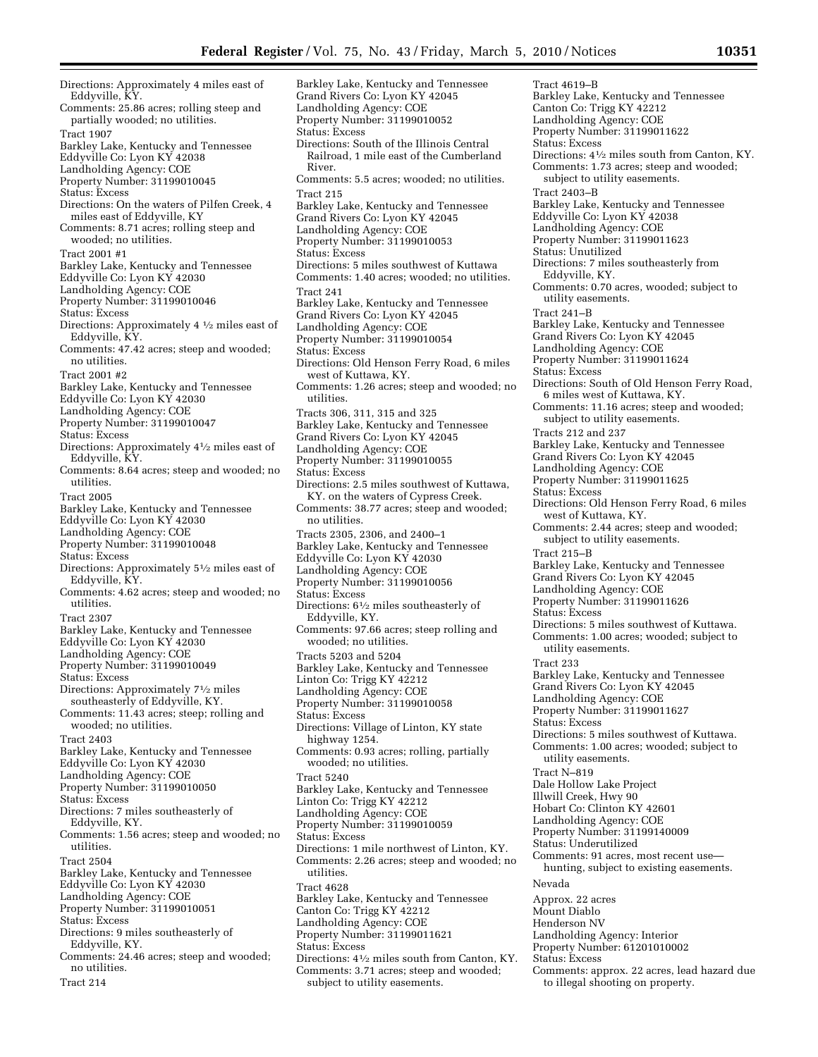Directions: Approximately 4 miles east of Eddyville, KY. Comments: 25.86 acres; rolling steep and partially wooded; no utilities. Tract 1907 Barkley Lake, Kentucky and Tennessee Eddyville Co: Lyon KY 42038 Landholding Agency: COE Property Number: 31199010045 Status: Excess Directions: On the waters of Pilfen Creek, 4 miles east of Eddyville, KY Comments: 8.71 acres; rolling steep and wooded; no utilities. Tract 2001 #1 Barkley Lake, Kentucky and Tennessee Eddyville Co: Lyon KY 42030 Landholding Agency: COE Property Number: 31199010046 Status: Excess Directions: Approximately 4 1⁄2 miles east of Eddyville, KY. Comments: 47.42 acres; steep and wooded; no utilities. Tract 2001 #2 Barkley Lake, Kentucky and Tennessee Eddyville Co: Lyon KY 42030 Landholding Agency: COE Property Number: 31199010047 Status: Excess Directions: Approximately 41⁄2 miles east of Eddyville, KY. Comments: 8.64 acres; steep and wooded; no utilities. Tract 2005 Barkley Lake, Kentucky and Tennessee Eddyville Co: Lyon KY 42030 Landholding Agency: COE Property Number: 31199010048 Status: Excess Directions: Approximately 51⁄2 miles east of Eddyville, KY. Comments: 4.62 acres; steep and wooded; no utilities. Tract 2307 Barkley Lake, Kentucky and Tennessee Eddyville Co: Lyon KY 42030 Landholding Agency: COE Property Number: 31199010049 Status: Excess Directions: Approximately 71⁄2 miles southeasterly of Eddyville, KY. Comments: 11.43 acres; steep; rolling and wooded; no utilities. Tract 2403 Barkley Lake, Kentucky and Tennessee Eddyville Co: Lyon KY 42030 Landholding Agency: COE Property Number: 31199010050 Status: Excess Directions: 7 miles southeasterly of Eddyville, KY. Comments: 1.56 acres; steep and wooded; no utilities. Tract 2504 Barkley Lake, Kentucky and Tennessee Eddyville Co: Lyon KY 42030 Landholding Agency: COE Property Number: 31199010051 Status: Excess Directions: 9 miles southeasterly of Eddyville, KY. Comments: 24.46 acres; steep and wooded; no utilities. Tract 214

Barkley Lake, Kentucky and Tennessee Grand Rivers Co: Lyon KY 42045 Landholding Agency: COE Property Number: 31199010052 Status: Excess Directions: South of the Illinois Central Railroad, 1 mile east of the Cumberland River. Comments: 5.5 acres; wooded; no utilities. Tract 215 Barkley Lake, Kentucky and Tennessee Grand Rivers Co: Lyon KY 42045 Landholding Agency: COE Property Number: 31199010053 Status: Excess Directions: 5 miles southwest of Kuttawa Comments: 1.40 acres; wooded; no utilities. Tract 241 Barkley Lake, Kentucky and Tennessee Grand Rivers Co: Lyon KY 42045 Landholding Agency: COE Property Number: 31199010054 Status: Excess Directions: Old Henson Ferry Road, 6 miles west of Kuttawa, KY. Comments: 1.26 acres; steep and wooded; no utilities. Tracts 306, 311, 315 and 325 Barkley Lake, Kentucky and Tennessee Grand Rivers Co: Lyon KY 42045 Landholding Agency: COE Property Number: 31199010055 Status: Excess Directions: 2.5 miles southwest of Kuttawa, KY. on the waters of Cypress Creek. Comments: 38.77 acres; steep and wooded; no utilities. Tracts 2305, 2306, and 2400–1 Barkley Lake, Kentucky and Tennessee Eddyville Co: Lyon KY 42030 Landholding Agency: COE Property Number: 31199010056 Status: Excess Directions: 61⁄2 miles southeasterly of Eddyville, KY. Comments: 97.66 acres; steep rolling and wooded; no utilities. Tracts 5203 and 5204 Barkley Lake, Kentucky and Tennessee Linton Co: Trigg KY 42212 Landholding Agency: COE Property Number: 31199010058 Status: Excess Directions: Village of Linton, KY state highway 1254. Comments: 0.93 acres; rolling, partially wooded; no utilities. Tract 5240 Barkley Lake, Kentucky and Tennessee Linton Co: Trigg KY 42212 Landholding Agency: COE Property Number: 31199010059 Status: Excess Directions: 1 mile northwest of Linton, KY. Comments: 2.26 acres; steep and wooded; no utilities. Tract 4628 Barkley Lake, Kentucky and Tennessee Canton Co: Trigg KY 42212 Landholding Agency: COE Property Number: 31199011621 Status: Excess Directions: 41⁄2 miles south from Canton, KY. Comments: 3.71 acres; steep and wooded; subject to utility easements.

Tract 4619–B Barkley Lake, Kentucky and Tennessee Canton Co: Trigg KY 42212 Landholding Agency: COE Property Number: 31199011622 Status: Excess Directions: 41⁄2 miles south from Canton, KY. Comments: 1.73 acres; steep and wooded; subject to utility easements. Tract 2403–B Barkley Lake, Kentucky and Tennessee Eddyville Co: Lyon KY 42038 Landholding Agency: COE Property Number: 31199011623 Status: Unutilized Directions: 7 miles southeasterly from Eddyville, KY. Comments: 0.70 acres, wooded; subject to utility easements. Tract 241–B Barkley Lake, Kentucky and Tennessee Grand Rivers Co: Lyon KY 42045 Landholding Agency: COE Property Number: 31199011624 Status: Excess Directions: South of Old Henson Ferry Road, 6 miles west of Kuttawa, KY. Comments: 11.16 acres; steep and wooded; subject to utility easements. Tracts 212 and 237 Barkley Lake, Kentucky and Tennessee Grand Rivers Co: Lyon KY 42045 Landholding Agency: COE Property Number: 31199011625 Status: Excess Directions: Old Henson Ferry Road, 6 miles west of Kuttawa, KY. Comments: 2.44 acres; steep and wooded; subject to utility easements. Tract 215–B Barkley Lake, Kentucky and Tennessee Grand Rivers Co: Lyon KY 42045 Landholding Agency: COE Property Number: 31199011626 Status: Excess Directions: 5 miles southwest of Kuttawa. Comments: 1.00 acres; wooded; subject to utility easements. Tract 233 Barkley Lake, Kentucky and Tennessee Grand Rivers Co: Lyon KY 42045 Landholding Agency: COE Property Number: 31199011627 Status: Excess Directions: 5 miles southwest of Kuttawa. Comments: 1.00 acres; wooded; subject to utility easements. Tract N–819 Dale Hollow Lake Project Illwill Creek, Hwy 90 Hobart Co: Clinton KY 42601 Landholding Agency: COE Property Number: 31199140009 Status: Underutilized Comments: 91 acres, most recent use hunting, subject to existing easements. Nevada Approx. 22 acres Mount Diablo Henderson NV Landholding Agency: Interior Property Number: 61201010002 Status: Excess Comments: approx. 22 acres, lead hazard due

to illegal shooting on property.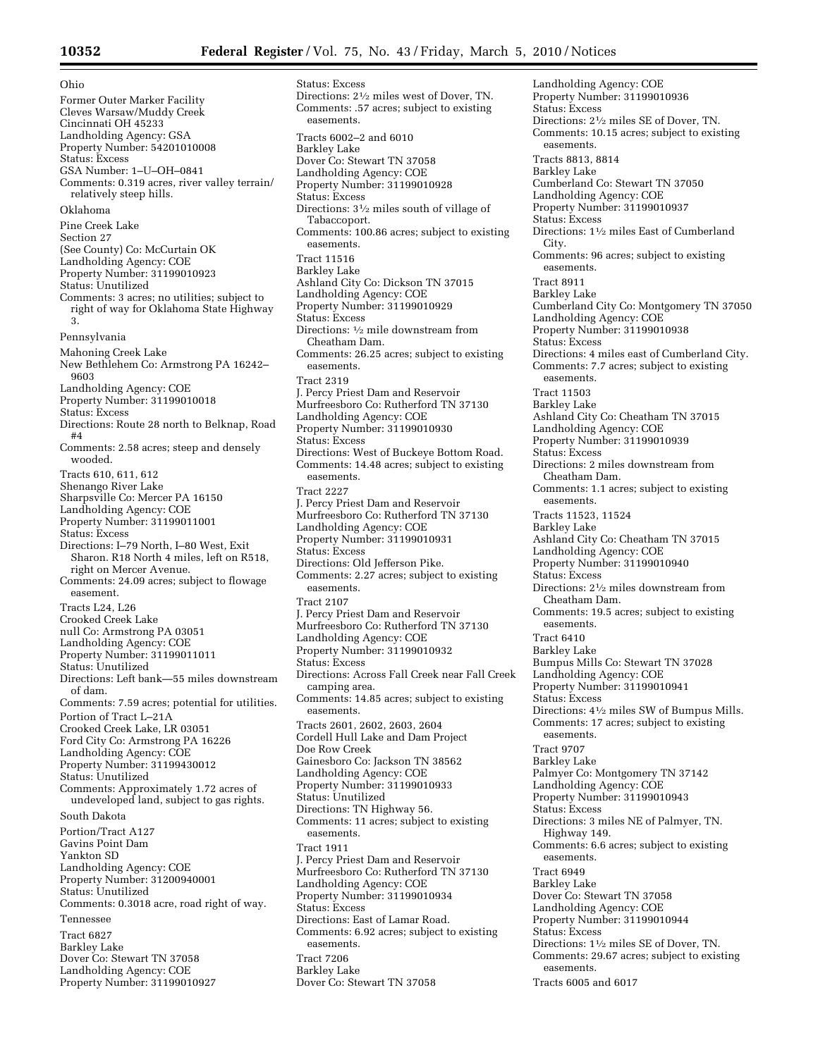Ohio Former Outer Marker Facility Cleves Warsaw/Muddy Creek Cincinnati OH 45233 Landholding Agency: GSA Property Number: 54201010008 Status: Excess GSA Number: 1–U–OH–0841 Comments: 0.319 acres, river valley terrain/ relatively steep hills. Oklahoma Pine Creek Lake Section 27 (See County) Co: McCurtain OK Landholding Agency: COE Property Number: 31199010923 Status: Unutilized Comments: 3 acres; no utilities; subject to right of way for Oklahoma State Highway 3. Pennsylvania Mahoning Creek Lake New Bethlehem Co: Armstrong PA 16242– 9603 Landholding Agency: COE Property Number: 31199010018 Status: Excess Directions: Route 28 north to Belknap, Road #4 Comments: 2.58 acres; steep and densely wooded. Tracts 610, 611, 612 Shenango River Lake Sharpsville Co: Mercer PA 16150 Landholding Agency: COE Property Number: 31199011001 Status: Excess Directions: I–79 North, I–80 West, Exit Sharon. R18 North 4 miles, left on R518, right on Mercer Avenue. Comments: 24.09 acres; subject to flowage easement. Tracts L24, L26 Crooked Creek Lake null Co: Armstrong PA 03051 Landholding Agency: COE Property Number: 31199011011 Status: Unutilized Directions: Left bank—55 miles downstream of dam. Comments: 7.59 acres; potential for utilities. Portion of Tract L–21A Crooked Creek Lake, LR 03051 Ford City Co: Armstrong PA 16226 Landholding Agency: COE Property Number: 31199430012 Status: Unutilized Comments: Approximately 1.72 acres of undeveloped land, subject to gas rights. South Dakota Portion/Tract A127 Gavins Point Dam Yankton SD Landholding Agency: COE Property Number: 31200940001 Status: Unutilized Comments: 0.3018 acre, road right of way. Tennessee Tract 6827 Barkley Lake Dover Co: Stewart TN 37058 Landholding Agency: COE Property Number: 31199010927

Status: Excess Directions: 21⁄2 miles west of Dover, TN. Comments: .57 acres; subject to existing easements. Tracts 6002–2 and 6010 Barkley Lake Dover Co: Stewart TN 37058 Landholding Agency: COE Property Number: 31199010928 Status: Excess Directions: 31⁄2 miles south of village of Tabaccoport. Comments: 100.86 acres; subject to existing easements. Tract 11516 Barkley Lake Ashland City Co: Dickson TN 37015 Landholding Agency: COE Property Number: 31199010929 Status: Excess Directions: 1⁄2 mile downstream from Cheatham Dam. Comments: 26.25 acres; subject to existing easements. Tract 2319 J. Percy Priest Dam and Reservoir Murfreesboro Co: Rutherford TN 37130 Landholding Agency: COE Property Number: 31199010930 Status: Excess Directions: West of Buckeye Bottom Road. Comments: 14.48 acres; subject to existing easements. Tract 2227 J. Percy Priest Dam and Reservoir Murfreesboro Co: Rutherford TN 37130 Landholding Agency: COE Property Number: 31199010931 Status: Excess Directions: Old Jefferson Pike. Comments: 2.27 acres; subject to existing easements. Tract 2107 J. Percy Priest Dam and Reservoir Murfreesboro Co: Rutherford TN 37130 Landholding Agency: COE Property Number: 31199010932 Status: Excess Directions: Across Fall Creek near Fall Creek camping area. Comments: 14.85 acres; subject to existing easements. Tracts 2601, 2602, 2603, 2604 Cordell Hull Lake and Dam Project Doe Row Creek Gainesboro Co: Jackson TN 38562 Landholding Agency: COE Property Number: 31199010933 Status: Unutilized Directions: TN Highway 56. Comments: 11 acres; subject to existing easements. Tract 1911 J. Percy Priest Dam and Reservoir Murfreesboro Co: Rutherford TN 37130 Landholding Agency: COE Property Number: 31199010934 Status: Excess Directions: East of Lamar Road. Comments: 6.92 acres; subject to existing easements. Tract 7206 Barkley Lake Dover Co: Stewart TN 37058

Landholding Agency: COE Property Number: 31199010936 Status: Excess Directions: 21⁄2 miles SE of Dover, TN. Comments: 10.15 acres; subject to existing easements. Tracts 8813, 8814 Barkley Lake Cumberland Co: Stewart TN 37050 Landholding Agency: COE Property Number: 31199010937 Status: Excess Directions: 11⁄2 miles East of Cumberland City. Comments: 96 acres; subject to existing easements. Tract 8911 Barkley Lake Cumberland City Co: Montgomery TN 37050 Landholding Agency: COE Property Number: 31199010938 Status: Excess Directions: 4 miles east of Cumberland City. Comments: 7.7 acres; subject to existing easements. Tract 11503 Barkley Lake Ashland City Co: Cheatham TN 37015 Landholding Agency: COE Property Number: 31199010939 Status: Excess Directions: 2 miles downstream from Cheatham Dam. Comments: 1.1 acres; subject to existing easements. Tracts 11523, 11524 Barkley Lake Ashland City Co: Cheatham TN 37015 Landholding Agency: COE Property Number: 31199010940 Status: Excess Directions: 21⁄2 miles downstream from Cheatham Dam. Comments: 19.5 acres; subject to existing easements. Tract 6410 Barkley Lake Bumpus Mills Co: Stewart TN 37028 Landholding Agency: COE Property Number: 31199010941 Status: Excess Directions: 41⁄2 miles SW of Bumpus Mills. Comments: 17 acres; subject to existing easements. Tract 9707 Barkley Lake Palmyer Co: Montgomery TN 37142 Landholding Agency: COE Property Number: 31199010943 Status: Excess Directions: 3 miles NE of Palmyer, TN. Highway 149. Comments: 6.6 acres; subject to existing easements. Tract 6949 Barkley Lake Dover Co: Stewart TN 37058 Landholding Agency: COE Property Number: 31199010944 Status: Excess Directions: 11⁄2 miles SE of Dover, TN. Comments: 29.67 acres; subject to existing easements. Tracts 6005 and 6017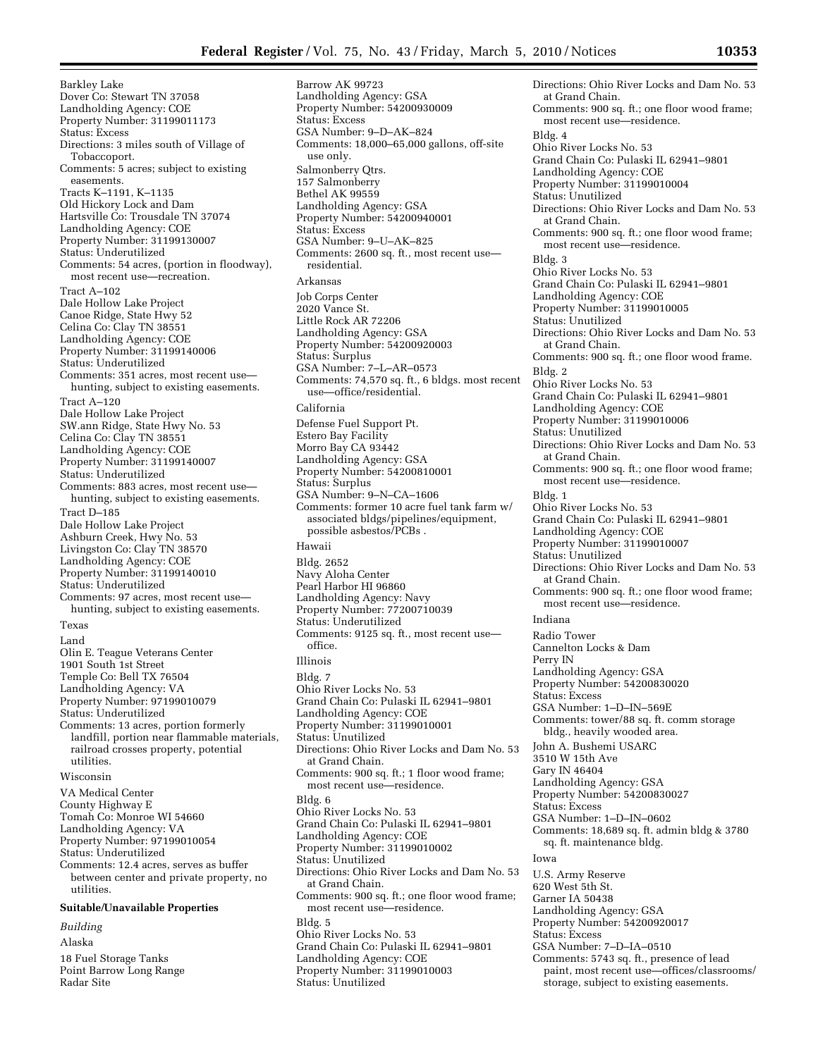Comments: 18,000–65,000 gallons, off-site

Barrow AK 99723 Landholding Agency: GSA Property Number: 54200930009

GSA Number: 9–D–AK–824

Status: Excess

Barkley Lake Dover Co: Stewart TN 37058 Landholding Agency: COE Property Number: 31199011173 Status: Excess Directions: 3 miles south of Village of Tobaccoport. Comments: 5 acres; subject to existing easements. Tracts K–1191, K–1135 Old Hickory Lock and Dam Hartsville Co: Trousdale TN 37074 Landholding Agency: COE Property Number: 31199130007 Status: Underutilized Comments: 54 acres, (portion in floodway), most recent use—recreation. Tract A–102 Dale Hollow Lake Project Canoe Ridge, State Hwy 52 Celina Co: Clay TN 38551 Landholding Agency: COE Property Number: 31199140006 Status: Underutilized Comments: 351 acres, most recent use hunting, subject to existing easements. Tract A–120 Dale Hollow Lake Project SW.ann Ridge, State Hwy No. 53 Celina Co: Clay TN 38551 Landholding Agency: COE Property Number: 31199140007 Status: Underutilized Comments: 883 acres, most recent use hunting, subject to existing easements. Tract D–185 Dale Hollow Lake Project Ashburn Creek, Hwy No. 53 Livingston Co: Clay TN 38570 Landholding Agency: COE Property Number: 31199140010 Status: Underutilized Comments: 97 acres, most recent use hunting, subject to existing easements. Texas Land Olin E. Teague Veterans Center 1901 South 1st Street Temple Co: Bell TX 76504 Landholding Agency: VA Property Number: 97199010079 Status: Underutilized Comments: 13 acres, portion formerly landfill, portion near flammable materials, railroad crosses property, potential utilities. Wisconsin VA Medical Center County Highway E Tomah Co: Monroe WI 54660 Landholding Agency: VA Property Number: 97199010054 Status: Underutilized Comments: 12.4 acres, serves as buffer between center and private property, no utilities. **Suitable/Unavailable Properties**  *Building*  Alaska

18 Fuel Storage Tanks Point Barrow Long Range

Radar Site

use only. Salmonberry Qtrs. 157 Salmonberry Bethel AK 99559 Landholding Agency: GSA Property Number: 54200940001 Status: Excess GSA Number: 9–U–AK–825 Comments: 2600 sq. ft., most recent use residential. Arkansas Job Corps Center 2020 Vance St. Little Rock AR 72206 Landholding Agency: GSA Property Number: 54200920003 Status: Surplus GSA Number: 7–L–AR–0573 Comments: 74,570 sq. ft., 6 bldgs. most recent use—office/residential. California Defense Fuel Support Pt. Estero Bay Facility Morro Bay CA 93442 Landholding Agency: GSA Property Number: 54200810001 Status: Surplus GSA Number: 9–N–CA–1606 Comments: former 10 acre fuel tank farm w/ associated bldgs/pipelines/equipment, possible asbestos/PCBs . Hawaii Bldg. 2652 Navy Aloha Center Pearl Harbor HI 96860 Landholding Agency: Navy Property Number: 77200710039 Status: Underutilized Comments: 9125 sq. ft., most recent use office. Illinois Bldg. 7 Ohio River Locks No. 53 Grand Chain Co: Pulaski IL 62941–9801 Landholding Agency: COE Property Number: 31199010001 Status: Unutilized Directions: Ohio River Locks and Dam No. 53 at Grand Chain. Comments: 900 sq. ft.; 1 floor wood frame; most recent use—residence. Bldg. 6 Ohio River Locks No. 53 Grand Chain Co: Pulaski IL 62941–9801 Landholding Agency: COE Property Number: 31199010002 Status: Unutilized Directions: Ohio River Locks and Dam No. 53 at Grand Chain. Comments: 900 sq. ft.; one floor wood frame; most recent use—residence. Bldg. 5 Ohio River Locks No. 53 Grand Chain Co: Pulaski IL 62941–9801 Landholding Agency: COE Property Number: 31199010003

Status: Unutilized

## Ohio River Locks No. 53 Grand Chain Co: Pulaski IL 62941–9801 Landholding Agency: COE Property Number: 31199010004 Status: Unutilized Directions: Ohio River Locks and Dam No. 53 at Grand Chain. Comments: 900 sq. ft.; one floor wood frame; most recent use—residence. Bldg. 3 Ohio River Locks No. 53 Grand Chain Co: Pulaski IL 62941–9801 Landholding Agency: COE Property Number: 31199010005 Status: Unutilized Directions: Ohio River Locks and Dam No. 53 at Grand Chain. Comments: 900 sq. ft.; one floor wood frame. Bldg. 2 Ohio River Locks No. 53 Grand Chain Co: Pulaski IL 62941–9801 Landholding Agency: COE Property Number: 31199010006 Status: Unutilized Directions: Ohio River Locks and Dam No. 53 at Grand Chain. Comments: 900 sq. ft.; one floor wood frame; most recent use—residence. Bldg. 1 Ohio River Locks No. 53 Grand Chain Co: Pulaski IL 62941–9801 Landholding Agency: COE Property Number: 31199010007 Status: Unutilized Directions: Ohio River Locks and Dam No. 53 at Grand Chain. Comments: 900 sq. ft.; one floor wood frame; most recent use—residence. Indiana Radio Tower Cannelton Locks & Dam Perry IN Landholding Agency: GSA Property Number: 54200830020 Status: Excess GSA Number: 1–D–IN–569E Comments: tower/88 sq. ft. comm storage bldg., heavily wooded area. John A. Bushemi USARC 3510 W 15th Ave Gary IN 46404 Landholding Agency: GSA Property Number: 54200830027 Status: Excess GSA Number: 1–D–IN–0602 Comments: 18,689 sq. ft. admin bldg & 3780 sq. ft. maintenance bldg. Iowa U.S. Army Reserve 620 West 5th St. Garner IA 50438 Landholding Agency: GSA Property Number: 54200920017 Status: Excess GSA Number: 7–D–IA–0510 Comments: 5743 sq. ft., presence of lead paint, most recent use—offices/classrooms/ storage, subject to existing easements.

Directions: Ohio River Locks and Dam No. 53

Comments: 900 sq. ft.; one floor wood frame;

most recent use—residence.

at Grand Chain.

Bldg. 4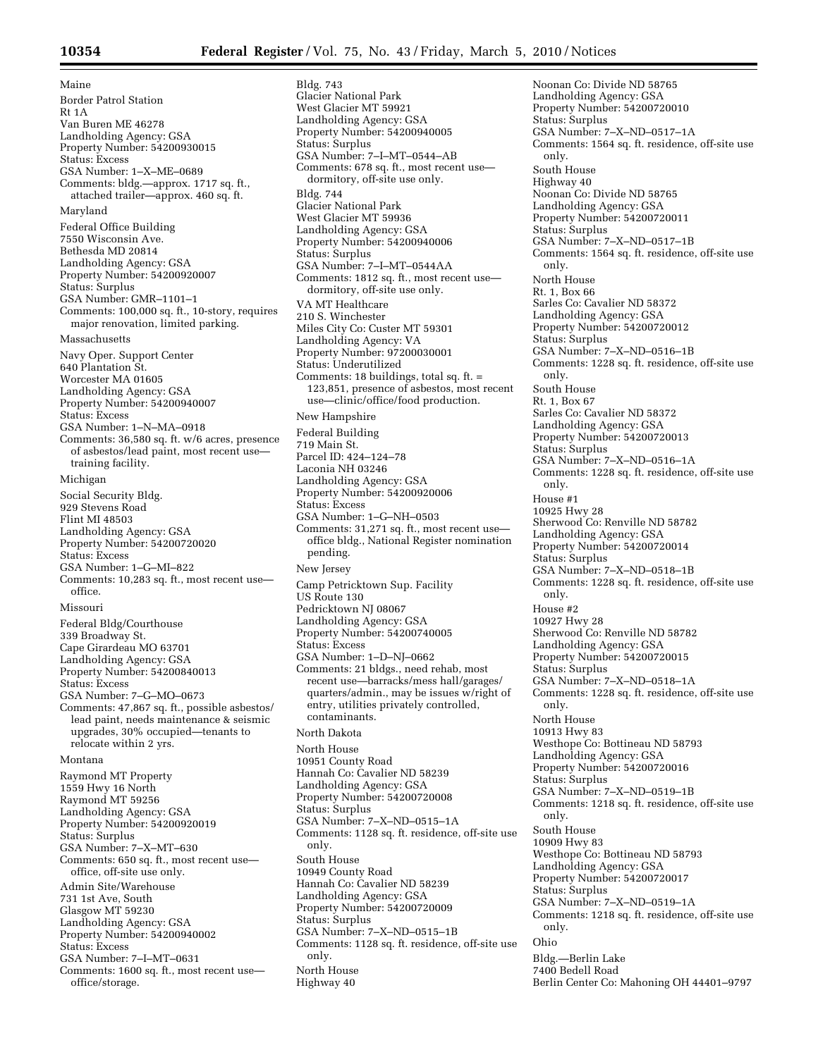Maine Border Patrol Station Rt 1A Van Buren ME 46278 Landholding Agency: GSA Property Number: 54200930015 Status: Excess GSA Number: 1–X–ME–0689 Comments: bldg.—approx. 1717 sq. ft., attached trailer—approx. 460 sq. ft. Maryland Federal Office Building 7550 Wisconsin Ave. Bethesda MD 20814 Landholding Agency: GSA Property Number: 54200920007 Status: Surplus GSA Number: GMR–1101–1 Comments: 100,000 sq. ft., 10-story, requires major renovation, limited parking. Massachusetts Navy Oper. Support Center 640 Plantation St. Worcester MA 01605 Landholding Agency: GSA Property Number: 54200940007 Status: Excess GSA Number: 1–N–MA–0918 Comments: 36,580 sq. ft. w/6 acres, presence of asbestos/lead paint, most recent use training facility. Michigan Social Security Bldg. 929 Stevens Road Flint MI 48503 Landholding Agency: GSA Property Number: 54200720020 Status: Excess GSA Number: 1–G–MI–822 Comments: 10,283 sq. ft., most recent use office. Missouri Federal Bldg/Courthouse 339 Broadway St. Cape Girardeau MO 63701 Landholding Agency: GSA Property Number: 54200840013 Status: Excess GSA Number: 7–G–MO–0673 Comments: 47,867 sq. ft., possible asbestos/ lead paint, needs maintenance & seismic upgrades, 30% occupied—tenants to relocate within 2 yrs. Montana Raymond MT Property 1559 Hwy 16 North Raymond MT 59256 Landholding Agency: GSA Property Number: 54200920019 Status: Surplus GSA Number: 7–X–MT–630 Comments: 650 sq. ft., most recent use office, off-site use only. Admin Site/Warehouse 731 1st Ave, South Glasgow MT 59230 Landholding Agency: GSA Property Number: 54200940002 Status: Excess GSA Number: 7–I–MT–0631 Comments: 1600 sq. ft., most recent use office/storage.

Bldg. 743 Glacier National Park West Glacier MT 59921 Landholding Agency: GSA Property Number: 54200940005 Status: Surplus GSA Number: 7–I–MT–0544–AB Comments: 678 sq. ft., most recent use dormitory, off-site use only. Bldg. 744 Glacier National Park West Glacier MT 59936 Landholding Agency: GSA Property Number: 54200940006 Status: Surplus GSA Number: 7–I–MT–0544AA Comments: 1812 sq. ft., most recent use dormitory, off-site use only. VA MT Healthcare 210 S. Winchester Miles City Co: Custer MT 59301 Landholding Agency: VA Property Number: 97200030001 Status: Underutilized Comments: 18 buildings, total sq. ft. = 123,851, presence of asbestos, most recent use—clinic/office/food production. New Hampshire Federal Building 719 Main St. Parcel ID: 424–124–78 Laconia NH 03246 Landholding Agency: GSA Property Number: 54200920006 Status: Excess GSA Number: 1–G–NH–0503 Comments: 31,271 sq. ft., most recent use office bldg., National Register nomination pending. New Jersey Camp Petricktown Sup. Facility US Route 130 Pedricktown NJ 08067 Landholding Agency: GSA Property Number: 54200740005 Status: Excess GSA Number: 1–D–NJ–0662 Comments: 21 bldgs., need rehab, most recent use—barracks/mess hall/garages/ quarters/admin., may be issues w/right of entry, utilities privately controlled, contaminants. North Dakota North House 10951 County Road Hannah Co: Cavalier ND 58239 Landholding Agency: GSA Property Number: 54200720008 Status: Surplus GSA Number: 7–X–ND–0515–1A Comments: 1128 sq. ft. residence, off-site use only. South House 10949 County Road Hannah Co: Cavalier ND 58239 Landholding Agency: GSA Property Number: 54200720009 Status: Surplus GSA Number: 7–X–ND–0515–1B Comments: 1128 sq. ft. residence, off-site use only. North House Highway 40

Noonan Co: Divide ND 58765 Landholding Agency: GSA Property Number: 54200720010 Status: Surplus GSA Number: 7–X–ND–0517–1A Comments: 1564 sq. ft. residence, off-site use only. South House Highway 40 Noonan Co: Divide ND 58765 Landholding Agency: GSA Property Number: 54200720011 Status: Surplus GSA Number: 7–X–ND–0517–1B Comments: 1564 sq. ft. residence, off-site use only. North House Rt. 1, Box 66 Sarles Co: Cavalier ND 58372 Landholding Agency: GSA Property Number: 54200720012 Status: Surplus GSA Number: 7–X–ND–0516–1B Comments: 1228 sq. ft. residence, off-site use only. South House Rt. 1, Box 67 Sarles Co: Cavalier ND 58372 Landholding Agency: GSA Property Number: 54200720013 Status: Surplus GSA Number: 7–X–ND–0516–1A Comments: 1228 sq. ft. residence, off-site use only. House #1 10925 Hwy 28 Sherwood Co: Renville ND 58782 Landholding Agency: GSA Property Number: 54200720014 Status: Surplus GSA Number: 7–X–ND–0518–1B Comments: 1228 sq. ft. residence, off-site use only. House #2 10927 Hwy 28 Sherwood Co: Renville ND 58782 Landholding Agency: GSA Property Number: 54200720015 Status: Surplus GSA Number: 7–X–ND–0518–1A Comments: 1228 sq. ft. residence, off-site use only. North House 10913 Hwy 83 Westhope Co: Bottineau ND 58793 Landholding Agency: GSA Property Number: 54200720016 Status: Surplus GSA Number: 7–X–ND–0519–1B Comments: 1218 sq. ft. residence, off-site use only. South House 10909 Hwy 83 Westhope Co: Bottineau ND 58793 Landholding Agency: GSA Property Number: 54200720017 Status: Surplus GSA Number: 7–X–ND–0519–1A Comments: 1218 sq. ft. residence, off-site use only. Ohio Bldg.—Berlin Lake 7400 Bedell Road Berlin Center Co: Mahoning OH 44401–9797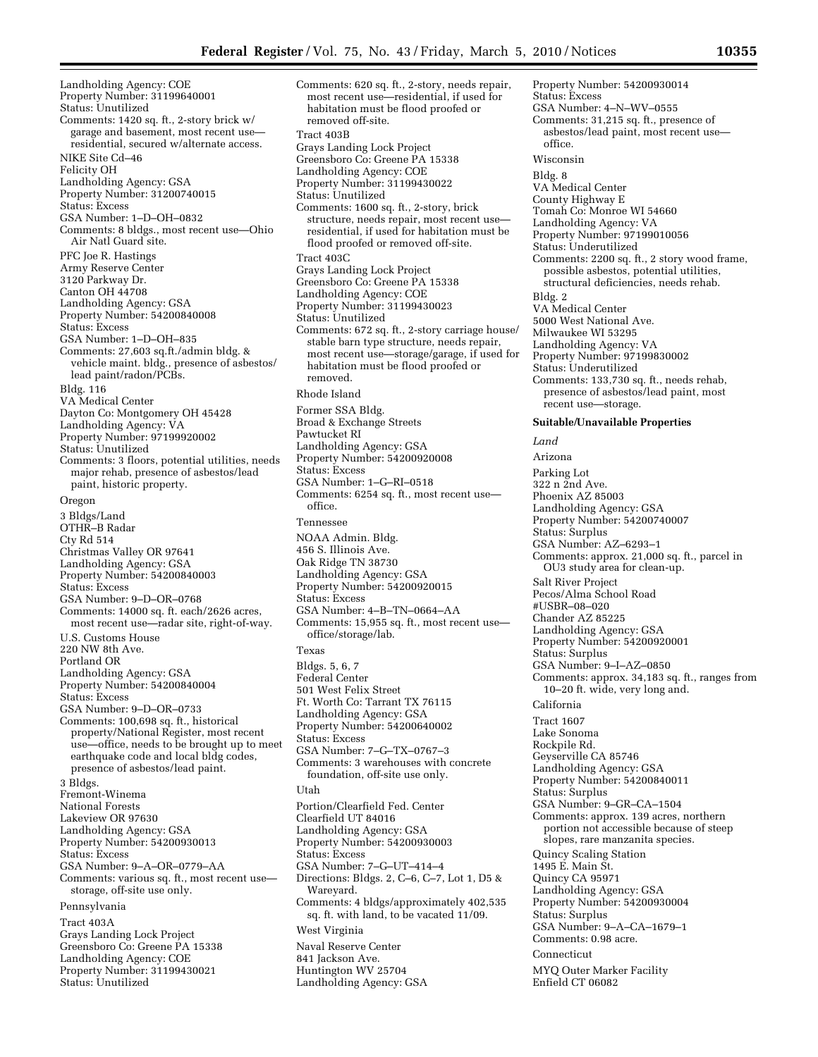Landholding Agency: COE Property Number: 31199640001 Status: Unutilized Comments: 1420 sq. ft., 2-story brick w/ garage and basement, most recent use residential, secured w/alternate access. NIKE Site Cd–46 Felicity OH Landholding Agency: GSA Property Number: 31200740015 Status: Excess GSA Number: 1–D–OH–0832 Comments: 8 bldgs., most recent use—Ohio Air Natl Guard site. PFC Joe R. Hastings Army Reserve Center 3120 Parkway Dr. Canton OH 44708 Landholding Agency: GSA Property Number: 54200840008 Status: Excess GSA Number: 1–D–OH–835 Comments: 27,603 sq.ft./admin bldg. & vehicle maint. bldg., presence of asbestos/ lead paint/radon/PCBs. Bldg. 116 VA Medical Center Dayton Co: Montgomery OH 45428 Landholding Agency: VA Property Number: 97199920002 Status: Unutilized Comments: 3 floors, potential utilities, needs major rehab, presence of asbestos/lead paint, historic property. Oregon 3 Bldgs/Land OTHR–B Radar Cty Rd 514 Christmas Valley OR 97641 Landholding Agency: GSA Property Number: 54200840003 Status: Excess GSA Number: 9–D–OR–0768 Comments: 14000 sq. ft. each/2626 acres, most recent use—radar site, right-of-way. U.S. Customs House 220 NW 8th Ave. Portland OR Landholding Agency: GSA Property Number: 54200840004 Status: Excess GSA Number: 9–D–OR–0733 Comments: 100,698 sq. ft., historical property/National Register, most recent use—office, needs to be brought up to meet earthquake code and local bldg codes, presence of asbestos/lead paint. 3 Bldgs. Fremont-Winema National Forests Lakeview OR 97630 Landholding Agency: GSA Property Number: 54200930013 Status: Excess GSA Number: 9–A–OR–0779–AA Comments: various sq. ft., most recent use storage, off-site use only. Pennsylvania Tract 403A Grays Landing Lock Project Greensboro Co: Greene PA 15338 Landholding Agency: COE Property Number: 31199430021 Status: Unutilized

Comments: 620 sq. ft., 2-story, needs repair, most recent use—residential, if used for habitation must be flood proofed or removed off-site. Tract 403B Grays Landing Lock Project Greensboro Co: Greene PA 15338 Landholding Agency: COE Property Number: 31199430022 Status: Unutilized Comments: 1600 sq. ft., 2-story, brick structure, needs repair, most recent use residential, if used for habitation must be flood proofed or removed off-site. Tract 403C Grays Landing Lock Project Greensboro Co: Greene PA 15338 Landholding Agency: COE Property Number: 31199430023 Status: Unutilized Comments: 672 sq. ft., 2-story carriage house/ stable barn type structure, needs repair, most recent use—storage/garage, if used for habitation must be flood proofed or removed. Rhode Island Former SSA Bldg. Broad & Exchange Streets Pawtucket RI Landholding Agency: GSA Property Number: 54200920008 Status: Excess GSA Number: 1–G–RI–0518 Comments: 6254 sq. ft., most recent use office. Tennessee NOAA Admin. Bldg. 456 S. Illinois Ave. Oak Ridge TN 38730 Landholding Agency: GSA Property Number: 54200920015 Status: Excess GSA Number: 4–B–TN–0664–AA Comments: 15,955 sq. ft., most recent use office/storage/lab. Texas Bldgs. 5, 6, 7 Federal Center 501 West Felix Street Ft. Worth Co: Tarrant TX 76115 Landholding Agency: GSA Property Number: 54200640002 Status: Excess GSA Number: 7–G–TX–0767–3 Comments: 3 warehouses with concrete foundation, off-site use only. Utah Portion/Clearfield Fed. Center Clearfield UT 84016 Landholding Agency: GSA Property Number: 54200930003 Status: Excess GSA Number: 7–G–UT–414–4 Directions: Bldgs. 2, C–6, C–7, Lot 1, D5 & Wareyard. Comments: 4 bldgs/approximately 402,535 sq. ft. with land, to be vacated 11/09. West Virginia Naval Reserve Center 841 Jackson Ave. Huntington WV 25704 Landholding Agency: GSA

Property Number: 54200930014 Status: Excess GSA Number: 4–N–WV–0555 Comments: 31,215 sq. ft., presence of asbestos/lead paint, most recent use office. Wisconsin Bldg. 8 VA Medical Center County Highway E Tomah Co: Monroe WI 54660 Landholding Agency: VA Property Number: 97199010056 Status: Underutilized Comments: 2200 sq. ft., 2 story wood frame, possible asbestos, potential utilities, structural deficiencies, needs rehab. Bldg. 2 VA Medical Center 5000 West National Ave. Milwaukee WI 53295 Landholding Agency: VA Property Number: 97199830002 Status: Underutilized Comments: 133,730 sq. ft., needs rehab, presence of asbestos/lead paint, most recent use—storage. **Suitable/Unavailable Properties**  *Land*  Arizona Parking Lot 322 n 2nd Ave. Phoenix AZ 85003 Landholding Agency: GSA Property Number: 54200740007 Status: Surplus GSA Number: AZ–6293–1 Comments: approx. 21,000 sq. ft., parcel in OU3 study area for clean-up. Salt River Project Pecos/Alma School Road #USBR–08–020 Chander AZ 85225 Landholding Agency: GSA Property Number: 54200920001 Status: Surplus GSA Number: 9–I–AZ–0850 Comments: approx. 34,183 sq. ft., ranges from 10–20 ft. wide, very long and. California Tract 1607 Lake Sonoma Rockpile Rd. Geyserville CA 85746 Landholding Agency: GSA Property Number: 54200840011 Status: Surplus GSA Number: 9–GR–CA–1504 Comments: approx. 139 acres, northern portion not accessible because of steep slopes, rare manzanita species. Quincy Scaling Station 1495 E. Main St. Quincy CA 95971 Landholding Agency: GSA Property Number: 54200930004 Status: Surplus GSA Number: 9–A–CA–1679–1 Comments: 0.98 acre. Connecticut MYQ Outer Marker Facility Enfield CT 06082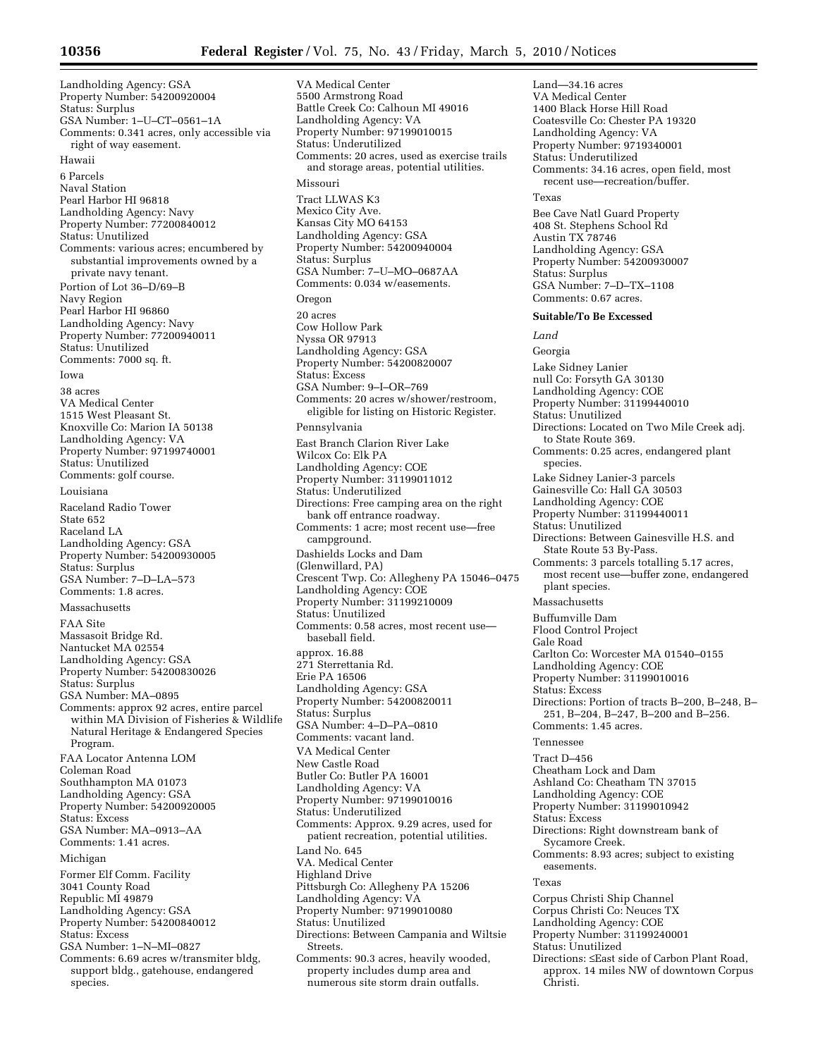Landholding Agency: GSA Property Number: 54200920004 Status: Surplus GSA Number: 1–U–CT–0561–1A Comments: 0.341 acres, only accessible via right of way easement. Hawaii 6 Parcels Naval Station Pearl Harbor HI 96818 Landholding Agency: Navy Property Number: 77200840012 Status: Unutilized Comments: various acres; encumbered by substantial improvements owned by a private navy tenant. Portion of Lot 36–D/69–B Navy Region Pearl Harbor HI 96860 Landholding Agency: Navy Property Number: 77200940011 Status: Unutilized Comments: 7000 sq. ft. Iowa 38 acres VA Medical Center 1515 West Pleasant St. Knoxville Co: Marion IA 50138 Landholding Agency: VA Property Number: 97199740001 Status: Unutilized Comments: golf course. Louisiana Raceland Radio Tower State 652 Raceland LA Landholding Agency: GSA Property Number: 54200930005 Status: Surplus GSA Number: 7–D–LA–573 Comments: 1.8 acres. Massachusetts FAA Site Massasoit Bridge Rd. Nantucket MA 02554 Landholding Agency: GSA Property Number: 54200830026 Status: Surplus GSA Number: MA–0895 Comments: approx 92 acres, entire parcel within MA Division of Fisheries & Wildlife Natural Heritage & Endangered Species Program. FAA Locator Antenna LOM Coleman Road Southhampton MA 01073 Landholding Agency: GSA Property Number: 54200920005 Status: Excess GSA Number: MA–0913–AA Comments: 1.41 acres. Michigan Former Elf Comm. Facility 3041 County Road Republic MI 49879 Landholding Agency: GSA Property Number: 54200840012 Status: Excess GSA Number: 1–N–MI–0827 Comments: 6.69 acres w/transmiter bldg, support bldg., gatehouse, endangered

species.

VA Medical Center 5500 Armstrong Road Battle Creek Co: Calhoun MI 49016 Landholding Agency: VA Property Number: 97199010015 Status: Underutilized Comments: 20 acres, used as exercise trails and storage areas, potential utilities. Missouri Tract LLWAS K3 Mexico City Ave. Kansas City MO 64153 Landholding Agency: GSA Property Number: 54200940004 Status: Surplus GSA Number: 7–U–MO–0687AA Comments: 0.034 w/easements. Oregon 20 acres Cow Hollow Park Nyssa OR 97913 Landholding Agency: GSA Property Number: 54200820007 Status: Excess GSA Number: 9–I–OR–769 Comments: 20 acres w/shower/restroom, eligible for listing on Historic Register. Pennsylvania East Branch Clarion River Lake Wilcox Co: Elk PA Landholding Agency: COE Property Number: 31199011012 Status: Underutilized Directions: Free camping area on the right bank off entrance roadway. Comments: 1 acre; most recent use—free campground. Dashields Locks and Dam (Glenwillard, PA) Crescent Twp. Co: Allegheny PA 15046–0475 Landholding Agency: COE Property Number: 31199210009 Status: Unutilized Comments: 0.58 acres, most recent use baseball field. approx. 16.88 271 Sterrettania Rd. Erie PA 16506 Landholding Agency: GSA Property Number: 54200820011 Status: Surplus GSA Number: 4–D–PA–0810 Comments: vacant land. VA Medical Center New Castle Road Butler Co: Butler PA 16001 Landholding Agency: VA Property Number: 97199010016 Status: Underutilized Comments: Approx. 9.29 acres, used for patient recreation, potential utilities. Land No. 645 VA. Medical Center Highland Drive Pittsburgh Co: Allegheny PA 15206 Landholding Agency: VA Property Number: 97199010080 Status: Unutilized Directions: Between Campania and Wiltsie Streets. Comments: 90.3 acres, heavily wooded, property includes dump area and numerous site storm drain outfalls.

Land—34.16 acres VA Medical Center 1400 Black Horse Hill Road Coatesville Co: Chester PA 19320 Landholding Agency: VA Property Number: 9719340001 Status: Underutilized Comments: 34.16 acres, open field, most recent use—recreation/buffer. Texas Bee Cave Natl Guard Property 408 St. Stephens School Rd Austin TX 78746 Landholding Agency: GSA Property Number: 54200930007 Status: Surplus GSA Number: 7–D–TX–1108 Comments: 0.67 acres. **Suitable/To Be Excessed**  *Land*  Georgia Lake Sidney Lanier null Co: Forsyth GA 30130 Landholding Agency: COE Property Number: 31199440010 Status: Unutilized Directions: Located on Two Mile Creek adj. to State Route 369. Comments: 0.25 acres, endangered plant species. Lake Sidney Lanier-3 parcels Gainesville Co: Hall GA 30503 Landholding Agency: COE Property Number: 31199440011 Status: Unutilized Directions: Between Gainesville H.S. and State Route 53 By-Pass. Comments: 3 parcels totalling 5.17 acres, most recent use—buffer zone, endangered plant species. Massachusetts Buffumville Dam Flood Control Project Gale Road Carlton Co: Worcester MA 01540–0155 Landholding Agency: COE Property Number: 31199010016 Status: Excess Directions: Portion of tracts B–200, B–248, B– 251, B–204, B–247, B–200 and B–256. Comments: 1.45 acres. Tennessee Tract D–456 Cheatham Lock and Dam Ashland Co: Cheatham TN 37015 Landholding Agency: COE Property Number: 31199010942 Status: Excess Directions: Right downstream bank of Sycamore Creek. Comments: 8.93 acres; subject to existing easements. Texas Corpus Christi Ship Channel Corpus Christi Co: Neuces TX Landholding Agency: COE Property Number: 31199240001 Status: Unutilized Directions: ≤East side of Carbon Plant Road, approx. 14 miles NW of downtown Corpus Christi.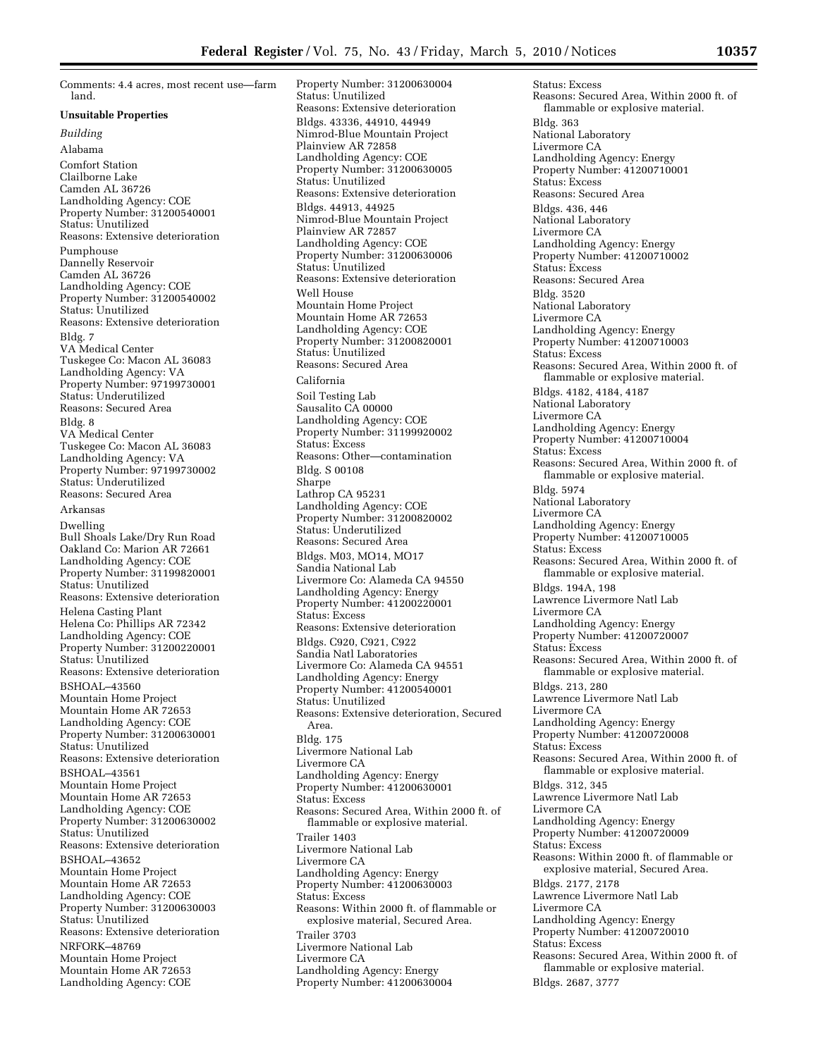Comments: 4.4 acres, most recent use—farm land.

#### **Unsuitable Properties**

*Building* 

Alabama Comfort Station Clailborne Lake Camden AL 36726 Landholding Agency: COE Property Number: 31200540001 Status: Unutilized Reasons: Extensive deterioration Pumphouse Dannelly Reservoir Camden AL 36726 Landholding Agency: COE Property Number: 31200540002 Status: Unutilized Reasons: Extensive deterioration Bldg. 7 VA Medical Center Tuskegee Co: Macon AL 36083 Landholding Agency: VA Property Number: 97199730001 Status: Underutilized Reasons: Secured Area Bldg. 8 VA Medical Center Tuskegee Co: Macon AL 36083 Landholding Agency: VA Property Number: 97199730002 Status: Underutilized Reasons: Secured Area Arkansas Dwelling Bull Shoals Lake/Dry Run Road Oakland Co: Marion AR 72661 Landholding Agency: COE Property Number: 31199820001 Status: Unutilized Reasons: Extensive deterioration Helena Casting Plant Helena Co: Phillips AR 72342 Landholding Agency: COE Property Number: 31200220001 Status: Unutilized Reasons: Extensive deterioration BSHOAL–43560 Mountain Home Project Mountain Home AR 72653 Landholding Agency: COE Property Number: 31200630001 Status: Unutilized Reasons: Extensive deterioration BSHOAL–43561 Mountain Home Project Mountain Home AR 72653 Landholding Agency: COE Property Number: 31200630002 Status: Unutilized Reasons: Extensive deterioration BSHOAL–43652 Mountain Home Project Mountain Home AR 72653 Landholding Agency: COE Property Number: 31200630003 Status: Unutilized Reasons: Extensive deterioration NRFORK–48769 Mountain Home Project Mountain Home AR 72653 Landholding Agency: COE

Property Number: 31200630004 Status: Unutilized Reasons: Extensive deterioration Bldgs. 43336, 44910, 44949 Nimrod-Blue Mountain Project Plainview AR 72858 Landholding Agency: COE Property Number: 31200630005 Status: Unutilized Reasons: Extensive deterioration Bldgs. 44913, 44925 Nimrod-Blue Mountain Project Plainview AR 72857 Landholding Agency: COE Property Number: 31200630006 Status: Unutilized Reasons: Extensive deterioration Well House Mountain Home Project Mountain Home AR 72653 Landholding Agency: COE Property Number: 31200820001 Status: Unutilized Reasons: Secured Area California Soil Testing Lab Sausalito CA 00000 Landholding Agency: COE Property Number: 31199920002 Status: Excess Reasons: Other—contamination Bldg. S 00108 Sharpe Lathrop CA 95231 Landholding Agency: COE Property Number: 31200820002 Status: Underutilized Reasons: Secured Area Bldgs. M03, MO14, MO17 Sandia National Lab Livermore Co: Alameda CA 94550 Landholding Agency: Energy Property Number: 41200220001 Status: Excess Reasons: Extensive deterioration Bldgs. C920, C921, C922 Sandia Natl Laboratories Livermore Co: Alameda CA 94551 Landholding Agency: Energy Property Number: 41200540001 Status: Unutilized Reasons: Extensive deterioration, Secured Area. Bldg. 175 Livermore National Lab Livermore CA Landholding Agency: Energy Property Number: 41200630001 Status: Excess Reasons: Secured Area, Within 2000 ft. of flammable or explosive material. Trailer 1403 Livermore National Lab Livermore CA Landholding Agency: Energy Property Number: 41200630003 Status: Excess Reasons: Within 2000 ft. of flammable or explosive material, Secured Area. Trailer 3703 Livermore National Lab Livermore CA Landholding Agency: Energy Property Number: 41200630004

Status: Excess Reasons: Secured Area, Within 2000 ft. of flammable or explosive material. Bldg. 363 National Laboratory Livermore CA Landholding Agency: Energy Property Number: 41200710001 Status: Excess Reasons: Secured Area Bldgs. 436, 446 National Laboratory Livermore CA Landholding Agency: Energy Property Number: 41200710002 Status: Excess Reasons: Secured Area Bldg. 3520 National Laboratory Livermore CA Landholding Agency: Energy Property Number: 41200710003 Status: Excess Reasons: Secured Area, Within 2000 ft. of flammable or explosive material. Bldgs. 4182, 4184, 4187 National Laboratory Livermore CA Landholding Agency: Energy Property Number: 41200710004 Status: Excess Reasons: Secured Area, Within 2000 ft. of flammable or explosive material. Bldg. 5974 National Laboratory Livermore CA Landholding Agency: Energy Property Number: 41200710005 Status: Excess Reasons: Secured Area, Within 2000 ft. of flammable or explosive material. Bldgs. 194A, 198 Lawrence Livermore Natl Lab Livermore CA Landholding Agency: Energy Property Number: 41200720007 Status: Excess Reasons: Secured Area, Within 2000 ft. of flammable or explosive material. Bldgs. 213, 280 Lawrence Livermore Natl Lab Livermore CA Landholding Agency: Energy Property Number: 41200720008 Status: Excess Reasons: Secured Area, Within 2000 ft. of flammable or explosive material. Bldgs. 312, 345 Lawrence Livermore Natl Lab Livermore CA Landholding Agency: Energy Property Number: 41200720009 Status: Excess Reasons: Within 2000 ft. of flammable or explosive material, Secured Area. Bldgs. 2177, 2178 Lawrence Livermore Natl Lab Livermore CA Landholding Agency: Energy Property Number: 41200720010 Status: Excess Reasons: Secured Area, Within 2000 ft. of flammable or explosive material. Bldgs. 2687, 3777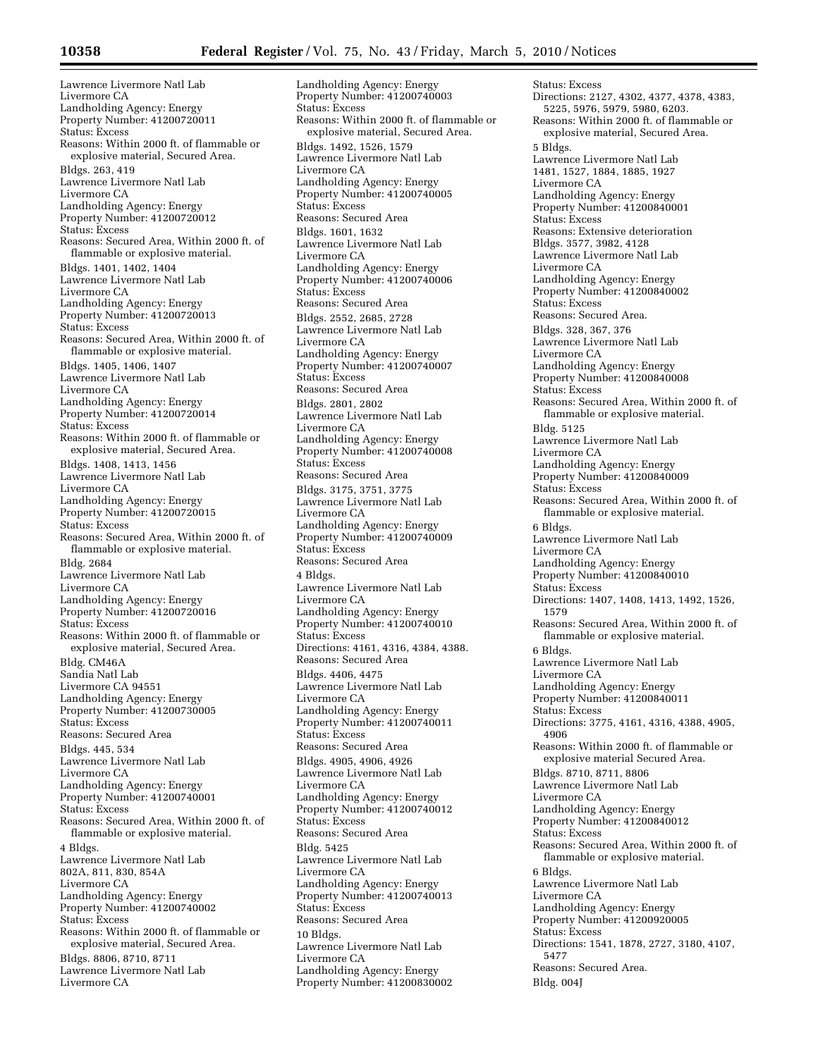Lawrence Livermore Natl Lab Livermore CA Landholding Agency: Energy Property Number: 41200720011 Status: Excess Reasons: Within 2000 ft. of flammable or explosive material, Secured Area. Bldgs. 263, 419 Lawrence Livermore Natl Lab Livermore CA Landholding Agency: Energy Property Number: 41200720012 Status: Excess Reasons: Secured Area, Within 2000 ft. of flammable or explosive material. Bldgs. 1401, 1402, 1404 Lawrence Livermore Natl Lab Livermore CA Landholding Agency: Energy Property Number: 41200720013 Status: Excess Reasons: Secured Area, Within 2000 ft. of flammable or explosive material. Bldgs. 1405, 1406, 1407 Lawrence Livermore Natl Lab Livermore CA Landholding Agency: Energy Property Number: 41200720014 Status: Excess Reasons: Within 2000 ft. of flammable or explosive material, Secured Area. Bldgs. 1408, 1413, 1456 Lawrence Livermore Natl Lab Livermore CA Landholding Agency: Energy Property Number: 41200720015 Status: Excess Reasons: Secured Area, Within 2000 ft. of flammable or explosive material. Bldg. 2684 Lawrence Livermore Natl Lab Livermore CA Landholding Agency: Energy Property Number: 41200720016 Status: Excess Reasons: Within 2000 ft. of flammable or explosive material, Secured Area. Bldg. CM46A Sandia Natl Lab Livermore CA 94551 Landholding Agency: Energy Property Number: 41200730005 Status: Excess Reasons: Secured Area Bldgs. 445, 534 Lawrence Livermore Natl Lab Livermore CA Landholding Agency: Energy Property Number: 41200740001 Status: Excess Reasons: Secured Area, Within 2000 ft. of flammable or explosive material. 4 Bldgs. Lawrence Livermore Natl Lab 802A, 811, 830, 854A Livermore CA Landholding Agency: Energy Property Number: 41200740002 Status: Excess Reasons: Within 2000 ft. of flammable or explosive material, Secured Area. Bldgs. 8806, 8710, 8711 Lawrence Livermore Natl Lab Livermore CA

Landholding Agency: Energy Property Number: 41200740003 Status: Excess Reasons: Within 2000 ft. of flammable or explosive material, Secured Area. Bldgs. 1492, 1526, 1579 Lawrence Livermore Natl Lab Livermore CA Landholding Agency: Energy Property Number: 41200740005 Status: Excess Reasons: Secured Area Bldgs. 1601, 1632 Lawrence Livermore Natl Lab Livermore CA Landholding Agency: Energy Property Number: 41200740006 Status: Excess Reasons: Secured Area Bldgs. 2552, 2685, 2728 Lawrence Livermore Natl Lab Livermore CA Landholding Agency: Energy Property Number: 41200740007 Status: Excess Reasons: Secured Area Bldgs. 2801, 2802 Lawrence Livermore Natl Lab Livermore CA Landholding Agency: Energy Property Number: 41200740008 Status: Excess Reasons: Secured Area Bldgs. 3175, 3751, 3775 Lawrence Livermore Natl Lab Livermore CA Landholding Agency: Energy Property Number: 41200740009 Status: Excess Reasons: Secured Area 4 Bldgs. Lawrence Livermore Natl Lab Livermore CA Landholding Agency: Energy Property Number: 41200740010 Status: Excess Directions: 4161, 4316, 4384, 4388. Reasons: Secured Area Bldgs. 4406, 4475 Lawrence Livermore Natl Lab Livermore CA Landholding Agency: Energy Property Number: 41200740011 Status: Excess Reasons: Secured Area Bldgs. 4905, 4906, 4926 Lawrence Livermore Natl Lab Livermore CA Landholding Agency: Energy Property Number: 41200740012 Status: Excess Reasons: Secured Area Bldg. 5425 Lawrence Livermore Natl Lab Livermore CA Landholding Agency: Energy Property Number: 41200740013 Status: Excess Reasons: Secured Area 10 Bldgs. Lawrence Livermore Natl Lab Livermore CA Landholding Agency: Energy Property Number: 41200830002

Status: Excess Directions: 2127, 4302, 4377, 4378, 4383, 5225, 5976, 5979, 5980, 6203. Reasons: Within 2000 ft. of flammable or explosive material, Secured Area. 5 Bldgs. Lawrence Livermore Natl Lab 1481, 1527, 1884, 1885, 1927 Livermore CA Landholding Agency: Energy Property Number: 41200840001 Status: Excess Reasons: Extensive deterioration Bldgs. 3577, 3982, 4128 Lawrence Livermore Natl Lab Livermore CA Landholding Agency: Energy Property Number: 41200840002 Status: Excess Reasons: Secured Area. Bldgs. 328, 367, 376 Lawrence Livermore Natl Lab Livermore CA Landholding Agency: Energy Property Number: 41200840008 Status: Excess Reasons: Secured Area, Within 2000 ft. of flammable or explosive material. Bldg. 5125 Lawrence Livermore Natl Lab Livermore CA Landholding Agency: Energy Property Number: 41200840009 Status: Excess Reasons: Secured Area, Within 2000 ft. of flammable or explosive material. 6 Bldgs. Lawrence Livermore Natl Lab Livermore CA Landholding Agency: Energy Property Number: 41200840010 Status: Excess Directions: 1407, 1408, 1413, 1492, 1526, 1579 Reasons: Secured Area, Within 2000 ft. of flammable or explosive material. 6 Bldgs. Lawrence Livermore Natl Lab Livermore CA Landholding Agency: Energy Property Number: 41200840011 Status: Excess Directions: 3775, 4161, 4316, 4388, 4905, 4906 Reasons: Within 2000 ft. of flammable or explosive material Secured Area. Bldgs. 8710, 8711, 8806 Lawrence Livermore Natl Lab Livermore CA Landholding Agency: Energy Property Number: 41200840012 Status: Excess Reasons: Secured Area, Within 2000 ft. of flammable or explosive material. 6 Bldgs. Lawrence Livermore Natl Lab Livermore CA Landholding Agency: Energy Property Number: 41200920005 Status: Excess Directions: 1541, 1878, 2727, 3180, 4107, 5477 Reasons: Secured Area. Bldg. 004J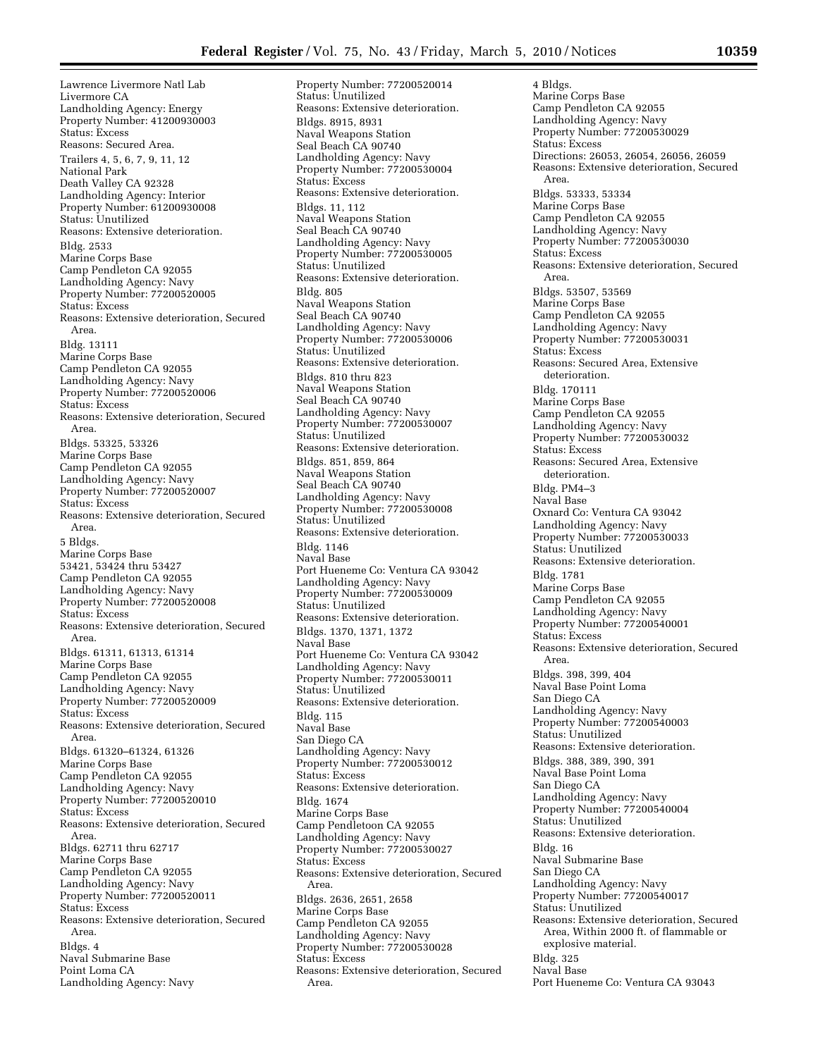Lawrence Livermore Natl Lab Livermore CA Landholding Agency: Energy Property Number: 41200930003 Status: Excess Reasons: Secured Area. Trailers 4, 5, 6, 7, 9, 11, 12 National Park Death Valley CA 92328 Landholding Agency: Interior Property Number: 61200930008 Status: Unutilized Reasons: Extensive deterioration. Bldg. 2533 Marine Corps Base Camp Pendleton CA 92055 Landholding Agency: Navy Property Number: 77200520005 Status: Excess Reasons: Extensive deterioration, Secured Area. Bldg. 13111 Marine Corps Base Camp Pendleton CA 92055 Landholding Agency: Navy Property Number: 77200520006 Status: Excess Reasons: Extensive deterioration, Secured Area. Bldgs. 53325, 53326 Marine Corps Base Camp Pendleton CA 92055 Landholding Agency: Navy Property Number: 77200520007 Status: Excess Reasons: Extensive deterioration, Secured Area. 5 Bldgs. Marine Corps Base 53421, 53424 thru 53427 Camp Pendleton CA 92055 Landholding Agency: Navy Property Number: 77200520008 Status: Excess Reasons: Extensive deterioration, Secured Area. Bldgs. 61311, 61313, 61314 Marine Corps Base Camp Pendleton CA 92055 Landholding Agency: Navy Property Number: 77200520009 Status: Excess Reasons: Extensive deterioration, Secured Area. Bldgs. 61320–61324, 61326 Marine Corps Base Camp Pendleton CA 92055 Landholding Agency: Navy Property Number: 77200520010 Status: Excess Reasons: Extensive deterioration, Secured Area. Bldgs. 62711 thru 62717 Marine Corps Base Camp Pendleton CA 92055 Landholding Agency: Navy Property Number: 77200520011 Status: Excess Reasons: Extensive deterioration, Secured Area. Bldgs. 4 Naval Submarine Base Point Loma CA Landholding Agency: Navy

Property Number: 77200520014 Status: Unutilized Reasons: Extensive deterioration. Bldgs. 8915, 8931 Naval Weapons Station Seal Beach CA 90740 Landholding Agency: Navy Property Number: 77200530004 Status: Excess Reasons: Extensive deterioration. Bldgs. 11, 112 Naval Weapons Station Seal Beach CA 90740 Landholding Agency: Navy Property Number: 77200530005 Status: Unutilized Reasons: Extensive deterioration. Bldg. 805 Naval Weapons Station Seal Beach CA 90740 Landholding Agency: Navy Property Number: 77200530006 Status: Unutilized Reasons: Extensive deterioration. Bldgs. 810 thru 823 Naval Weapons Station Seal Beach CA 90740 Landholding Agency: Navy Property Number: 77200530007 Status: Unutilized Reasons: Extensive deterioration. Bldgs. 851, 859, 864 Naval Weapons Station Seal Beach CA 90740 Landholding Agency: Navy Property Number: 77200530008 Status: Unutilized Reasons: Extensive deterioration. Bldg. 1146 Naval Base Port Hueneme Co: Ventura CA 93042 Landholding Agency: Navy Property Number: 77200530009 Status: Unutilized Reasons: Extensive deterioration. Bldgs. 1370, 1371, 1372 Naval Base Port Hueneme Co: Ventura CA 93042 Landholding Agency: Navy Property Number: 77200530011 Status: Unutilized Reasons: Extensive deterioration. Bldg. 115 Naval Base San Diego CA Landholding Agency: Navy Property Number: 77200530012 Status: Excess Reasons: Extensive deterioration. Bldg. 1674 Marine Corps Base Camp Pendletoon CA 92055 Landholding Agency: Navy Property Number: 77200530027 Status: Excess Reasons: Extensive deterioration, Secured Area. Bldgs. 2636, 2651, 2658 Marine Corps Base Camp Pendleton CA 92055 Landholding Agency: Navy Property Number: 77200530028 Status: Excess Reasons: Extensive deterioration, Secured Area.

4 Bldgs. Marine Corps Base Camp Pendleton CA 92055 Landholding Agency: Navy Property Number: 77200530029 Status: Excess Directions: 26053, 26054, 26056, 26059 Reasons: Extensive deterioration, Secured Area. Bldgs. 53333, 53334 Marine Corps Base Camp Pendleton CA 92055 Landholding Agency: Navy Property Number: 77200530030 Status: Excess Reasons: Extensive deterioration, Secured Area. Bldgs. 53507, 53569 Marine Corps Base Camp Pendleton CA 92055 Landholding Agency: Navy Property Number: 77200530031 Status: Excess Reasons: Secured Area, Extensive deterioration. Bldg. 170111 Marine Corps Base Camp Pendleton CA 92055 Landholding Agency: Navy Property Number: 77200530032 Status: Excess Reasons: Secured Area, Extensive deterioration. Bldg. PM4–3 Naval Base Oxnard Co: Ventura CA 93042 Landholding Agency: Navy Property Number: 77200530033 Status: Unutilized Reasons: Extensive deterioration. Bldg. 1781 Marine Corps Base Camp Pendleton CA 92055 Landholding Agency: Navy Property Number: 77200540001 Status: Excess Reasons: Extensive deterioration, Secured Area. Bldgs. 398, 399, 404 Naval Base Point Loma San Diego CA Landholding Agency: Navy Property Number: 77200540003 Status: Unutilized Reasons: Extensive deterioration. Bldgs. 388, 389, 390, 391 Naval Base Point Loma San Diego CA Landholding Agency: Navy Property Number: 77200540004 Status: Unutilized Reasons: Extensive deterioration. Bldg. 16 Naval Submarine Base San Diego CA Landholding Agency: Navy Property Number: 77200540017 Status: Unutilized Reasons: Extensive deterioration, Secured Area, Within 2000 ft. of flammable or explosive material. Bldg. 325 Naval Base Port Hueneme Co: Ventura CA 93043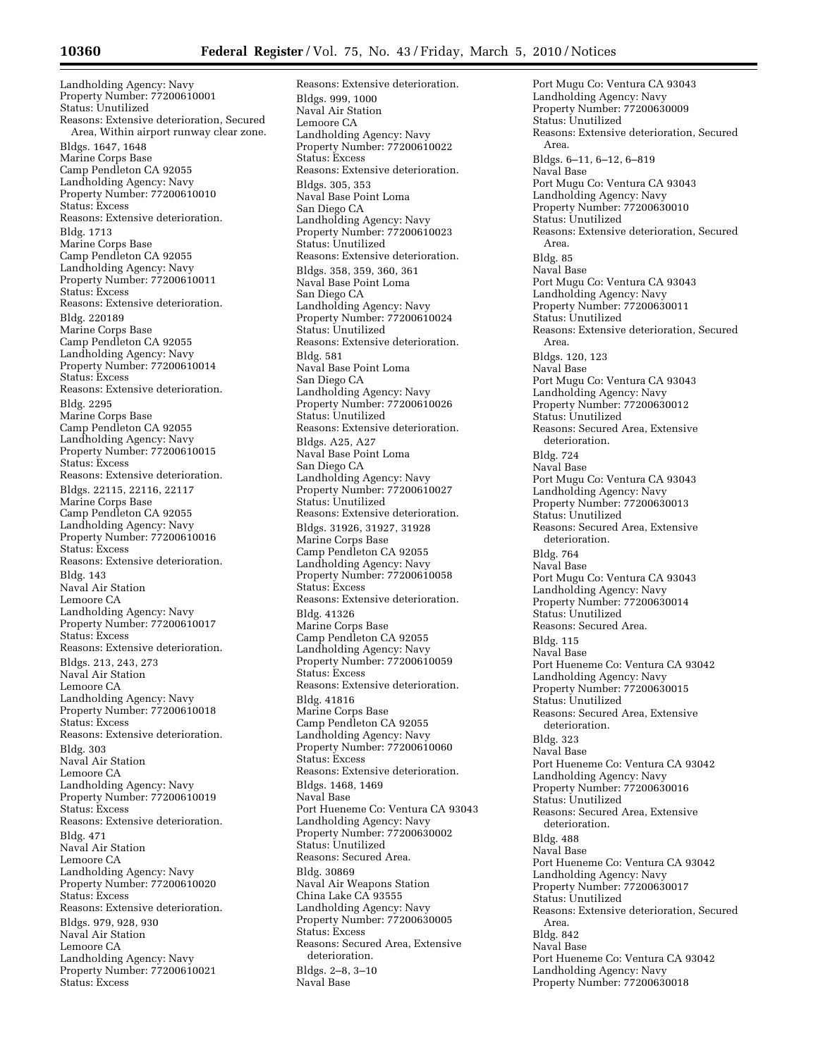Landholding Agency: Navy Property Number: 77200610001 Status: Unutilized Reasons: Extensive deterioration, Secured Area, Within airport runway clear zone. Bldgs. 1647, 1648 Marine Corps Base Camp Pendleton CA 92055 Landholding Agency: Navy Property Number: 77200610010 Status: Excess Reasons: Extensive deterioration. Bldg. 1713 Marine Corps Base Camp Pendleton CA 92055 Landholding Agency: Navy Property Number: 77200610011 Status: Excess Reasons: Extensive deterioration. Bldg. 220189 Marine Corps Base Camp Pendleton CA 92055 Landholding Agency: Navy Property Number: 77200610014 Status: Excess Reasons: Extensive deterioration. Bldg. 2295 Marine Corps Base Camp Pendleton CA 92055 Landholding Agency: Navy Property Number: 77200610015 Status: Excess Reasons: Extensive deterioration. Bldgs. 22115, 22116, 22117 Marine Corps Base Camp Pendleton CA 92055 Landholding Agency: Navy Property Number: 77200610016 Status: Excess Reasons: Extensive deterioration. Bldg. 143 Naval Air Station Lemoore CA Landholding Agency: Navy Property Number: 77200610017 Status: Excess Reasons: Extensive deterioration. Bldgs. 213, 243, 273 Naval Air Station Lemoore CA Landholding Agency: Navy Property Number: 77200610018 Status: Excess Reasons: Extensive deterioration. Bldg. 303 Naval Air Station Lemoore CA Landholding Agency: Navy Property Number: 77200610019 Status: Excess Reasons: Extensive deterioration. Bldg. 471 Naval Air Station Lemoore CA Landholding Agency: Navy Property Number: 77200610020 Status: Excess Reasons: Extensive deterioration. Bldgs. 979, 928, 930 Naval Air Station Lemoore CA Landholding Agency: Navy Property Number: 77200610021 Status: Excess

Reasons: Extensive deterioration. Bldgs. 999, 1000 Naval Air Station Lemoore CA Landholding Agency: Navy Property Number: 77200610022 Status: Excess Reasons: Extensive deterioration. Bldgs. 305, 353 Naval Base Point Loma San Diego CA Landholding Agency: Navy Property Number: 77200610023 Status: Unutilized Reasons: Extensive deterioration. Bldgs. 358, 359, 360, 361 Naval Base Point Loma San Diego CA Landholding Agency: Navy Property Number: 77200610024 Status: Unutilized Reasons: Extensive deterioration. Bldg. 581 Naval Base Point Loma San Diego CA Landholding Agency: Navy Property Number: 77200610026 Status: Unutilized Reasons: Extensive deterioration. Bldgs. A25, A27 Naval Base Point Loma San Diego CA Landholding Agency: Navy Property Number: 77200610027 Status: Unutilized Reasons: Extensive deterioration. Bldgs. 31926, 31927, 31928 Marine Corps Base Camp Pendleton CA 92055 Landholding Agency: Navy Property Number: 77200610058 Status: Excess Reasons: Extensive deterioration. Bldg. 41326 Marine Corps Base Camp Pendleton CA 92055 Landholding Agency: Navy Property Number: 77200610059 Status: Excess Reasons: Extensive deterioration. Bldg. 41816 Marine Corps Base Camp Pendleton CA 92055 Landholding Agency: Navy Property Number: 77200610060 Status: Excess Reasons: Extensive deterioration. Bldgs. 1468, 1469 Naval Base Port Hueneme Co: Ventura CA 93043 Landholding Agency: Navy Property Number: 77200630002 Status: Unutilized Reasons: Secured Area. Bldg. 30869 Naval Air Weapons Station China Lake CA 93555 Landholding Agency: Navy Property Number: 77200630005 Status: Excess Reasons: Secured Area, Extensive deterioration. Bldgs. 2–8, 3–10 Naval Base

Port Mugu Co: Ventura CA 93043 Landholding Agency: Navy Property Number: 77200630009 Status: Unutilized Reasons: Extensive deterioration, Secured Area. Bldgs. 6–11, 6–12, 6–819 Naval Base Port Mugu Co: Ventura CA 93043 Landholding Agency: Navy Property Number: 77200630010 Status: Unutilized Reasons: Extensive deterioration, Secured Area. Bldg. 85 Naval Base Port Mugu Co: Ventura CA 93043 Landholding Agency: Navy Property Number: 77200630011 Status: Unutilized Reasons: Extensive deterioration, Secured Area. Bldgs. 120, 123 Naval Base Port Mugu Co: Ventura CA 93043 Landholding Agency: Navy Property Number: 77200630012 Status: Unutilized Reasons: Secured Area, Extensive deterioration. Bldg. 724 Naval Base Port Mugu Co: Ventura CA 93043 Landholding Agency: Navy Property Number: 77200630013 Status: Unutilized Reasons: Secured Area, Extensive deterioration. Bldg. 764 Naval Base Port Mugu Co: Ventura CA 93043 Landholding Agency: Navy Property Number: 77200630014 Status: Unutilized Reasons: Secured Area. Bldg. 115 Naval Base Port Hueneme Co: Ventura CA 93042 Landholding Agency: Navy Property Number: 77200630015 Status: Unutilized Reasons: Secured Area, Extensive deterioration. Bldg. 323 Naval Base Port Hueneme Co: Ventura CA 93042 Landholding Agency: Navy Property Number: 77200630016 Status: Unutilized Reasons: Secured Area, Extensive deterioration. Bldg. 488 Naval Base Port Hueneme Co: Ventura CA 93042 Landholding Agency: Navy Property Number: 77200630017 Status: Unutilized Reasons: Extensive deterioration, Secured Area. Bldg. 842 Naval Base Port Hueneme Co: Ventura CA 93042 Landholding Agency: Navy Property Number: 77200630018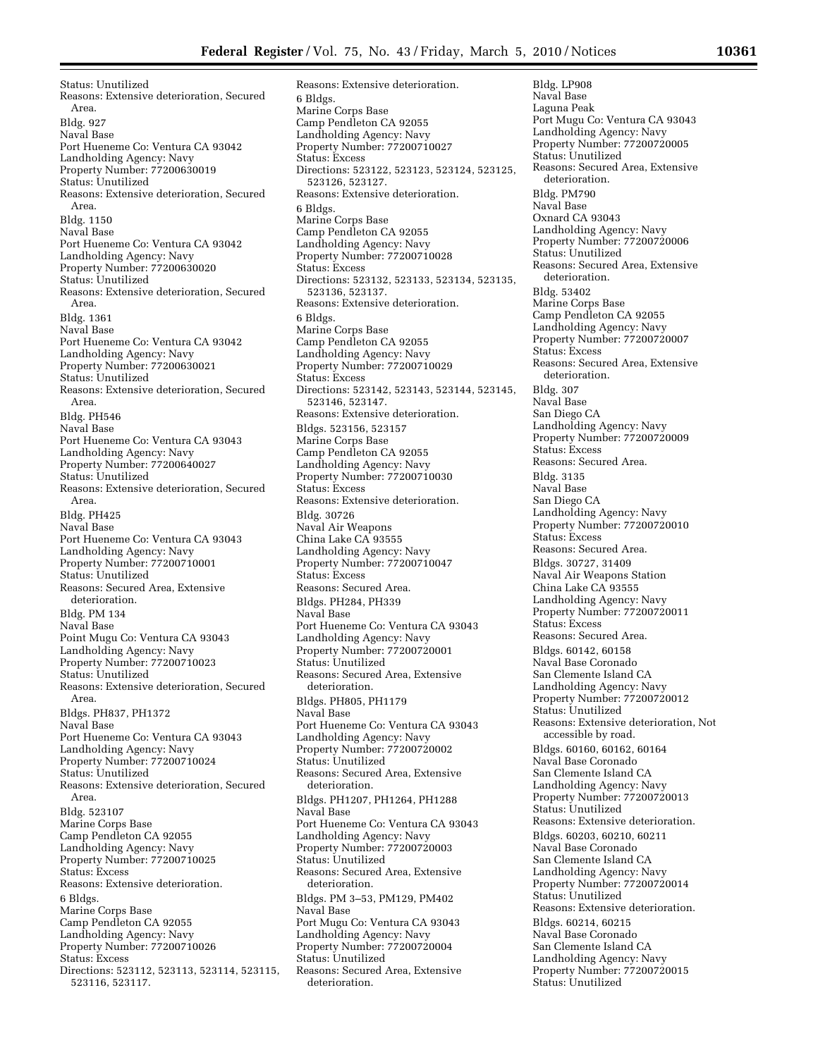Status: Unutilized Reasons: Extensive deterioration, Secured Area. Bldg. 927 Naval Base Port Hueneme Co: Ventura CA 93042 Landholding Agency: Navy Property Number: 77200630019 Status: Unutilized Reasons: Extensive deterioration, Secured Area. Bldg. 1150 Naval Base Port Hueneme Co: Ventura CA 93042 Landholding Agency: Navy Property Number: 77200630020 Status: Unutilized Reasons: Extensive deterioration, Secured Area. Bldg. 1361 Naval Base Port Hueneme Co: Ventura CA 93042 Landholding Agency: Navy Property Number: 77200630021 Status: Unutilized Reasons: Extensive deterioration, Secured Area. Bldg. PH546 Naval Base Port Hueneme Co: Ventura CA 93043 Landholding Agency: Navy Property Number: 77200640027 Status: Unutilized Reasons: Extensive deterioration, Secured Area. Bldg. PH425 Naval Base Port Hueneme Co: Ventura CA 93043 Landholding Agency: Navy Property Number: 77200710001 Status: Unutilized Reasons: Secured Area, Extensive deterioration. Bldg. PM 134 Naval Base Point Mugu Co: Ventura CA 93043 Landholding Agency: Navy Property Number: 77200710023 Status: Unutilized Reasons: Extensive deterioration, Secured Area. Bldgs. PH837, PH1372 Naval Base Port Hueneme Co: Ventura CA 93043 Landholding Agency: Navy Property Number: 77200710024 Status: Unutilized Reasons: Extensive deterioration, Secured Area. Bldg. 523107 Marine Corps Base Camp Pendleton CA 92055 Landholding Agency: Navy Property Number: 77200710025 Status: Excess Reasons: Extensive deterioration. 6 Bldgs. Marine Corps Base Camp Pendleton CA 92055 Landholding Agency: Navy Property Number: 77200710026 Status: Excess Directions: 523112, 523113, 523114, 523115, 523116, 523117.

Reasons: Extensive deterioration. 6 Bldgs. Marine Corps Base Camp Pendleton CA 92055 Landholding Agency: Navy Property Number: 77200710027 Status: Excess Directions: 523122, 523123, 523124, 523125, 523126, 523127. Reasons: Extensive deterioration. 6 Bldgs. Marine Corps Base Camp Pendleton CA 92055 Landholding Agency: Navy Property Number: 77200710028 Status: Excess Directions: 523132, 523133, 523134, 523135, 523136, 523137. Reasons: Extensive deterioration. 6 Bldgs. Marine Corps Base Camp Pendleton CA 92055 Landholding Agency: Navy Property Number: 77200710029 Status: Excess Directions: 523142, 523143, 523144, 523145, 523146, 523147. Reasons: Extensive deterioration. Bldgs. 523156, 523157 Marine Corps Base Camp Pendleton CA 92055 Landholding Agency: Navy Property Number: 77200710030 Status: Excess Reasons: Extensive deterioration. Bldg. 30726 Naval Air Weapons China Lake CA 93555 Landholding Agency: Navy Property Number: 77200710047 Status: Excess Reasons: Secured Area. Bldgs. PH284, PH339 Naval Base Port Hueneme Co: Ventura CA 93043 Landholding Agency: Navy Property Number: 77200720001 Status: Unutilized Reasons: Secured Area, Extensive deterioration. Bldgs. PH805, PH1179 Naval Base Port Hueneme Co: Ventura CA 93043 Landholding Agency: Navy Property Number: 77200720002 Status: Unutilized Reasons: Secured Area, Extensive deterioration. Bldgs. PH1207, PH1264, PH1288 Naval Base Port Hueneme Co: Ventura CA 93043 Landholding Agency: Navy Property Number: 77200720003 Status: Unutilized Reasons: Secured Area, Extensive deterioration. Bldgs. PM 3–53, PM129, PM402 Naval Base Port Mugu Co: Ventura CA 93043 Landholding Agency: Navy Property Number: 77200720004 Status: Unutilized Reasons: Secured Area, Extensive deterioration.

Bldg. LP908 Naval Base Laguna Peak Port Mugu Co: Ventura CA 93043 Landholding Agency: Navy Property Number: 77200720005 Status: Unutilized Reasons: Secured Area, Extensive deterioration. Bldg. PM790 Naval Base Oxnard CA 93043 Landholding Agency: Navy Property Number: 77200720006 Status: Unutilized Reasons: Secured Area, Extensive deterioration. Bldg. 53402 Marine Corps Base Camp Pendleton CA 92055 Landholding Agency: Navy Property Number: 77200720007 Status: Excess Reasons: Secured Area, Extensive deterioration. Bldg. 307 Naval Base San Diego CA Landholding Agency: Navy Property Number: 77200720009 Status: Excess Reasons: Secured Area. Bldg. 3135 Naval Base San Diego CA Landholding Agency: Navy Property Number: 77200720010 Status: Excess Reasons: Secured Area. Bldgs. 30727, 31409 Naval Air Weapons Station China Lake CA 93555 Landholding Agency: Navy Property Number: 77200720011 Status: Excess Reasons: Secured Area. Bldgs. 60142, 60158 Naval Base Coronado San Clemente Island CA Landholding Agency: Navy Property Number: 77200720012 Status: Unutilized Reasons: Extensive deterioration, Not accessible by road. Bldgs. 60160, 60162, 60164 Naval Base Coronado San Clemente Island CA Landholding Agency: Navy Property Number: 77200720013 Status: Unutilized Reasons: Extensive deterioration. Bldgs. 60203, 60210, 60211 Naval Base Coronado San Clemente Island CA Landholding Agency: Navy Property Number: 77200720014 Status: Unutilized Reasons: Extensive deterioration. Bldgs. 60214, 60215 Naval Base Coronado San Clemente Island CA Landholding Agency: Navy Property Number: 77200720015 Status: Unutilized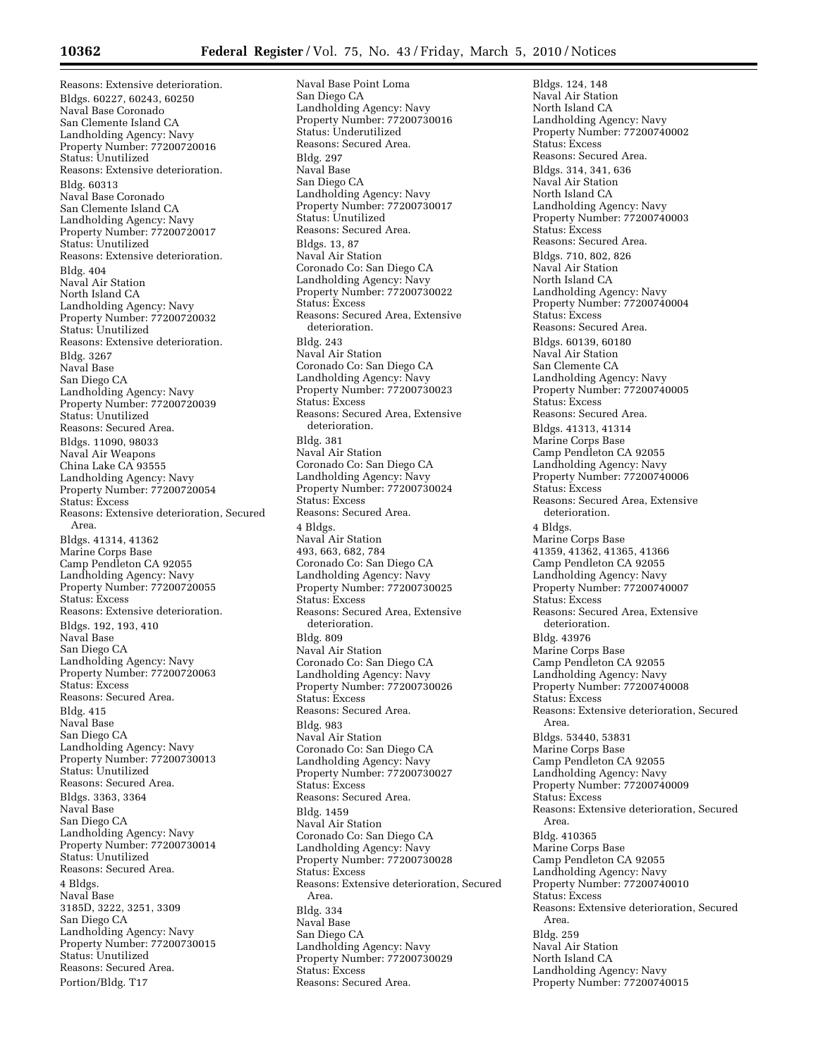Reasons: Extensive deterioration. Bldgs. 60227, 60243, 60250 Naval Base Coronado San Clemente Island CA Landholding Agency: Navy Property Number: 77200720016 Status: Unutilized Reasons: Extensive deterioration. Bldg. 60313 Naval Base Coronado San Clemente Island CA Landholding Agency: Navy Property Number: 77200720017 Status: Unutilized Reasons: Extensive deterioration. Bldg. 404 Naval Air Station North Island CA Landholding Agency: Navy Property Number: 77200720032 Status: Unutilized Reasons: Extensive deterioration. Bldg. 3267 Naval Base San Diego CA Landholding Agency: Navy Property Number: 77200720039 Status: Unutilized Reasons: Secured Area. Bldgs. 11090, 98033 Naval Air Weapons China Lake CA 93555 Landholding Agency: Navy Property Number: 77200720054 Status: Excess Reasons: Extensive deterioration, Secured Area. Bldgs. 41314, 41362 Marine Corps Base Camp Pendleton CA 92055 Landholding Agency: Navy Property Number: 77200720055 Status: Excess Reasons: Extensive deterioration. Bldgs. 192, 193, 410 Naval Base San Diego CA Landholding Agency: Navy Property Number: 77200720063 Status: Excess Reasons: Secured Area. Bldg. 415 Naval Base San Diego CA Landholding Agency: Navy Property Number: 77200730013 Status: Unutilized Reasons: Secured Area. Bldgs. 3363, 3364 Naval Base San Diego CA Landholding Agency: Navy Property Number: 77200730014 Status: Unutilized Reasons: Secured Area. 4 Bldgs. Naval Base 3185D, 3222, 3251, 3309 San Diego CA Landholding Agency: Navy Property Number: 77200730015 Status: Unutilized Reasons: Secured Area. Portion/Bldg. T17

Naval Base Point Loma San Diego CA Landholding Agency: Navy Property Number: 77200730016 Status: Underutilized Reasons: Secured Area. Bldg. 297 Naval Base San Diego CA Landholding Agency: Navy Property Number: 77200730017 Status: Unutilized Reasons: Secured Area. Bldgs. 13, 87 Naval Air Station Coronado Co: San Diego CA Landholding Agency: Navy Property Number: 77200730022 Status: Excess Reasons: Secured Area, Extensive deterioration. Bldg. 243 Naval Air Station Coronado Co: San Diego CA Landholding Agency: Navy Property Number: 77200730023 Status: Excess Reasons: Secured Area, Extensive deterioration. Bldg. 381 Naval Air Station Coronado Co: San Diego CA Landholding Agency: Navy Property Number: 77200730024 Status: Excess Reasons: Secured Area. 4 Bldgs. Naval Air Station 493, 663, 682, 784 Coronado Co: San Diego CA Landholding Agency: Navy Property Number: 77200730025 Status: Excess Reasons: Secured Area, Extensive deterioration. Bldg. 809 Naval Air Station Coronado Co: San Diego CA Landholding Agency: Navy Property Number: 77200730026 Status: Excess Reasons: Secured Area. Bldg. 983 Naval Air Station Coronado Co: San Diego CA Landholding Agency: Navy Property Number: 77200730027 Status: Excess Reasons: Secured Area. Bldg. 1459 Naval Air Station Coronado Co: San Diego CA Landholding Agency: Navy Property Number: 77200730028 Status: Excess Reasons: Extensive deterioration, Secured Area. Bldg. 334 Naval Base San Diego CA Landholding Agency: Navy Property Number: 77200730029 Status: Excess Reasons: Secured Area.

Bldgs. 124, 148 Naval Air Station North Island CA Landholding Agency: Navy Property Number: 77200740002 Status: Excess Reasons: Secured Area. Bldgs. 314, 341, 636 Naval Air Station North Island CA Landholding Agency: Navy Property Number: 77200740003 Status: Excess Reasons: Secured Area. Bldgs. 710, 802, 826 Naval Air Station North Island CA Landholding Agency: Navy Property Number: 77200740004 Status: Excess Reasons: Secured Area. Bldgs. 60139, 60180 Naval Air Station San Clemente CA Landholding Agency: Navy Property Number: 77200740005 Status: Excess Reasons: Secured Area. Bldgs. 41313, 41314 Marine Corps Base Camp Pendleton CA 92055 Landholding Agency: Navy Property Number: 77200740006 Status: Excess Reasons: Secured Area, Extensive deterioration. 4 Bldgs. Marine Corps Base 41359, 41362, 41365, 41366 Camp Pendleton CA 92055 Landholding Agency: Navy Property Number: 77200740007 Status: Excess Reasons: Secured Area, Extensive deterioration. Bldg. 43976 Marine Corps Base Camp Pendleton CA 92055 Landholding Agency: Navy Property Number: 77200740008 Status: Excess Reasons: Extensive deterioration, Secured Area. Bldgs. 53440, 53831 Marine Corps Base Camp Pendleton CA 92055 Landholding Agency: Navy Property Number: 77200740009 Status: Excess Reasons: Extensive deterioration, Secured Area. Bldg. 410365 Marine Corps Base Camp Pendleton CA 92055 Landholding Agency: Navy Property Number: 77200740010 Status: Excess Reasons: Extensive deterioration, Secured Area. Bldg. 259 Naval Air Station North Island CA Landholding Agency: Navy Property Number: 77200740015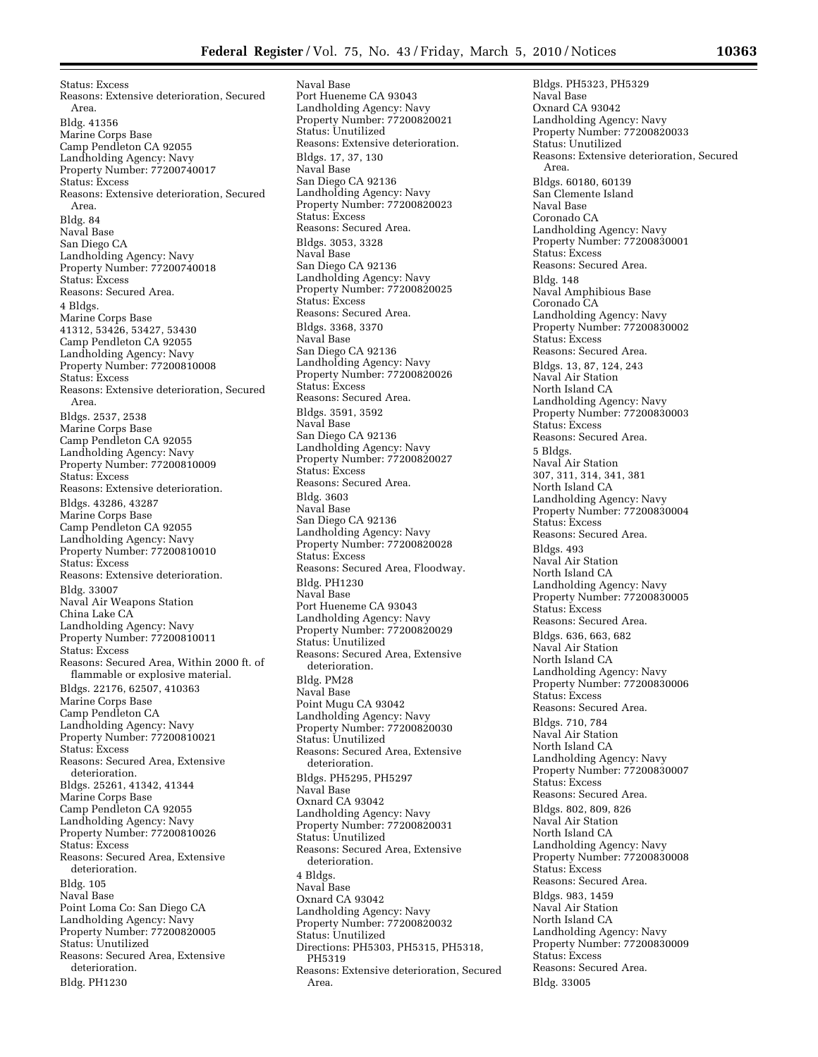Status: Excess Reasons: Extensive deterioration, Secured Area. Bldg. 41356 Marine Corps Base Camp Pendleton CA 92055 Landholding Agency: Navy Property Number: 77200740017 Status: Excess Reasons: Extensive deterioration, Secured Area. Bldg. 84 Naval Base San Diego CA Landholding Agency: Navy Property Number: 77200740018 Status: Excess Reasons: Secured Area. 4 Bldgs. Marine Corps Base 41312, 53426, 53427, 53430 Camp Pendleton CA 92055 Landholding Agency: Navy Property Number: 77200810008 Status: Excess Reasons: Extensive deterioration, Secured Area. Bldgs. 2537, 2538 Marine Corps Base Camp Pendleton CA 92055 Landholding Agency: Navy Property Number: 77200810009 Status: Excess Reasons: Extensive deterioration. Bldgs. 43286, 43287 Marine Corps Base Camp Pendleton CA 92055 Landholding Agency: Navy Property Number: 77200810010 Status: Excess Reasons: Extensive deterioration. Bldg. 33007 Naval Air Weapons Station China Lake CA Landholding Agency: Navy Property Number: 77200810011 Status: Excess Reasons: Secured Area, Within 2000 ft. of flammable or explosive material. Bldgs. 22176, 62507, 410363 Marine Corps Base Camp Pendleton CA Landholding Agency: Navy Property Number: 77200810021 Status: Excess Reasons: Secured Area, Extensive deterioration. Bldgs. 25261, 41342, 41344 Marine Corps Base Camp Pendleton CA 92055 Landholding Agency: Navy Property Number: 77200810026 Status: Excess Reasons: Secured Area, Extensive deterioration. Bldg. 105 Naval Base Point Loma Co: San Diego CA Landholding Agency: Navy Property Number: 77200820005 Status: Unutilized Reasons: Secured Area, Extensive deterioration. Bldg. PH1230

Naval Base Port Hueneme CA 93043 Landholding Agency: Navy Property Number: 77200820021 Status: Unutilized Reasons: Extensive deterioration. Bldgs. 17, 37, 130 Naval Base San Diego CA 92136 Landholding Agency: Navy Property Number: 77200820023 Status: Excess Reasons: Secured Area. Bldgs. 3053, 3328 Naval Base San Diego CA 92136 Landholding Agency: Navy Property Number: 77200820025 Status: Excess Reasons: Secured Area. Bldgs. 3368, 3370 Naval Base San Diego CA 92136 Landholding Agency: Navy Property Number: 77200820026 Status: Excess Reasons: Secured Area. Bldgs. 3591, 3592 Naval Base San Diego CA 92136 Landholding Agency: Navy Property Number: 77200820027 Status: Excess Reasons: Secured Area. Bldg. 3603 Naval Base San Diego CA 92136 Landholding Agency: Navy Property Number: 77200820028 Status: Excess Reasons: Secured Area, Floodway. Bldg. PH1230 Naval Base Port Hueneme CA 93043 Landholding Agency: Navy Property Number: 77200820029 Status: Unutilized Reasons: Secured Area, Extensive deterioration. Bldg. PM28 Naval Base Point Mugu CA 93042 Landholding Agency: Navy Property Number: 77200820030 Status: Unutilized Reasons: Secured Area, Extensive deterioration. Bldgs. PH5295, PH5297 Naval Base Oxnard CA 93042 Landholding Agency: Navy Property Number: 77200820031 Status: Unutilized Reasons: Secured Area, Extensive deterioration. 4 Bldgs. Naval Base Oxnard CA 93042 Landholding Agency: Navy Property Number: 77200820032 Status: Unutilized Directions: PH5303, PH5315, PH5318, PH5319 Reasons: Extensive deterioration, Secured Area.

Bldgs. PH5323, PH5329 Naval Base Oxnard CA 93042 Landholding Agency: Navy Property Number: 77200820033 Status: Unutilized Reasons: Extensive deterioration, Secured Area. Bldgs. 60180, 60139 San Clemente Island Naval Base Coronado CA Landholding Agency: Navy Property Number: 77200830001 Status: Excess Reasons: Secured Area. Bldg. 148 Naval Amphibious Base Coronado CA Landholding Agency: Navy Property Number: 77200830002 Status: Excess Reasons: Secured Area. Bldgs. 13, 87, 124, 243 Naval Air Station North Island CA Landholding Agency: Navy Property Number: 77200830003 Status: Excess Reasons: Secured Area. 5 Bldgs. Naval Air Station 307, 311, 314, 341, 381 North Island CA Landholding Agency: Navy Property Number: 77200830004 Status: Excess Reasons: Secured Area. Bldgs. 493 Naval Air Station North Island CA Landholding Agency: Navy Property Number: 77200830005 Status: Excess Reasons: Secured Area. Bldgs. 636, 663, 682 Naval Air Station North Island CA Landholding Agency: Navy Property Number: 77200830006 Status: Excess Reasons: Secured Area. Bldgs. 710, 784 Naval Air Station North Island CA Landholding Agency: Navy Property Number: 77200830007 Status: Excess Reasons: Secured Area. Bldgs. 802, 809, 826 Naval Air Station North Island CA Landholding Agency: Navy Property Number: 77200830008 Status: Excess Reasons: Secured Area. Bldgs. 983, 1459 Naval Air Station North Island CA Landholding Agency: Navy Property Number: 77200830009 Status: Excess Reasons: Secured Area. Bldg. 33005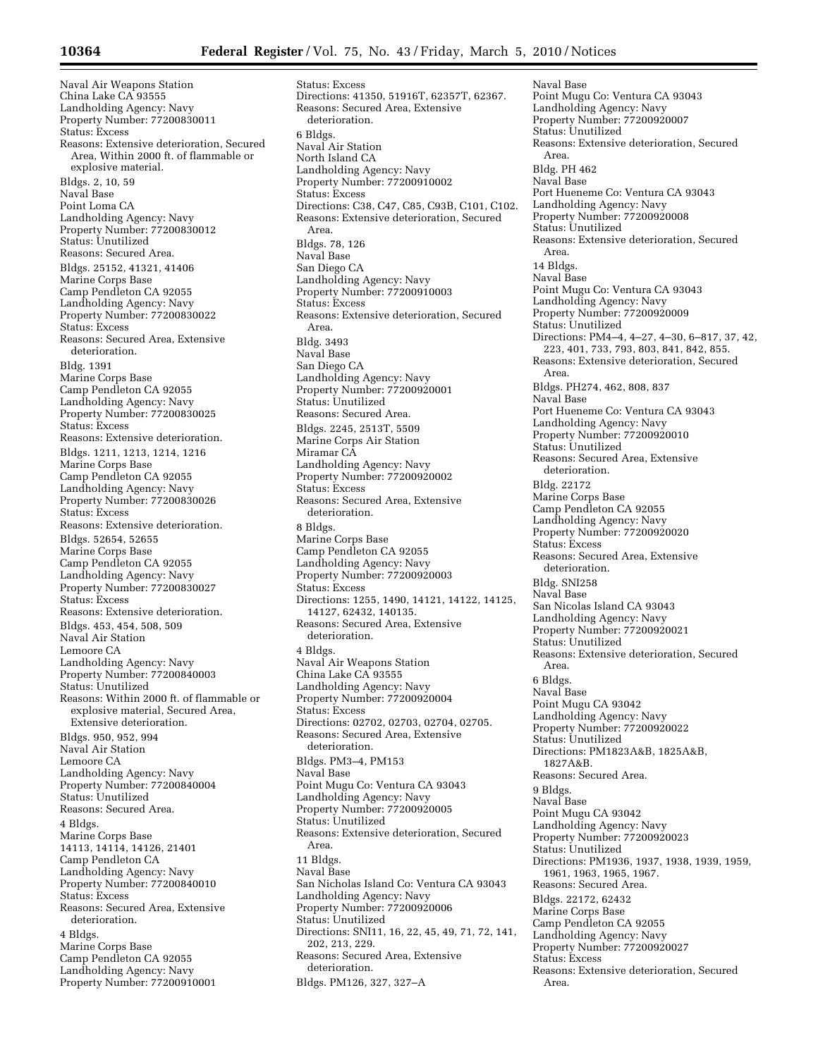Naval Air Weapons Station China Lake CA 93555 Landholding Agency: Navy Property Number: 77200830011 Status: Excess Reasons: Extensive deterioration, Secured Area, Within 2000 ft. of flammable or explosive material. Bldgs. 2, 10, 59 Naval Base Point Loma CA Landholding Agency: Navy Property Number: 77200830012 Status: Unutilized Reasons: Secured Area. Bldgs. 25152, 41321, 41406 Marine Corps Base Camp Pendleton CA 92055 Landholding Agency: Navy Property Number: 77200830022 Status: Excess Reasons: Secured Area, Extensive deterioration. Bldg. 1391 Marine Corps Base Camp Pendleton CA 92055 Landholding Agency: Navy Property Number: 77200830025 Status: Excess Reasons: Extensive deterioration. Bldgs. 1211, 1213, 1214, 1216 Marine Corps Base Camp Pendleton CA 92055 Landholding Agency: Navy Property Number: 77200830026 Status: Excess Reasons: Extensive deterioration. Bldgs. 52654, 52655 Marine Corps Base Camp Pendleton CA 92055 Landholding Agency: Navy Property Number: 77200830027 Status: Excess Reasons: Extensive deterioration. Bldgs. 453, 454, 508, 509 Naval Air Station Lemoore CA Landholding Agency: Navy Property Number: 77200840003 Status: Unutilized Reasons: Within 2000 ft. of flammable or explosive material, Secured Area, Extensive deterioration. Bldgs. 950, 952, 994 Naval Air Station Lemoore CA Landholding Agency: Navy Property Number: 77200840004 Status: Unutilized Reasons: Secured Area. 4 Bldgs. Marine Corps Base 14113, 14114, 14126, 21401 Camp Pendleton CA Landholding Agency: Navy Property Number: 77200840010 Status: Excess Reasons: Secured Area, Extensive deterioration. 4 Bldgs. Marine Corps Base Camp Pendleton CA 92055 Landholding Agency: Navy Property Number: 77200910001

Status: Excess Directions: 41350, 51916T, 62357T, 62367. Reasons: Secured Area, Extensive deterioration. 6 Bldgs. Naval Air Station North Island CA Landholding Agency: Navy Property Number: 77200910002 Status: Excess Directions: C38, C47, C85, C93B, C101, C102. Reasons: Extensive deterioration, Secured Area. Bldgs. 78, 126 Naval Base San Diego CA Landholding Agency: Navy Property Number: 77200910003 Status: Excess Reasons: Extensive deterioration, Secured Area. Bldg. 3493 Naval Base San Diego CA Landholding Agency: Navy Property Number: 77200920001 Status: Unutilized Reasons: Secured Area. Bldgs. 2245, 2513T, 5509 Marine Corps Air Station Miramar CA Landholding Agency: Navy Property Number: 77200920002 Status: Excess Reasons: Secured Area, Extensive deterioration. 8 Bldgs. Marine Corps Base Camp Pendleton CA 92055 Landholding Agency: Navy Property Number: 77200920003 Status: Excess Directions: 1255, 1490, 14121, 14122, 14125, 14127, 62432, 140135. Reasons: Secured Area, Extensive deterioration. 4 Bldgs. Naval Air Weapons Station China Lake CA 93555 Landholding Agency: Navy Property Number: 77200920004 Status: Excess Directions: 02702, 02703, 02704, 02705. Reasons: Secured Area, Extensive deterioration. Bldgs. PM3–4, PM153 Naval Base Point Mugu Co: Ventura CA 93043 Landholding Agency: Navy Property Number: 77200920005 Status: Unutilized Reasons: Extensive deterioration, Secured Area. 11 Bldgs. Naval Base San Nicholas Island Co: Ventura CA 93043 Landholding Agency: Navy Property Number: 77200920006 Status: Unutilized Directions: SNI11, 16, 22, 45, 49, 71, 72, 141, 202, 213, 229. Reasons: Secured Area, Extensive deterioration. Bldgs. PM126, 327, 327–A

Naval Base Point Mugu Co: Ventura CA 93043 Landholding Agency: Navy Property Number: 77200920007 Status: Unutilized Reasons: Extensive deterioration, Secured Area. Bldg. PH 462 Naval Base Port Hueneme Co: Ventura CA 93043 Landholding Agency: Navy Property Number: 77200920008 Status: Unutilized Reasons: Extensive deterioration, Secured Area. 14 Bldgs. Naval Base Point Mugu Co: Ventura CA 93043 Landholding Agency: Navy Property Number: 77200920009 Status: Unutilized Directions: PM4–4, 4–27, 4–30, 6–817, 37, 42, 223, 401, 733, 793, 803, 841, 842, 855. Reasons: Extensive deterioration, Secured Area. Bldgs. PH274, 462, 808, 837 Naval Base Port Hueneme Co: Ventura CA 93043 Landholding Agency: Navy Property Number: 77200920010 Status: Unutilized Reasons: Secured Area, Extensive deterioration. Bldg. 22172 Marine Corps Base Camp Pendleton CA 92055 Landholding Agency: Navy Property Number: 77200920020 Status: Excess Reasons: Secured Area, Extensive deterioration. Bldg. SNI258 Naval Base San Nicolas Island CA 93043 Landholding Agency: Navy Property Number: 77200920021 Status: Unutilized Reasons: Extensive deterioration, Secured Area. 6 Bldgs. Naval Base Point Mugu CA 93042 Landholding Agency: Navy Property Number: 77200920022 Status: Unutilized Directions: PM1823A&B, 1825A&B, 1827A&B. Reasons: Secured Area. 9 Bldgs. Naval Base Point Mugu CA 93042 Landholding Agency: Navy Property Number: 77200920023 Status: Unutilized Directions: PM1936, 1937, 1938, 1939, 1959, 1961, 1963, 1965, 1967. Reasons: Secured Area. Bldgs. 22172, 62432 Marine Corps Base Camp Pendleton CA 92055 Landholding Agency: Navy Property Number: 77200920027 Status: Excess Reasons: Extensive deterioration, Secured Area.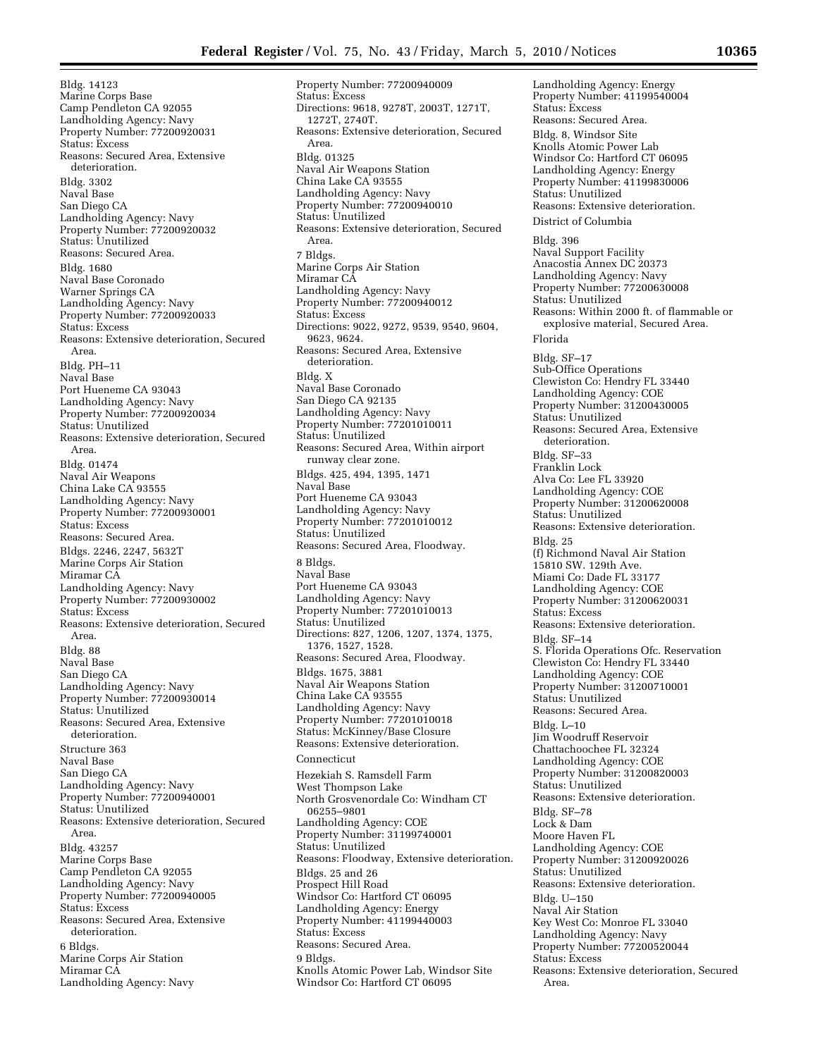Bldg. 14123 Marine Corps Base Camp Pendleton CA 92055 Landholding Agency: Navy Property Number: 77200920031 Status: Excess Reasons: Secured Area, Extensive deterioration. Bldg. 3302 Naval Base San Diego CA Landholding Agency: Navy Property Number: 77200920032 Status: Unutilized Reasons: Secured Area. Bldg. 1680 Naval Base Coronado Warner Springs CA Landholding Agency: Navy Property Number: 77200920033 Status: Excess Reasons: Extensive deterioration, Secured Area. Bldg. PH–11 Naval Base Port Hueneme CA 93043 Landholding Agency: Navy Property Number: 77200920034 Status: Unutilized Reasons: Extensive deterioration, Secured Area. Bldg. 01474 Naval Air Weapons China Lake CA 93555 Landholding Agency: Navy Property Number: 77200930001 Status: Excess Reasons: Secured Area. Bldgs. 2246, 2247, 5632T Marine Corps Air Station Miramar CA Landholding Agency: Navy Property Number: 77200930002 Status: Excess Reasons: Extensive deterioration, Secured Area. Bldg. 88 Naval Base San Diego CA Landholding Agency: Navy Property Number: 77200930014 Status: Unutilized Reasons: Secured Area, Extensive deterioration. Structure 363 Naval Base San Diego CA Landholding Agency: Navy Property Number: 77200940001 Status: Unutilized Reasons: Extensive deterioration, Secured Area. Bldg. 43257 Marine Corps Base Camp Pendleton CA 92055 Landholding Agency: Navy Property Number: 77200940005 Status: Excess Reasons: Secured Area, Extensive deterioration. 6 Bldgs. Marine Corps Air Station Miramar CA

Landholding Agency: Navy

Property Number: 77200940009 Status: Excess Directions: 9618, 9278T, 2003T, 1271T, 1272T, 2740T. Reasons: Extensive deterioration, Secured Area. Bldg. 01325 Naval Air Weapons Station China Lake CA 93555 Landholding Agency: Navy Property Number: 77200940010 Status: Unutilized Reasons: Extensive deterioration, Secured Area. 7 Bldgs. Marine Corps Air Station Miramar CA Landholding Agency: Navy Property Number: 77200940012 Status: Excess Directions: 9022, 9272, 9539, 9540, 9604, 9623, 9624. Reasons: Secured Area, Extensive deterioration. Bldg. X Naval Base Coronado San Diego CA 92135 Landholding Agency: Navy Property Number: 77201010011 Status: Unutilized Reasons: Secured Area, Within airport runway clear zone. Bldgs. 425, 494, 1395, 1471 Naval Base Port Hueneme CA 93043 Landholding Agency: Navy Property Number: 77201010012 Status: Unutilized Reasons: Secured Area, Floodway. 8 Bldgs. Naval Base Port Hueneme CA 93043 Landholding Agency: Navy Property Number: 77201010013 Status: Unutilized Directions: 827, 1206, 1207, 1374, 1375, 1376, 1527, 1528. Reasons: Secured Area, Floodway. Bldgs. 1675, 3881 Naval Air Weapons Station China Lake CA 93555 Landholding Agency: Navy Property Number: 77201010018 Status: McKinney/Base Closure Reasons: Extensive deterioration. Connecticut Hezekiah S. Ramsdell Farm West Thompson Lake North Grosvenordale Co: Windham CT 06255–9801 Landholding Agency: COE Property Number: 31199740001 Status: Unutilized Reasons: Floodway, Extensive deterioration. Bldgs. 25 and 26 Prospect Hill Road Windsor Co: Hartford CT 06095 Landholding Agency: Energy Property Number: 41199440003 Status: Excess Reasons: Secured Area. 9 Bldgs. Knolls Atomic Power Lab, Windsor Site Windsor Co: Hartford CT 06095

Landholding Agency: Energy Property Number: 41199540004 Status: Excess Reasons: Secured Area. Bldg. 8, Windsor Site Knolls Atomic Power Lab Windsor Co: Hartford CT 06095 Landholding Agency: Energy Property Number: 41199830006 Status: Unutilized Reasons: Extensive deterioration. District of Columbia Bldg. 396 Naval Support Facility Anacostia Annex DC 20373 Landholding Agency: Navy Property Number: 77200630008 Status: Unutilized Reasons: Within 2000 ft. of flammable or explosive material, Secured Area. Florida Bldg. SF–17 Sub-Office Operations Clewiston Co: Hendry FL 33440 Landholding Agency: COE Property Number: 31200430005 Status: Unutilized Reasons: Secured Area, Extensive deterioration. Bldg. SF–33 Franklin Lock Alva Co: Lee FL 33920 Landholding Agency: COE Property Number: 31200620008 Status: Unutilized Reasons: Extensive deterioration. Bldg. 25 (f) Richmond Naval Air Station 15810 SW. 129th Ave. Miami Co: Dade FL 33177 Landholding Agency: COE Property Number: 31200620031 Status: Excess Reasons: Extensive deterioration. Bldg. SF–14 S. Florida Operations Ofc. Reservation Clewiston Co: Hendry FL 33440 Landholding Agency: COE Property Number: 31200710001 Status: Unutilized Reasons: Secured Area. Bldg. L–10 Jim Woodruff Reservoir Chattachoochee FL 32324 Landholding Agency: COE Property Number: 31200820003 Status: Unutilized Reasons: Extensive deterioration. Bldg. SF–78 Lock & Dam Moore Haven FL Landholding Agency: COE Property Number: 31200920026 Status: Unutilized Reasons: Extensive deterioration. Bldg. U–150 Naval Air Station Key West Co: Monroe FL 33040 Landholding Agency: Navy Property Number: 77200520044 Status: Excess Reasons: Extensive deterioration, Secured Area.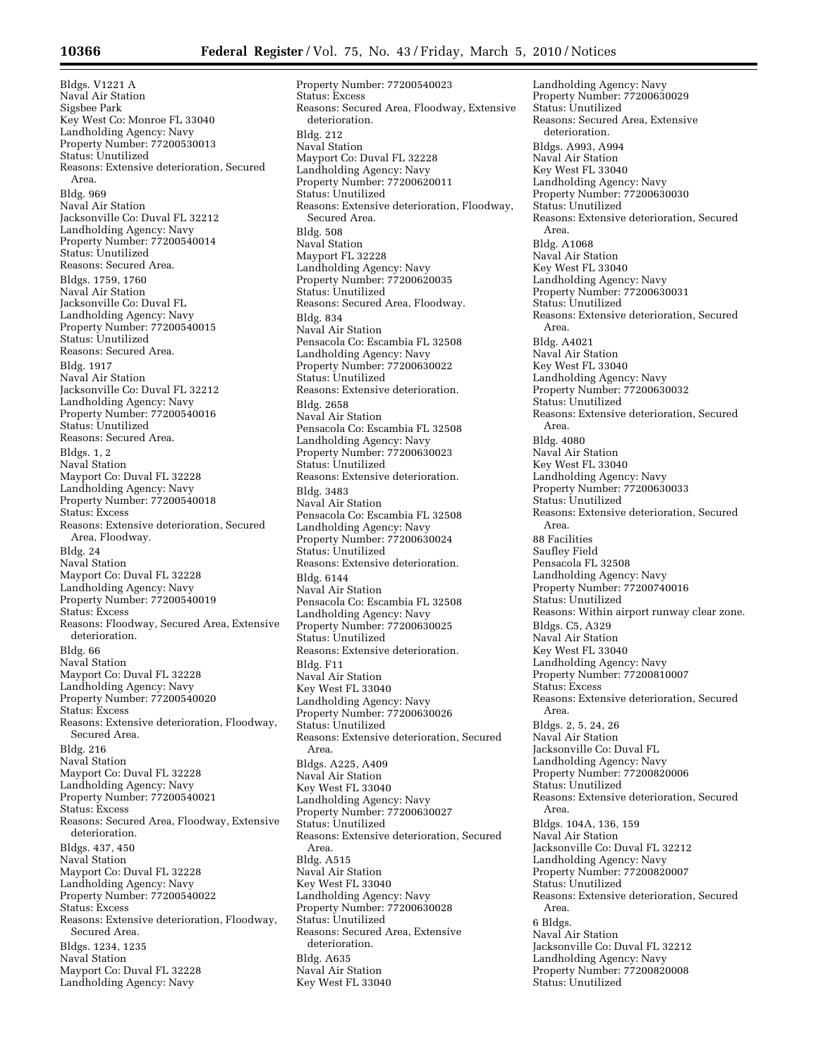Bldgs. V1221 A Naval Air Station Sigsbee Park Key West Co: Monroe FL 33040 Landholding Agency: Navy Property Number: 77200530013 Status: Unutilized Reasons: Extensive deterioration, Secured Area. Bldg. 969 Naval Air Station Jacksonville Co: Duval FL 32212 Landholding Agency: Navy Property Number: 77200540014 Status: Unutilized Reasons: Secured Area. Bldgs. 1759, 1760 Naval Air Station Jacksonville Co: Duval FL Landholding Agency: Navy Property Number: 77200540015 Status: Unutilized Reasons: Secured Area. Bldg. 1917 Naval Air Station Jacksonville Co: Duval FL 32212 Landholding Agency: Navy Property Number: 77200540016 Status: Unutilized Reasons: Secured Area. Bldgs. 1, 2 Naval Station Mayport Co: Duval FL 32228 Landholding Agency: Navy Property Number: 77200540018 Status: Excess Reasons: Extensive deterioration, Secured Area, Floodway. Bldg. 24 Naval Station Mayport Co: Duval FL 32228 Landholding Agency: Navy Property Number: 77200540019 Status: Excess Reasons: Floodway, Secured Area, Extensive deterioration. Bldg. 66 Naval Station Mayport Co: Duval FL 32228 Landholding Agency: Navy Property Number: 77200540020 Status: Excess Reasons: Extensive deterioration, Floodway, Secured Area. Bldg. 216 Naval Station Mayport Co: Duval FL 32228 Landholding Agency: Navy Property Number: 77200540021 Status: Excess Reasons: Secured Area, Floodway, Extensive deterioration. Bldgs. 437, 450 Naval Station Mayport Co: Duval FL 32228 Landholding Agency: Navy Property Number: 77200540022 Status: Excess Reasons: Extensive deterioration, Floodway, Secured Area. Bldgs. 1234, 1235 Naval Station Mayport Co: Duval FL 32228 Landholding Agency: Navy

Property Number: 77200540023 Status: Excess Reasons: Secured Area, Floodway, Extensive deterioration. Bldg. 212 Naval Station Mayport Co: Duval FL 32228 Landholding Agency: Navy Property Number: 77200620011 Status: Unutilized Reasons: Extensive deterioration, Floodway, Secured Area. Bldg. 508 Naval Station Mayport FL 32228 Landholding Agency: Navy Property Number: 77200620035 Status: Unutilized Reasons: Secured Area, Floodway. Bldg. 834 Naval Air Station Pensacola Co: Escambia FL 32508 Landholding Agency: Navy Property Number: 77200630022 Status: Unutilized Reasons: Extensive deterioration. Bldg. 2658 Naval Air Station Pensacola Co: Escambia FL 32508 Landholding Agency: Navy Property Number: 77200630023 Status: Unutilized Reasons: Extensive deterioration. Bldg. 3483 Naval Air Station Pensacola Co: Escambia FL 32508 Landholding Agency: Navy Property Number: 77200630024 Status: Unutilized Reasons: Extensive deterioration. Bldg. 6144 Naval Air Station Pensacola Co: Escambia FL 32508 Landholding Agency: Navy Property Number: 77200630025 Status: Unutilized Reasons: Extensive deterioration. Bldg. F11 Naval Air Station Key West FL 33040 Landholding Agency: Navy Property Number: 77200630026 Status: Unutilized Reasons: Extensive deterioration, Secured Area. Bldgs. A225, A409 Naval Air Station Key West FL 33040 Landholding Agency: Navy Property Number: 77200630027 Status: Unutilized Reasons: Extensive deterioration, Secured Area. Bldg. A515 Naval Air Station Key West FL 33040 Landholding Agency: Navy Property Number: 77200630028 Status: Unutilized Reasons: Secured Area, Extensive deterioration. Bldg. A635 Naval Air Station Key West FL 33040

Landholding Agency: Navy Property Number: 77200630029 Status: Unutilized Reasons: Secured Area, Extensive deterioration. Bldgs. A993, A994 Naval Air Station Key West FL 33040 Landholding Agency: Navy Property Number: 77200630030 Status: Unutilized Reasons: Extensive deterioration, Secured Area. Bldg. A1068 Naval Air Station Key West FL 33040 Landholding Agency: Navy Property Number: 77200630031 Status: Unutilized Reasons: Extensive deterioration, Secured Area. Bldg. A4021 Naval Air Station Key West FL 33040 Landholding Agency: Navy Property Number: 77200630032 Status: Unutilized Reasons: Extensive deterioration, Secured Area. Bldg. 4080 Naval Air Station Key West FL 33040 Landholding Agency: Navy Property Number: 77200630033 Status: Unutilized Reasons: Extensive deterioration, Secured Area. 88 Facilities Saufley Field Pensacola FL 32508 Landholding Agency: Navy Property Number: 77200740016 Status: Unutilized Reasons: Within airport runway clear zone. Bldgs. C5, A329 Naval Air Station Key West FL 33040 Landholding Agency: Navy Property Number: 77200810007 Status: Excess Reasons: Extensive deterioration, Secured Area. Bldgs. 2, 5, 24, 26 Naval Air Station Jacksonville Co: Duval FL Landholding Agency: Navy Property Number: 77200820006 Status: Unutilized Reasons: Extensive deterioration, Secured Area. Bldgs. 104A, 136, 159 Naval Air Station Jacksonville Co: Duval FL 32212 Landholding Agency: Navy Property Number: 77200820007 Status: Unutilized Reasons: Extensive deterioration, Secured Area. 6 Bldgs. Naval Air Station Jacksonville Co: Duval FL 32212 Landholding Agency: Navy Property Number: 77200820008 Status: Unutilized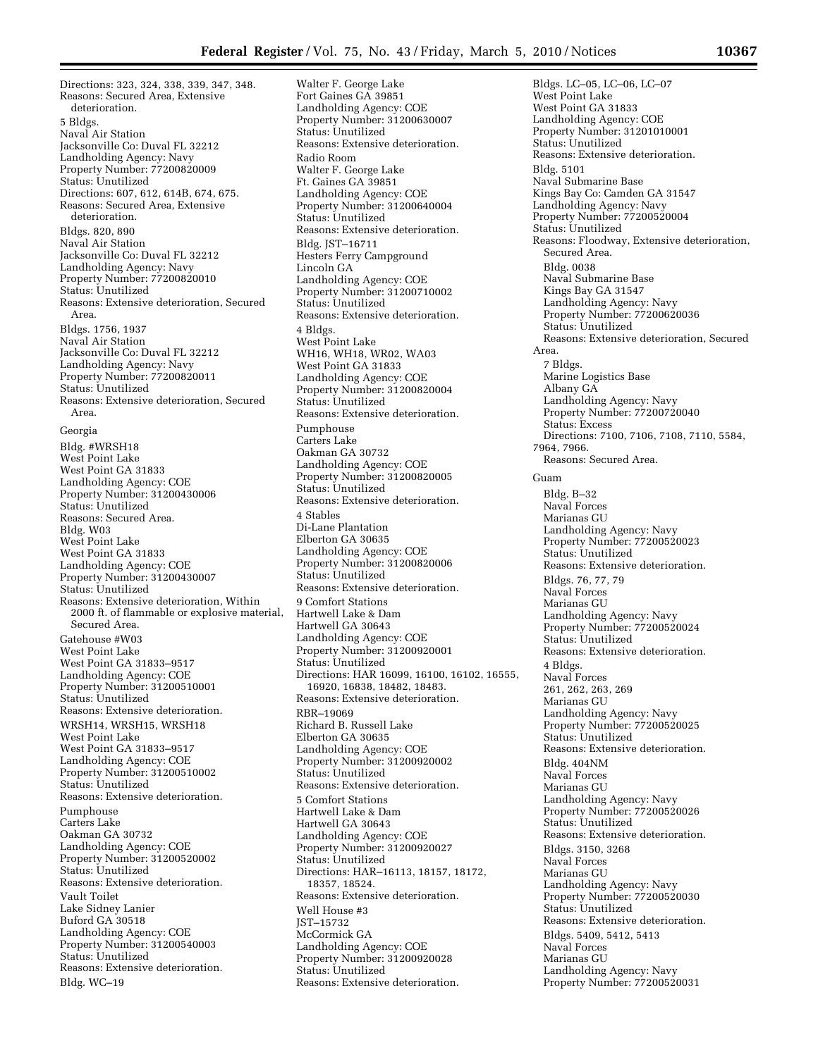Directions: 323, 324, 338, 339, 347, 348. Reasons: Secured Area, Extensive deterioration. 5 Bldgs. Naval Air Station Jacksonville Co: Duval FL 32212 Landholding Agency: Navy Property Number: 77200820009 Status: Unutilized Directions: 607, 612, 614B, 674, 675. Reasons: Secured Area, Extensive deterioration. Bldgs. 820, 890 Naval Air Station Jacksonville Co: Duval FL 32212 Landholding Agency: Navy Property Number: 77200820010 Status: Unutilized Reasons: Extensive deterioration, Secured Area. Bldgs. 1756, 1937 Naval Air Station Jacksonville Co: Duval FL 32212 Landholding Agency: Navy Property Number: 77200820011 Status: Unutilized Reasons: Extensive deterioration, Secured Area. Georgia Bldg. #WRSH18 West Point Lake West Point GA 31833 Landholding Agency: COE Property Number: 31200430006 Status: Unutilized Reasons: Secured Area. Bldg. W03 West Point Lake West Point GA 31833 Landholding Agency: COE Property Number: 31200430007 Status: Unutilized Reasons: Extensive deterioration, Within 2000 ft. of flammable or explosive material, Secured Area. Gatehouse #W03 West Point Lake West Point GA 31833–9517 Landholding Agency: COE Property Number: 31200510001 Status: Unutilized Reasons: Extensive deterioration. WRSH14, WRSH15, WRSH18 West Point Lake West Point GA 31833–9517 Landholding Agency: COE Property Number: 31200510002 Status: Unutilized Reasons: Extensive deterioration. Pumphouse Carters Lake Oakman GA 30732 Landholding Agency: COE Property Number: 31200520002 Status: Unutilized Reasons: Extensive deterioration. Vault Toilet Lake Sidney Lanier Buford GA 30518 Landholding Agency: COE Property Number: 31200540003 Status: Unutilized Reasons: Extensive deterioration. Bldg. WC–19

Walter F. George Lake Fort Gaines GA 39851 Landholding Agency: COE Property Number: 31200630007 Status: Unutilized Reasons: Extensive deterioration. Radio Room Walter F. George Lake Ft. Gaines GA 39851 Landholding Agency: COE Property Number: 31200640004 Status: Unutilized Reasons: Extensive deterioration. Bldg. JST–16711 Hesters Ferry Campground Lincoln GA Landholding Agency: COE Property Number: 31200710002 Status: Unutilized Reasons: Extensive deterioration. 4 Bldgs. West Point Lake WH16, WH18, WR02, WA03 West Point GA 31833 Landholding Agency: COE Property Number: 31200820004 Status: Unutilized Reasons: Extensive deterioration. Pumphouse Carters Lake Oakman GA 30732 Landholding Agency: COE Property Number: 31200820005 Status: Unutilized Reasons: Extensive deterioration. 4 Stables Di-Lane Plantation Elberton GA 30635 Landholding Agency: COE Property Number: 31200820006 Status: Unutilized Reasons: Extensive deterioration. 9 Comfort Stations Hartwell Lake & Dam Hartwell GA 30643 Landholding Agency: COE Property Number: 31200920001 Status: Unutilized Directions: HAR 16099, 16100, 16102, 16555, 16920, 16838, 18482, 18483. Reasons: Extensive deterioration. RBR–19069 Richard B. Russell Lake Elberton GA 30635 Landholding Agency: COE Property Number: 31200920002 Status: Unutilized Reasons: Extensive deterioration. 5 Comfort Stations Hartwell Lake & Dam Hartwell GA 30643 Landholding Agency: COE Property Number: 31200920027 Status: Unutilized Directions: HAR–16113, 18157, 18172, 18357, 18524. Reasons: Extensive deterioration. Well House #3 JST–15732 McCormick GA Landholding Agency: COE Property Number: 31200920028 Status: Unutilized Reasons: Extensive deterioration.

Bldgs. LC–05, LC–06, LC–07 West Point Lake West Point GA 31833 Landholding Agency: COE Property Number: 31201010001 Status: Unutilized Reasons: Extensive deterioration. Bldg. 5101 Naval Submarine Base Kings Bay Co: Camden GA 31547 Landholding Agency: Navy Property Number: 77200520004 Status: Unutilized Reasons: Floodway, Extensive deterioration, Secured Area. Bldg. 0038 Naval Submarine Base Kings Bay GA 31547 Landholding Agency: Navy Property Number: 77200620036 Status: Unutilized Reasons: Extensive deterioration, Secured Area. 7 Bldgs. Marine Logistics Base Albany GA Landholding Agency: Navy Property Number: 77200720040 Status: Excess Directions: 7100, 7106, 7108, 7110, 5584, 7964, 7966. Reasons: Secured Area. Guam Bldg. B–32 Naval Forces Marianas GU Landholding Agency: Navy Property Number: 77200520023 Status: Unutilized Reasons: Extensive deterioration. Bldgs. 76, 77, 79 Naval Forces Marianas GU Landholding Agency: Navy Property Number: 77200520024 Status: Unutilized Reasons: Extensive deterioration. 4 Bldgs. Naval Forces 261, 262, 263, 269 Marianas GU Landholding Agency: Navy Property Number: 77200520025 Status: Unutilized Reasons: Extensive deterioration. Bldg. 404NM Naval Forces Marianas GU Landholding Agency: Navy Property Number: 77200520026 Status: Unutilized Reasons: Extensive deterioration. Bldgs. 3150, 3268 Naval Forces Marianas GU Landholding Agency: Navy Property Number: 77200520030 Status: Unutilized Reasons: Extensive deterioration. Bldgs. 5409, 5412, 5413 Naval Forces Marianas GU Landholding Agency: Navy Property Number: 77200520031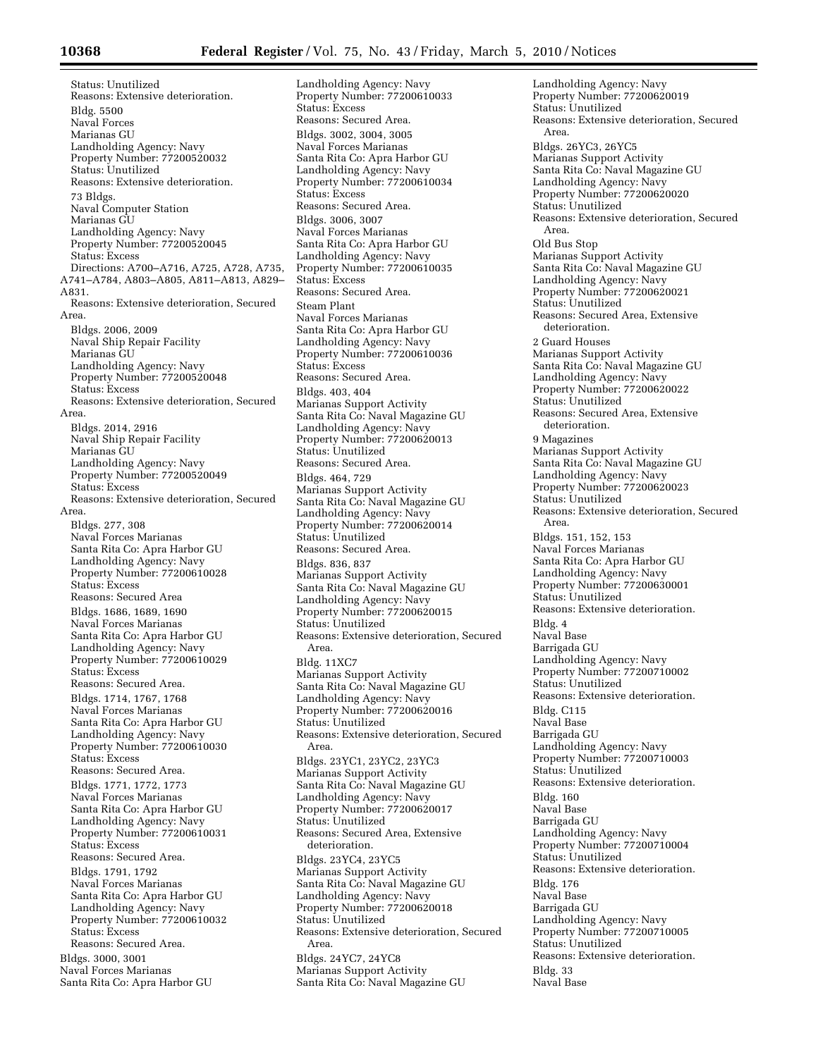Status: Unutilized Reasons: Extensive deterioration. Bldg. 5500 Naval Forces Marianas GU Landholding Agency: Navy Property Number: 77200520032 Status: Unutilized Reasons: Extensive deterioration. 73 Bldgs. Naval Computer Station Marianas GU Landholding Agency: Navy Property Number: 77200520045 Status: Excess Directions: A700–A716, A725, A728, A735, A741–A784, A803–A805, A811–A813, A829– A831. Reasons: Extensive deterioration, Secured Area. Bldgs. 2006, 2009 Naval Ship Repair Facility Marianas GU Landholding Agency: Navy Property Number: 77200520048 Status: Excess Reasons: Extensive deterioration, Secured Area. Bldgs. 2014, 2916 Naval Ship Repair Facility Marianas GU Landholding Agency: Navy Property Number: 77200520049 Status: Excess Reasons: Extensive deterioration, Secured Area. Bldgs. 277, 308 Naval Forces Marianas Santa Rita Co: Apra Harbor GU Landholding Agency: Navy Property Number: 77200610028 Status: Excess Reasons: Secured Area Bldgs. 1686, 1689, 1690 Naval Forces Marianas Santa Rita Co: Apra Harbor GU Landholding Agency: Navy Property Number: 77200610029 Status: Excess Reasons: Secured Area. Bldgs. 1714, 1767, 1768 Naval Forces Marianas Santa Rita Co: Apra Harbor GU Landholding Agency: Navy Property Number: 77200610030 Status: Excess Reasons: Secured Area. Bldgs. 1771, 1772, 1773 Naval Forces Marianas Santa Rita Co: Apra Harbor GU Landholding Agency: Navy Property Number: 77200610031 Status: Excess Reasons: Secured Area. Bldgs. 1791, 1792 Naval Forces Marianas Santa Rita Co: Apra Harbor GU Landholding Agency: Navy Property Number: 77200610032 Status: Excess Reasons: Secured Area. Bldgs. 3000, 3001 Naval Forces Marianas Santa Rita Co: Apra Harbor GU

Landholding Agency: Navy Property Number: 77200610033 Status: Excess Reasons: Secured Area. Bldgs. 3002, 3004, 3005 Naval Forces Marianas Santa Rita Co: Apra Harbor GU Landholding Agency: Navy Property Number: 77200610034 Status: Excess Reasons: Secured Area. Bldgs. 3006, 3007 Naval Forces Marianas Santa Rita Co: Apra Harbor GU Landholding Agency: Navy Property Number: 77200610035 Status: Excess Reasons: Secured Area. Steam Plant Naval Forces Marianas Santa Rita Co: Apra Harbor GU Landholding Agency: Navy Property Number: 77200610036 Status: Excess Reasons: Secured Area. Bldgs. 403, 404 Marianas Support Activity Santa Rita Co: Naval Magazine GU Landholding Agency: Navy Property Number: 77200620013 Status: Unutilized Reasons: Secured Area. Bldgs. 464, 729 Marianas Support Activity Santa Rita Co: Naval Magazine GU Landholding Agency: Navy Property Number: 77200620014 Status: Unutilized Reasons: Secured Area. Bldgs. 836, 837 Marianas Support Activity Santa Rita Co: Naval Magazine GU Landholding Agency: Navy Property Number: 77200620015 Status: Unutilized Reasons: Extensive deterioration, Secured Area. Bldg. 11XC7 Marianas Support Activity Santa Rita Co: Naval Magazine GU Landholding Agency: Navy Property Number: 77200620016 Status: Unutilized Reasons: Extensive deterioration, Secured Area. Bldgs. 23YC1, 23YC2, 23YC3 Marianas Support Activity Santa Rita Co: Naval Magazine GU Landholding Agency: Navy Property Number: 77200620017 Status: Unutilized Reasons: Secured Area, Extensive deterioration. Bldgs. 23YC4, 23YC5 Marianas Support Activity Santa Rita Co: Naval Magazine GU Landholding Agency: Navy Property Number: 77200620018 Status: Unutilized Reasons: Extensive deterioration, Secured Area. Bldgs. 24YC7, 24YC8 Marianas Support Activity Santa Rita Co: Naval Magazine GU

Landholding Agency: Navy Property Number: 77200620019 Status: Unutilized Reasons: Extensive deterioration, Secured Area. Bldgs. 26YC3, 26YC5 Marianas Support Activity Santa Rita Co: Naval Magazine GU Landholding Agency: Navy Property Number: 77200620020 Status: Unutilized Reasons: Extensive deterioration, Secured Area. Old Bus Stop Marianas Support Activity Santa Rita Co: Naval Magazine GU Landholding Agency: Navy Property Number: 77200620021 Status: Unutilized Reasons: Secured Area, Extensive deterioration. 2 Guard Houses Marianas Support Activity Santa Rita Co: Naval Magazine GU Landholding Agency: Navy Property Number: 77200620022 Status: Unutilized Reasons: Secured Area, Extensive deterioration. 9 Magazines Marianas Support Activity Santa Rita Co: Naval Magazine GU Landholding Agency: Navy Property Number: 77200620023 Status: Unutilized Reasons: Extensive deterioration, Secured Area. Bldgs. 151, 152, 153 Naval Forces Marianas Santa Rita Co: Apra Harbor GU Landholding Agency: Navy Property Number: 77200630001 Status: Unutilized Reasons: Extensive deterioration. Bldg. 4 Naval Base Barrigada GU Landholding Agency: Navy Property Number: 77200710002 Status: Unutilized Reasons: Extensive deterioration. Bldg. C115 Naval Base Barrigada GU Landholding Agency: Navy Property Number: 77200710003 Status: Unutilized Reasons: Extensive deterioration. Bldg. 160 Naval Base Barrigada GU Landholding Agency: Navy Property Number: 77200710004 Status: Unutilized Reasons: Extensive deterioration. Bldg. 176 Naval Base Barrigada GU Landholding Agency: Navy Property Number: 77200710005 Status: Unutilized Reasons: Extensive deterioration. Bldg. 33 Naval Base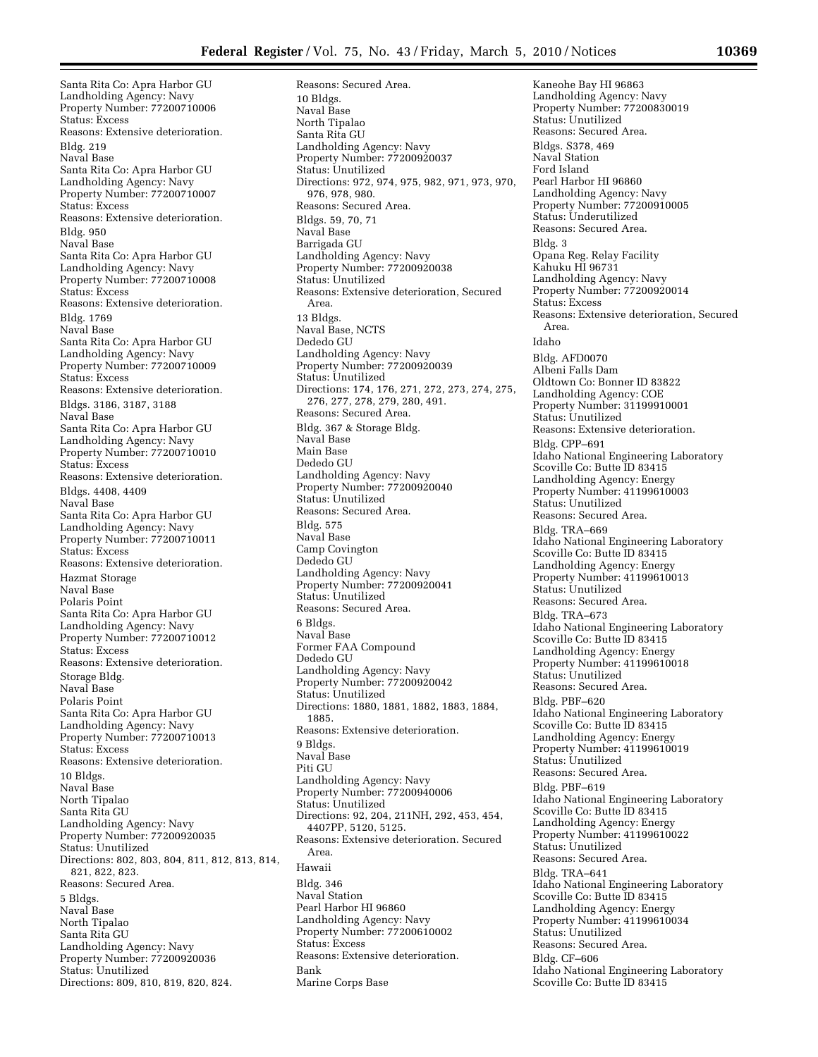Santa Rita Co: Apra Harbor GU Landholding Agency: Navy Property Number: 77200710006 Status: Excess Reasons: Extensive deterioration. Bldg. 219 Naval Base Santa Rita Co: Apra Harbor GU Landholding Agency: Navy Property Number: 77200710007 Status: Excess Reasons: Extensive deterioration. Bldg. 950 Naval Base Santa Rita Co: Apra Harbor GU Landholding Agency: Navy Property Number: 77200710008 Status: Excess Reasons: Extensive deterioration. Bldg. 1769 Naval Base Santa Rita Co: Apra Harbor GU Landholding Agency: Navy Property Number: 77200710009 Status: Excess Reasons: Extensive deterioration. Bldgs. 3186, 3187, 3188 Naval Base Santa Rita Co: Apra Harbor GU Landholding Agency: Navy Property Number: 77200710010 Status: Excess Reasons: Extensive deterioration. Bldgs. 4408, 4409 Naval Base Santa Rita Co: Apra Harbor GU Landholding Agency: Navy Property Number: 77200710011 Status: Excess Reasons: Extensive deterioration. Hazmat Storage Naval Base Polaris Point Santa Rita Co: Apra Harbor GU Landholding Agency: Navy Property Number: 77200710012 Status: Excess Reasons: Extensive deterioration. Storage Bldg. Naval Base Polaris Point Santa Rita Co: Apra Harbor GU Landholding Agency: Navy Property Number: 77200710013 Status: Excess Reasons: Extensive deterioration. 10 Bldgs. Naval Base North Tipalao Santa Rita GU Landholding Agency: Navy Property Number: 77200920035 Status: Unutilized Directions: 802, 803, 804, 811, 812, 813, 814, 821, 822, 823. Reasons: Secured Area. 5 Bldgs. Naval Base North Tipalao Santa Rita GU Landholding Agency: Navy Property Number: 77200920036 Status: Unutilized Directions: 809, 810, 819, 820, 824.

Reasons: Secured Area. 10 Bldgs. Naval Base North Tipalao Santa Rita GU Landholding Agency: Navy Property Number: 77200920037 Status: Unutilized Directions: 972, 974, 975, 982, 971, 973, 970, 976, 978, 980. Reasons: Secured Area. Bldgs. 59, 70, 71 Naval Base Barrigada GU Landholding Agency: Navy Property Number: 77200920038 Status: Unutilized Reasons: Extensive deterioration, Secured Area. 13 Bldgs. Naval Base, NCTS Dededo GU Landholding Agency: Navy Property Number: 77200920039 Status: Unutilized Directions: 174, 176, 271, 272, 273, 274, 275, 276, 277, 278, 279, 280, 491. Reasons: Secured Area. Bldg. 367 & Storage Bldg. Naval Base Main Base Dededo GU Landholding Agency: Navy Property Number: 77200920040 Status: Unutilized Reasons: Secured Area. Bldg. 575 Naval Base Camp Covington Dededo GU Landholding Agency: Navy Property Number: 77200920041 Status: Unutilized Reasons: Secured Area. 6 Bldgs. Naval Base Former FAA Compound Dededo GU Landholding Agency: Navy Property Number: 77200920042 Status: Unutilized Directions: 1880, 1881, 1882, 1883, 1884, 1885. Reasons: Extensive deterioration. 9 Bldgs. Naval Base Piti GU Landholding Agency: Navy Property Number: 77200940006 Status: Unutilized Directions: 92, 204, 211NH, 292, 453, 454, 4407PP, 5120, 5125. Reasons: Extensive deterioration. Secured Area. Hawaii Bldg. 346 Naval Station Pearl Harbor HI 96860 Landholding Agency: Navy Property Number: 77200610002 Status: Excess Reasons: Extensive deterioration. Bank Marine Corps Base

Kaneohe Bay HI 96863 Landholding Agency: Navy Property Number: 77200830019 Status: Unutilized Reasons: Secured Area. Bldgs. S378, 469 Naval Station Ford Island Pearl Harbor HI 96860 Landholding Agency: Navy Property Number: 77200910005 Status: Underutilized Reasons: Secured Area. Bldg. 3 Opana Reg. Relay Facility Kahuku HI 96731 Landholding Agency: Navy Property Number: 77200920014 Status: Excess Reasons: Extensive deterioration, Secured Area. Idaho Bldg. AFD0070 Albeni Falls Dam Oldtown Co: Bonner ID 83822 Landholding Agency: COE Property Number: 31199910001 Status: Unutilized Reasons: Extensive deterioration. Bldg. CPP–691 Idaho National Engineering Laboratory Scoville Co: Butte ID 83415 Landholding Agency: Energy Property Number: 41199610003 Status: Unutilized Reasons: Secured Area. Bldg. TRA–669 Idaho National Engineering Laboratory Scoville Co: Butte ID 83415 Landholding Agency: Energy Property Number: 41199610013 Status: Unutilized Reasons: Secured Area. Bldg. TRA–673 Idaho National Engineering Laboratory Scoville Co: Butte ID 83415 Landholding Agency: Energy Property Number: 41199610018 Status: Unutilized Reasons: Secured Area. Bldg. PBF–620 Idaho National Engineering Laboratory Scoville Co: Butte ID 83415 Landholding Agency: Energy Property Number: 41199610019 Status: Unutilized Reasons: Secured Area. Bldg. PBF–619 Idaho National Engineering Laboratory Scoville Co: Butte ID 83415 Landholding Agency: Energy Property Number: 41199610022 Status: Unutilized Reasons: Secured Area. Bldg. TRA–641 Idaho National Engineering Laboratory Scoville Co: Butte ID 83415 Landholding Agency: Energy Property Number: 41199610034 Status: Unutilized Reasons: Secured Area. Bldg. CF–606 Idaho National Engineering Laboratory Scoville Co: Butte ID 83415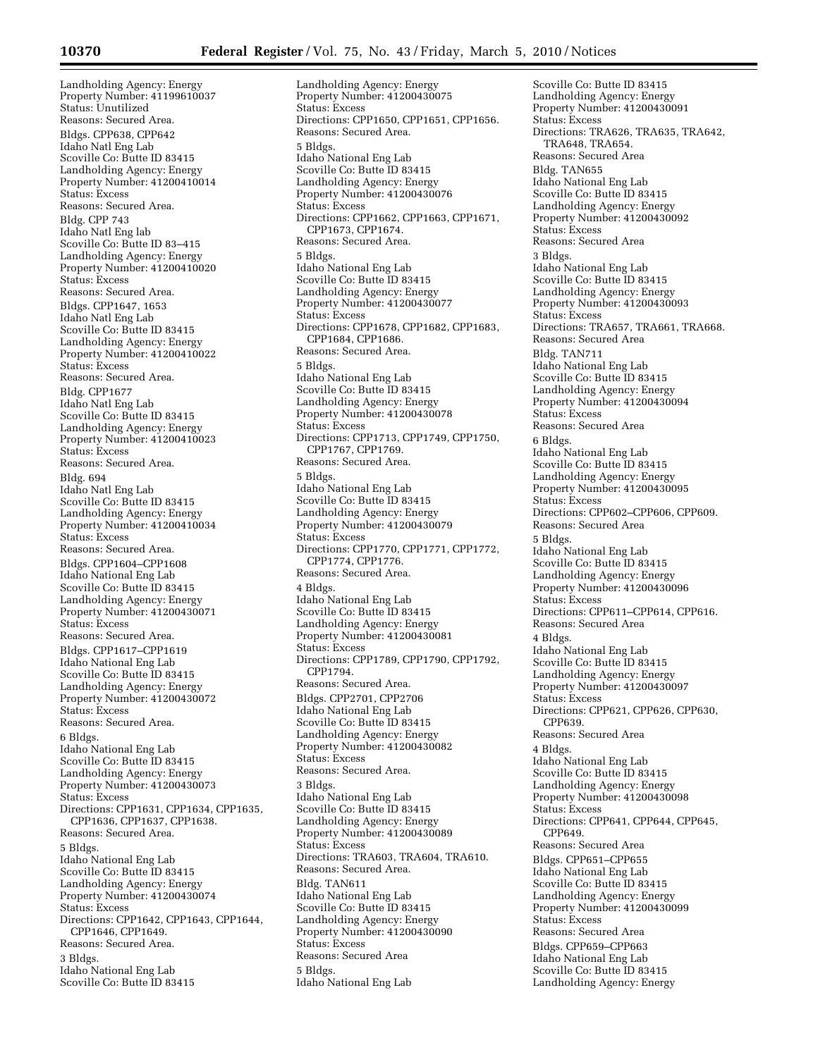Landholding Agency: Energy Property Number: 41199610037 Status: Unutilized Reasons: Secured Area. Bldgs. CPP638, CPP642 Idaho Natl Eng Lab Scoville Co: Butte ID 83415 Landholding Agency: Energy Property Number: 41200410014 Status: Excess Reasons: Secured Area. Bldg. CPP 743 Idaho Natl Eng lab Scoville Co: Butte ID 83–415 Landholding Agency: Energy Property Number: 41200410020 Status: Excess Reasons: Secured Area. Bldgs. CPP1647, 1653 Idaho Natl Eng Lab Scoville Co: Butte ID 83415 Landholding Agency: Energy Property Number: 41200410022 Status: Excess Reasons: Secured Area. Bldg. CPP1677 Idaho Natl Eng Lab Scoville Co: Butte ID 83415 Landholding Agency: Energy Property Number: 41200410023 Status: Excess Reasons: Secured Area. Bldg. 694 Idaho Natl Eng Lab Scoville Co: Butte ID 83415 Landholding Agency: Energy Property Number: 41200410034 Status: Excess Reasons: Secured Area. Bldgs. CPP1604–CPP1608 Idaho National Eng Lab Scoville Co: Butte ID 83415 Landholding Agency: Energy Property Number: 41200430071 Status: Excess Reasons: Secured Area. Bldgs. CPP1617–CPP1619 Idaho National Eng Lab Scoville Co: Butte ID 83415 Landholding Agency: Energy Property Number: 41200430072 Status: Excess Reasons: Secured Area. 6 Bldgs. Idaho National Eng Lab Scoville Co: Butte ID 83415 Landholding Agency: Energy Property Number: 41200430073 Status: Excess Directions: CPP1631, CPP1634, CPP1635, CPP1636, CPP1637, CPP1638. Reasons: Secured Area. 5 Bldgs. Idaho National Eng Lab Scoville Co: Butte ID 83415 Landholding Agency: Energy Property Number: 41200430074 Status: Excess Directions: CPP1642, CPP1643, CPP1644, CPP1646, CPP1649. Reasons: Secured Area. 3 Bldgs. Idaho National Eng Lab Scoville Co: Butte ID 83415

Landholding Agency: Energy Property Number: 41200430075 Status: Excess Directions: CPP1650, CPP1651, CPP1656. Reasons: Secured Area. 5 Bldgs. Idaho National Eng Lab Scoville Co: Butte ID 83415 Landholding Agency: Energy Property Number: 41200430076 Status: Excess Directions: CPP1662, CPP1663, CPP1671, CPP1673, CPP1674. Reasons: Secured Area. 5 Bldgs. Idaho National Eng Lab Scoville Co: Butte ID 83415 Landholding Agency: Energy Property Number: 41200430077 Status: Excess Directions: CPP1678, CPP1682, CPP1683, CPP1684, CPP1686. Reasons: Secured Area. 5 Bldgs. Idaho National Eng Lab Scoville Co: Butte ID 83415 Landholding Agency: Energy Property Number: 41200430078 Status: Excess Directions: CPP1713, CPP1749, CPP1750, CPP1767, CPP1769. Reasons: Secured Area. 5 Bldgs. Idaho National Eng Lab Scoville Co: Butte ID 83415 Landholding Agency: Energy Property Number: 41200430079 Status: Excess Directions: CPP1770, CPP1771, CPP1772, CPP1774, CPP1776. Reasons: Secured Area. 4 Bldgs. Idaho National Eng Lab Scoville Co: Butte ID 83415 Landholding Agency: Energy Property Number: 41200430081 Status: Excess Directions: CPP1789, CPP1790, CPP1792, CPP1794. Reasons: Secured Area. Bldgs. CPP2701, CPP2706 Idaho National Eng Lab Scoville Co: Butte ID 83415 Landholding Agency: Energy Property Number: 41200430082 Status: Excess Reasons: Secured Area. 3 Bldgs. Idaho National Eng Lab Scoville Co: Butte ID 83415 Landholding Agency: Energy Property Number: 41200430089 Status: Excess Directions: TRA603, TRA604, TRA610. Reasons: Secured Area. Bldg. TAN611 Idaho National Eng Lab Scoville Co: Butte ID 83415 Landholding Agency: Energy Property Number: 41200430090 Status: Excess Reasons: Secured Area 5 Bldgs. Idaho National Eng Lab

Scoville Co: Butte ID 83415 Landholding Agency: Energy Property Number: 41200430091 Status: Excess Directions: TRA626, TRA635, TRA642, TRA648, TRA654. Reasons: Secured Area Bldg. TAN655 Idaho National Eng Lab Scoville Co: Butte ID 83415 Landholding Agency: Energy Property Number: 41200430092 Status: Excess Reasons: Secured Area 3 Bldgs. Idaho National Eng Lab Scoville Co: Butte ID 83415 Landholding Agency: Energy Property Number: 41200430093 Status: Excess Directions: TRA657, TRA661, TRA668. Reasons: Secured Area Bldg. TAN711 Idaho National Eng Lab Scoville Co: Butte ID 83415 Landholding Agency: Energy Property Number: 41200430094 Status: Excess Reasons: Secured Area 6 Bldgs. Idaho National Eng Lab Scoville Co: Butte ID 83415 Landholding Agency: Energy Property Number: 41200430095 Status: Excess Directions: CPP602–CPP606, CPP609. Reasons: Secured Area 5 Bldgs. Idaho National Eng Lab Scoville Co: Butte ID 83415 Landholding Agency: Energy Property Number: 41200430096 Status: Excess Directions: CPP611–CPP614, CPP616. Reasons: Secured Area 4 Bldgs. Idaho National Eng Lab Scoville Co: Butte ID 83415 Landholding Agency: Energy Property Number: 41200430097 Status: Excess Directions: CPP621, CPP626, CPP630, CPP639. Reasons: Secured Area 4 Bldgs. Idaho National Eng Lab Scoville Co: Butte ID 83415 Landholding Agency: Energy Property Number: 41200430098 Status: Excess Directions: CPP641, CPP644, CPP645, CPP649. Reasons: Secured Area Bldgs. CPP651–CPP655 Idaho National Eng Lab Scoville Co: Butte ID 83415 Landholding Agency: Energy Property Number: 41200430099 Status: Excess Reasons: Secured Area Bldgs. CPP659–CPP663 Idaho National Eng Lab Scoville Co: Butte ID 83415 Landholding Agency: Energy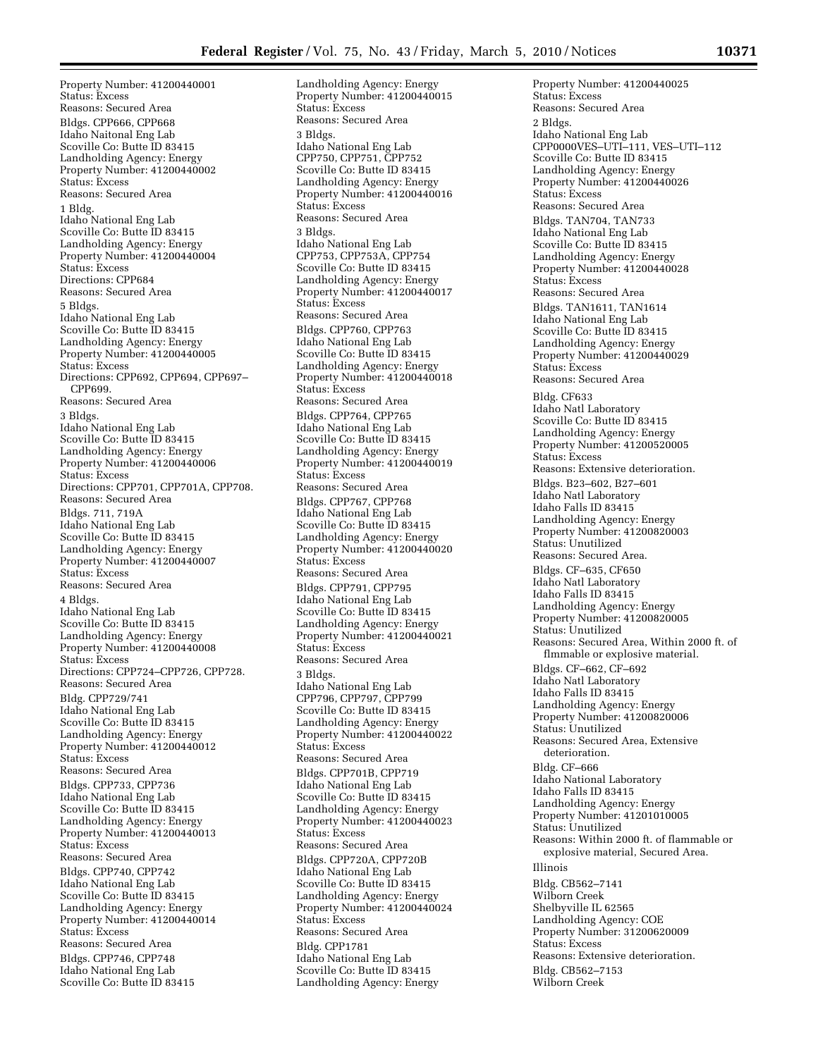Property Number: 41200440001 Status: Excess Reasons: Secured Area Bldgs. CPP666, CPP668 Idaho Naitonal Eng Lab Scoville Co: Butte ID 83415 Landholding Agency: Energy Property Number: 41200440002 Status: Excess Reasons: Secured Area 1 Bldg. Idaho National Eng Lab Scoville Co: Butte ID 83415 Landholding Agency: Energy Property Number: 41200440004 Status: Excess Directions: CPP684 Reasons: Secured Area 5 Bldgs. Idaho National Eng Lab Scoville Co: Butte ID 83415 Landholding Agency: Energy Property Number: 41200440005 Status: Excess Directions: CPP692, CPP694, CPP697– CPP699. Reasons: Secured Area 3 Bldgs. Idaho National Eng Lab Scoville Co: Butte ID 83415 Landholding Agency: Energy Property Number: 41200440006 Status: Excess Directions: CPP701, CPP701A, CPP708. Reasons: Secured Area Bldgs. 711, 719A Idaho National Eng Lab Scoville Co: Butte ID 83415 Landholding Agency: Energy Property Number: 41200440007 Status: Excess Reasons: Secured Area 4 Bldgs. Idaho National Eng Lab Scoville Co: Butte ID 83415 Landholding Agency: Energy Property Number: 41200440008 Status: Excess Directions: CPP724–CPP726, CPP728. Reasons: Secured Area Bldg. CPP729/741 Idaho National Eng Lab Scoville Co: Butte ID 83415 Landholding Agency: Energy Property Number: 41200440012 Status: Excess Reasons: Secured Area Bldgs. CPP733, CPP736 Idaho National Eng Lab Scoville Co: Butte ID 83415 Landholding Agency: Energy Property Number: 41200440013 Status: Excess Reasons: Secured Area Bldgs. CPP740, CPP742 Idaho National Eng Lab Scoville Co: Butte ID 83415 Landholding Agency: Energy Property Number: 41200440014 Status: Excess Reasons: Secured Area Bldgs. CPP746, CPP748 Idaho National Eng Lab Scoville Co: Butte ID 83415

Landholding Agency: Energy Property Number: 41200440015 Status: Excess Reasons: Secured Area 3 Bldgs. Idaho National Eng Lab CPP750, CPP751, CPP752 Scoville Co: Butte ID 83415 Landholding Agency: Energy Property Number: 41200440016 Status: Excess Reasons: Secured Area 3 Bldgs. Idaho National Eng Lab CPP753, CPP753A, CPP754 Scoville Co: Butte ID 83415 Landholding Agency: Energy Property Number: 41200440017 Status: Excess Reasons: Secured Area Bldgs. CPP760, CPP763 Idaho National Eng Lab Scoville Co: Butte ID 83415 Landholding Agency: Energy Property Number: 41200440018 Status: Excess Reasons: Secured Area Bldgs. CPP764, CPP765 Idaho National Eng Lab Scoville Co: Butte ID 83415 Landholding Agency: Energy Property Number: 41200440019 Status: Excess Reasons: Secured Area Bldgs. CPP767, CPP768 Idaho National Eng Lab Scoville Co: Butte ID 83415 Landholding Agency: Energy Property Number: 41200440020 Status: Excess Reasons: Secured Area Bldgs. CPP791, CPP795 Idaho National Eng Lab Scoville Co: Butte ID 83415 Landholding Agency: Energy Property Number: 41200440021 Status: Excess Reasons: Secured Area 3 Bldgs. Idaho National Eng Lab CPP796, CPP797, CPP799 Scoville Co: Butte ID 83415 Landholding Agency: Energy Property Number: 41200440022 Status: Excess Reasons: Secured Area Bldgs. CPP701B, CPP719 Idaho National Eng Lab Scoville Co: Butte ID 83415 Landholding Agency: Energy Property Number: 41200440023 Status: Excess Reasons: Secured Area Bldgs. CPP720A, CPP720B Idaho National Eng Lab Scoville Co: Butte ID 83415 Landholding Agency: Energy Property Number: 41200440024 Status: Excess Reasons: Secured Area Bldg. CPP1781 Idaho National Eng Lab Scoville Co: Butte ID 83415 Landholding Agency: Energy

Property Number: 41200440025 Status: Excess Reasons: Secured Area 2 Bldgs. Idaho National Eng Lab CPP0000VES–UTI–111, VES–UTI–112 Scoville Co: Butte ID 83415 Landholding Agency: Energy Property Number: 41200440026 Status: Excess Reasons: Secured Area Bldgs. TAN704, TAN733 Idaho National Eng Lab Scoville Co: Butte ID 83415 Landholding Agency: Energy Property Number: 41200440028 Status: Excess Reasons: Secured Area Bldgs. TAN1611, TAN1614 Idaho National Eng Lab Scoville Co: Butte ID 83415 Landholding Agency: Energy Property Number: 41200440029 Status: Excess Reasons: Secured Area Bldg. CF633 Idaho Natl Laboratory Scoville Co: Butte ID 83415 Landholding Agency: Energy Property Number: 41200520005 Status: Excess Reasons: Extensive deterioration. Bldgs. B23–602, B27–601 Idaho Natl Laboratory Idaho Falls ID 83415 Landholding Agency: Energy Property Number: 41200820003 Status: Unutilized Reasons: Secured Area. Bldgs. CF–635, CF650 Idaho Natl Laboratory Idaho Falls ID 83415 Landholding Agency: Energy Property Number: 41200820005 Status: Unutilized Reasons: Secured Area, Within 2000 ft. of flmmable or explosive material. Bldgs. CF–662, CF–692 Idaho Natl Laboratory Idaho Falls ID 83415 Landholding Agency: Energy Property Number: 41200820006 Status: Unutilized Reasons: Secured Area, Extensive deterioration. Bldg. CF–666 Idaho National Laboratory Idaho Falls ID 83415 Landholding Agency: Energy Property Number: 41201010005 Status: Unutilized Reasons: Within 2000 ft. of flammable or explosive material, Secured Area. Illinois Bldg. CB562–7141 Wilborn Creek Shelbyville IL 62565 Landholding Agency: COE Property Number: 31200620009 Status: Excess Reasons: Extensive deterioration. Bldg. CB562–7153 Wilborn Creek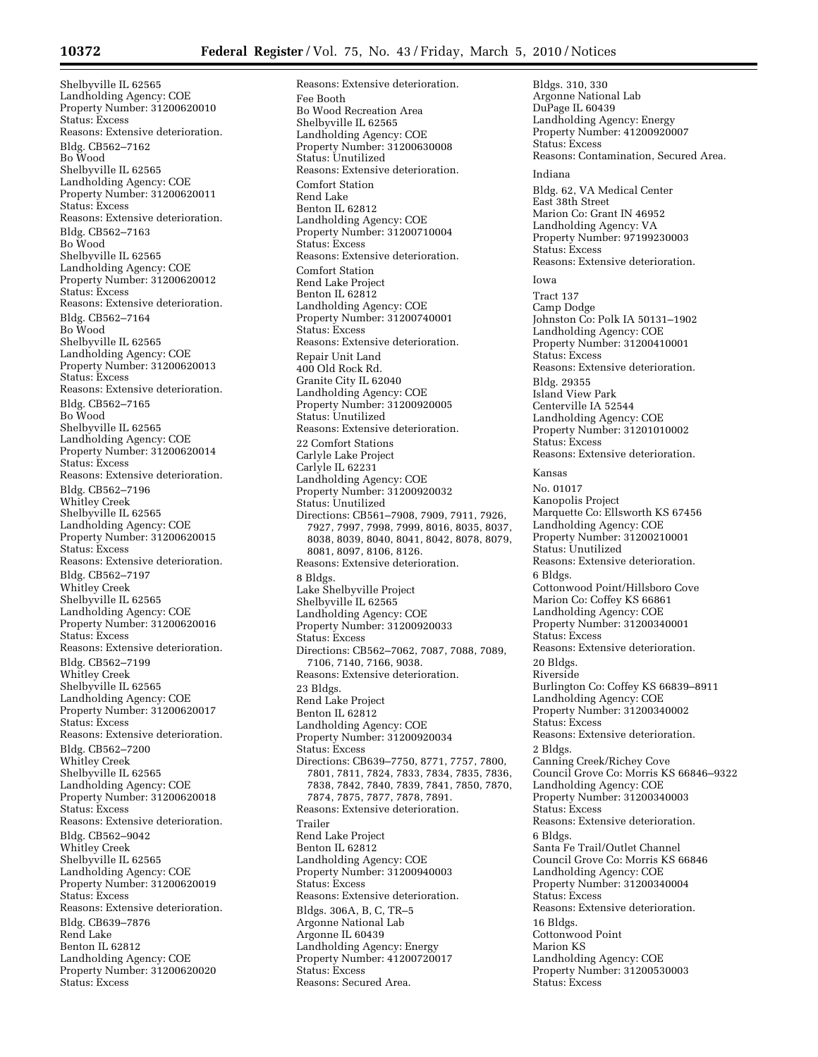Shelbyville IL 62565 Landholding Agency: COE Property Number: 31200620010 Status: Excess Reasons: Extensive deterioration. Bldg. CB562–7162 Bo Wood Shelbyville IL 62565 Landholding Agency: COE Property Number: 31200620011 Status: Excess Reasons: Extensive deterioration. Bldg. CB562–7163 Bo Wood Shelbyville IL 62565 Landholding Agency: COE Property Number: 31200620012 Status: Excess Reasons: Extensive deterioration. Bldg. CB562–7164 Bo Wood Shelbyville IL 62565 Landholding Agency: COE Property Number: 31200620013 Status: Excess Reasons: Extensive deterioration. Bldg. CB562–7165 Bo Wood Shelbyville IL 62565 Landholding Agency: COE Property Number: 31200620014 Status: Excess Reasons: Extensive deterioration. Bldg. CB562–7196 Whitley Creek Shelbyville IL 62565 Landholding Agency: COE Property Number: 31200620015 Status: Excess Reasons: Extensive deterioration. Bldg. CB562–7197 Whitley Creek Shelbyville IL 62565 Landholding Agency: COE Property Number: 31200620016 Status: Excess Reasons: Extensive deterioration. Bldg. CB562–7199 Whitley Creek Shelbyville IL 62565 Landholding Agency: COE Property Number: 31200620017 Status: Excess Reasons: Extensive deterioration. Bldg. CB562–7200 Whitley Creek Shelbyville IL 62565 Landholding Agency: COE Property Number: 31200620018 Status: Excess Reasons: Extensive deterioration. Bldg. CB562–9042 Whitley Creek Shelbyville IL 62565 Landholding Agency: COE Property Number: 31200620019 Status: Excess Reasons: Extensive deterioration. Bldg. CB639–7876 Rend Lake Benton IL 62812 Landholding Agency: COE Property Number: 31200620020 Status: Excess

Reasons: Extensive deterioration. Fee Booth Bo Wood Recreation Area Shelbyville IL 62565 Landholding Agency: COE Property Number: 31200630008 Status: Unutilized Reasons: Extensive deterioration. Comfort Station Rend Lake Benton IL 62812 Landholding Agency: COE Property Number: 31200710004 Status: Excess Reasons: Extensive deterioration. Comfort Station Rend Lake Project Benton IL 62812 Landholding Agency: COE Property Number: 31200740001 Status: Excess Reasons: Extensive deterioration. Repair Unit Land 400 Old Rock Rd. Granite City IL 62040 Landholding Agency: COE Property Number: 31200920005 Status: Unutilized Reasons: Extensive deterioration. 22 Comfort Stations Carlyle Lake Project Carlyle IL 62231 Landholding Agency: COE Property Number: 31200920032 Status: Unutilized Directions: CB561–7908, 7909, 7911, 7926, 7927, 7997, 7998, 7999, 8016, 8035, 8037, 8038, 8039, 8040, 8041, 8042, 8078, 8079, 8081, 8097, 8106, 8126. Reasons: Extensive deterioration. 8 Bldgs. Lake Shelbyville Project Shelbyville IL 62565 Landholding Agency: COE Property Number: 31200920033 Status: Excess Directions: CB562–7062, 7087, 7088, 7089, 7106, 7140, 7166, 9038. Reasons: Extensive deterioration. 23 Bldgs. Rend Lake Project Benton IL 62812 Landholding Agency: COE Property Number: 31200920034 Status: Excess Directions: CB639–7750, 8771, 7757, 7800, 7801, 7811, 7824, 7833, 7834, 7835, 7836, 7838, 7842, 7840, 7839, 7841, 7850, 7870, 7874, 7875, 7877, 7878, 7891. Reasons: Extensive deterioration. Trailer Rend Lake Project Benton IL 62812 Landholding Agency: COE Property Number: 31200940003 Status: Excess Reasons: Extensive deterioration. Bldgs. 306A, B, C, TR–5 Argonne National Lab Argonne IL 60439 Landholding Agency: Energy Property Number: 41200720017 Status: Excess Reasons: Secured Area.

Bldgs. 310, 330 Argonne National Lab DuPage IL 60439 Landholding Agency: Energy Property Number: 41200920007 Status: Excess Reasons: Contamination, Secured Area. Indiana Bldg. 62, VA Medical Center East 38th Street Marion Co: Grant IN 46952 Landholding Agency: VA Property Number: 97199230003 Status: Excess Reasons: Extensive deterioration. Iowa Tract 137 Camp Dodge Johnston Co: Polk IA 50131–1902 Landholding Agency: COE Property Number: 31200410001 Status: Excess Reasons: Extensive deterioration. Bldg. 29355 Island View Park Centerville IA 52544 Landholding Agency: COE Property Number: 31201010002 Status: Excess Reasons: Extensive deterioration. Kansas No. 01017 Kanopolis Project Marquette Co: Ellsworth KS 67456 Landholding Agency: COE Property Number: 31200210001 Status: Unutilized Reasons: Extensive deterioration. 6 Bldgs. Cottonwood Point/Hillsboro Cove Marion Co: Coffey KS 66861 Landholding Agency: COE Property Number: 31200340001 Status: Excess Reasons: Extensive deterioration. 20 Bldgs. Riverside Burlington Co: Coffey KS 66839–8911 Landholding Agency: COE Property Number: 31200340002 Status: Excess Reasons: Extensive deterioration. 2 Bldgs. Canning Creek/Richey Cove Council Grove Co: Morris KS 66846–9322 Landholding Agency: COE Property Number: 31200340003 Status: Excess Reasons: Extensive deterioration. 6 Bldgs. Santa Fe Trail/Outlet Channel Council Grove Co: Morris KS 66846 Landholding Agency: COE Property Number: 31200340004 Status: Excess Reasons: Extensive deterioration. 16 Bldgs. Cottonwood Point Marion KS Landholding Agency: COE Property Number: 31200530003 Status: Excess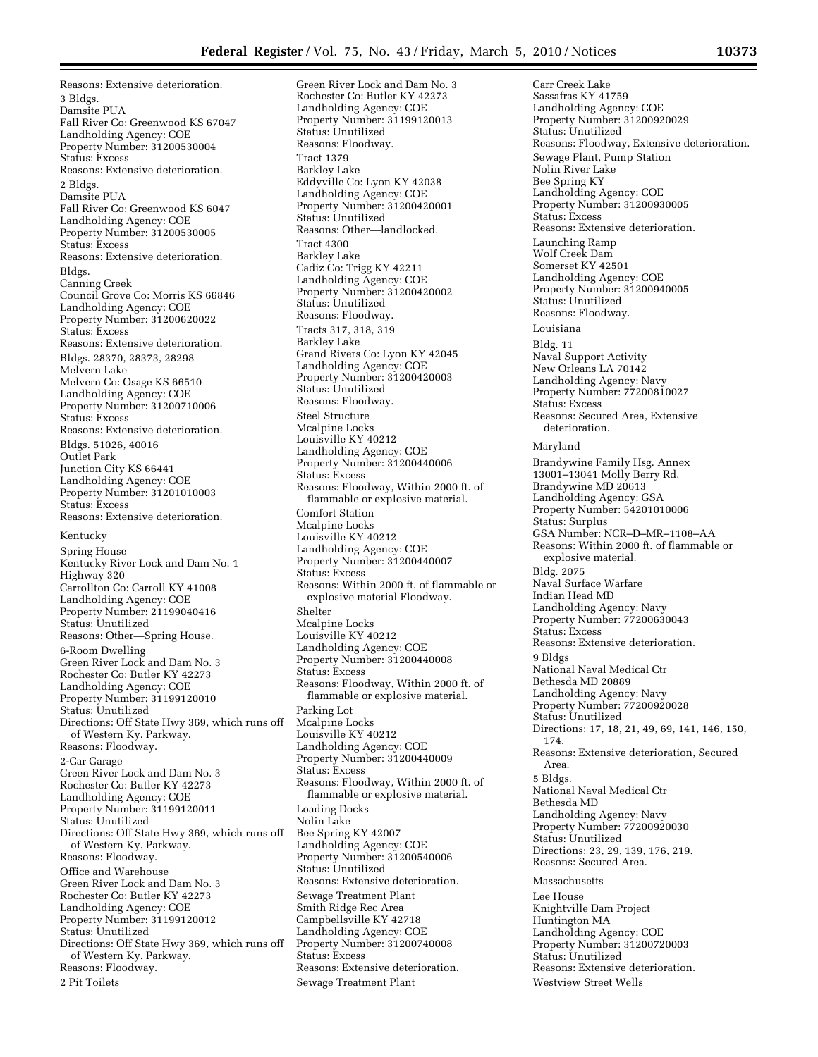Reasons: Extensive deterioration. 3 Bldgs. Damsite PUA Fall River Co: Greenwood KS 67047 Landholding Agency: COE Property Number: 31200530004 Status: Excess Reasons: Extensive deterioration. 2 Bldgs. Damsite PUA Fall River Co: Greenwood KS 6047 Landholding Agency: COE Property Number: 31200530005 Status: Excess Reasons: Extensive deterioration. Bldgs. Canning Creek Council Grove Co: Morris KS 66846 Landholding Agency: COE Property Number: 31200620022 Status: Excess Reasons: Extensive deterioration. Bldgs. 28370, 28373, 28298 Melvern Lake Melvern Co: Osage KS 66510 Landholding Agency: COE Property Number: 31200710006 Status: Excess Reasons: Extensive deterioration. Bldgs. 51026, 40016 Outlet Park Junction City KS 66441 Landholding Agency: COE Property Number: 31201010003 Status: Excess Reasons: Extensive deterioration. Kentucky Spring House Kentucky River Lock and Dam No. 1 Highway 320 Carrollton Co: Carroll KY 41008 Landholding Agency: COE Property Number: 21199040416 Status: Unutilized Reasons: Other—Spring House. 6-Room Dwelling Green River Lock and Dam No. 3 Rochester Co: Butler KY 42273 Landholding Agency: COE Property Number: 31199120010 Status: Unutilized Directions: Off State Hwy 369, which runs off of Western Ky. Parkway. Reasons: Floodway. 2-Car Garage Green River Lock and Dam No. 3 Rochester Co: Butler KY 42273 Landholding Agency: COE Property Number: 31199120011 Status: Unutilized Directions: Off State Hwy 369, which runs off of Western Ky. Parkway. Reasons: Floodway. Office and Warehouse Green River Lock and Dam No. 3 Rochester Co: Butler KY 42273 Landholding Agency: COE Property Number: 31199120012 Status: Unutilized Directions: Off State Hwy 369, which runs off of Western Ky. Parkway. Reasons: Floodway. 2 Pit Toilets

Green River Lock and Dam No. 3 Rochester Co: Butler KY 42273 Landholding Agency: COE Property Number: 31199120013 Status: Unutilized Reasons: Floodway. Tract 1379 Barkley Lake Eddyville Co: Lyon KY 42038 Landholding Agency: COE Property Number: 31200420001 Status: Unutilized Reasons: Other—landlocked. Tract 4300 Barkley Lake Cadiz Co: Trigg KY 42211 Landholding Agency: COE Property Number: 31200420002 Status: Unutilized Reasons: Floodway. Tracts 317, 318, 319 Barkley Lake Grand Rivers Co: Lyon KY 42045 Landholding Agency: COE Property Number: 31200420003 Status: Unutilized Reasons: Floodway. Steel Structure Mcalpine Locks Louisville KY 40212 Landholding Agency: COE Property Number: 31200440006 Status: Excess Reasons: Floodway, Within 2000 ft. of flammable or explosive material. Comfort Station Mcalpine Locks Louisville KY 40212 Landholding Agency: COE Property Number: 31200440007 Status: Excess Reasons: Within 2000 ft. of flammable or explosive material Floodway. Shelter Mcalpine Locks Louisville KY 40212 Landholding Agency: COE Property Number: 31200440008 Status: Excess Reasons: Floodway, Within 2000 ft. of flammable or explosive material. Parking Lot Mcalpine Locks Louisville KY 40212 Landholding Agency: COE Property Number: 31200440009 Status: Excess Reasons: Floodway, Within 2000 ft. of flammable or explosive material. Loading Docks Nolin Lake Bee Spring KY 42007 Landholding Agency: COE Property Number: 31200540006 Status: Unutilized Reasons: Extensive deterioration. Sewage Treatment Plant Smith Ridge Rec Area Campbellsville KY 42718 Landholding Agency: COE Property Number: 31200740008 Status: Excess Reasons: Extensive deterioration. Sewage Treatment Plant

Carr Creek Lake Sassafras KY 41759 Landholding Agency: COE Property Number: 31200920029 Status: Unutilized Reasons: Floodway, Extensive deterioration. Sewage Plant, Pump Station Nolin River Lake Bee Spring KY Landholding Agency: COE Property Number: 31200930005 Status: Excess Reasons: Extensive deterioration. Launching Ramp Wolf Creek Dam Somerset KY 42501 Landholding Agency: COE Property Number: 31200940005 Status: Unutilized Reasons: Floodway. Louisiana Bldg. 11 Naval Support Activity New Orleans LA 70142 Landholding Agency: Navy Property Number: 77200810027 Status: Excess Reasons: Secured Area, Extensive deterioration. Maryland Brandywine Family Hsg. Annex 13001–13041 Molly Berry Rd. Brandywine MD 20613 Landholding Agency: GSA Property Number: 54201010006 Status: Surplus GSA Number: NCR–D–MR–1108–AA Reasons: Within 2000 ft. of flammable or explosive material. Bldg. 2075 Naval Surface Warfare Indian Head MD Landholding Agency: Navy Property Number: 77200630043 Status: Excess Reasons: Extensive deterioration. 9 Bldgs National Naval Medical Ctr Bethesda MD 20889 Landholding Agency: Navy Property Number: 77200920028 Status: Unutilized Directions: 17, 18, 21, 49, 69, 141, 146, 150, 174. Reasons: Extensive deterioration, Secured Area. 5 Bldgs. National Naval Medical Ctr Bethesda MD Landholding Agency: Navy Property Number: 77200920030 Status: Unutilized Directions: 23, 29, 139, 176, 219. Reasons: Secured Area. Massachusetts Lee House Knightville Dam Project Huntington MA Landholding Agency: COE Property Number: 31200720003 Status: Unutilized Reasons: Extensive deterioration.

Westview Street Wells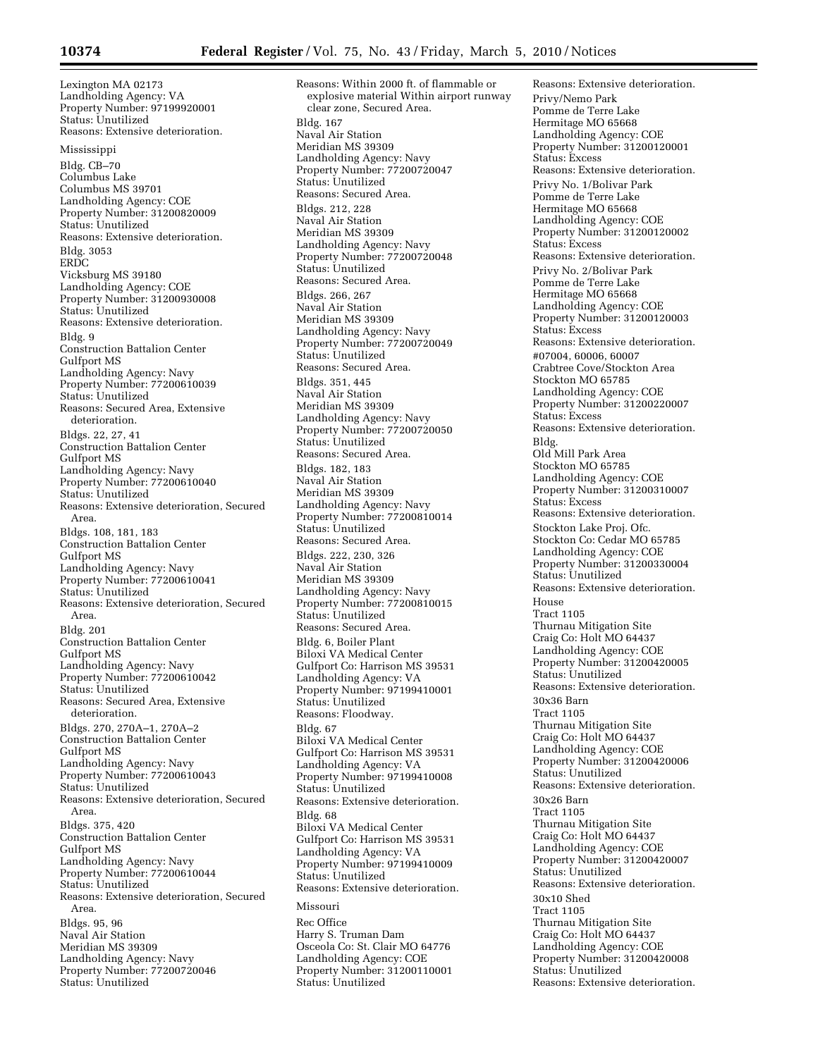Lexington MA 02173 Landholding Agency: VA Property Number: 97199920001 Status: Unutilized Reasons: Extensive deterioration. Mississippi Bldg. CB–70 Columbus Lake Columbus MS 39701 Landholding Agency: COE Property Number: 31200820009 Status: Unutilized Reasons: Extensive deterioration. Bldg. 3053 ERDC Vicksburg MS 39180 Landholding Agency: COE Property Number: 31200930008 Status: Unutilized Reasons: Extensive deterioration. Bldg. 9 Construction Battalion Center Gulfport MS Landholding Agency: Navy Property Number: 77200610039 Status: Unutilized Reasons: Secured Area, Extensive deterioration. Bldgs. 22, 27, 41 Construction Battalion Center Gulfport MS Landholding Agency: Navy Property Number: 77200610040 Status: Unutilized Reasons: Extensive deterioration, Secured Area. Bldgs. 108, 181, 183 Construction Battalion Center Gulfport MS Landholding Agency: Navy Property Number: 77200610041 Status: Unutilized Reasons: Extensive deterioration, Secured Area. Bldg. 201 Construction Battalion Center Gulfport MS Landholding Agency: Navy Property Number: 77200610042 Status: Unutilized Reasons: Secured Area, Extensive deterioration. Bldgs. 270, 270A–1, 270A–2 Construction Battalion Center Gulfport MS Landholding Agency: Navy Property Number: 77200610043 Status: Unutilized Reasons: Extensive deterioration, Secured Area. Bldgs. 375, 420 Construction Battalion Center Gulfport MS Landholding Agency: Navy Property Number: 77200610044 Status: Unutilized Reasons: Extensive deterioration, Secured Area. Bldgs. 95, 96 Naval Air Station Meridian MS 39309 Landholding Agency: Navy Property Number: 77200720046 Status: Unutilized

Reasons: Within 2000 ft. of flammable or explosive material Within airport runway clear zone, Secured Area. Bldg. 167 Naval Air Station Meridian MS 39309 Landholding Agency: Navy Property Number: 77200720047 Status: Unutilized Reasons: Secured Area. Bldgs. 212, 228 Naval Air Station Meridian MS 39309 Landholding Agency: Navy Property Number: 77200720048 Status: Unutilized Reasons: Secured Area. Bldgs. 266, 267 Naval Air Station Meridian MS 39309 Landholding Agency: Navy Property Number: 77200720049 Status: Unutilized Reasons: Secured Area. Bldgs. 351, 445 Naval Air Station Meridian MS 39309 Landholding Agency: Navy Property Number: 77200720050 Status: Unutilized Reasons: Secured Area. Bldgs. 182, 183 Naval Air Station Meridian MS 39309 Landholding Agency: Navy Property Number: 77200810014 Status: Unutilized Reasons: Secured Area. Bldgs. 222, 230, 326 Naval Air Station Meridian MS 39309 Landholding Agency: Navy Property Number: 77200810015 Status: Unutilized Reasons: Secured Area. Bldg. 6, Boiler Plant Biloxi VA Medical Center Gulfport Co: Harrison MS 39531 Landholding Agency: VA Property Number: 97199410001 Status: Unutilized Reasons: Floodway. Bldg. 67 Biloxi VA Medical Center Gulfport Co: Harrison MS 39531 Landholding Agency: VA Property Number: 97199410008 Status: Unutilized Reasons: Extensive deterioration. Bldg. 68 Biloxi VA Medical Center Gulfport Co: Harrison MS 39531 Landholding Agency: VA Property Number: 97199410009 Status: Unutilized Reasons: Extensive deterioration. Missouri Rec Office Harry S. Truman Dam Osceola Co: St. Clair MO 64776 Landholding Agency: COE Property Number: 31200110001 Status: Unutilized

Reasons: Extensive deterioration. Privy/Nemo Park Pomme de Terre Lake Hermitage MO 65668 Landholding Agency: COE Property Number: 31200120001 Status: Excess Reasons: Extensive deterioration. Privy No. 1/Bolivar Park Pomme de Terre Lake Hermitage MO 65668 Landholding Agency: COE Property Number: 31200120002 Status: Excess Reasons: Extensive deterioration. Privy No. 2/Bolivar Park Pomme de Terre Lake Hermitage MO 65668 Landholding Agency: COE Property Number: 31200120003 Status: Excess Reasons: Extensive deterioration. #07004, 60006, 60007 Crabtree Cove/Stockton Area Stockton MO 65785 Landholding Agency: COE Property Number: 31200220007 Status: Excess Reasons: Extensive deterioration. Bldg. Old Mill Park Area Stockton MO 65785 Landholding Agency: COE Property Number: 31200310007 Status: Excess Reasons: Extensive deterioration. Stockton Lake Proj. Ofc. Stockton Co: Cedar MO 65785 Landholding Agency: COE Property Number: 31200330004 Status: Unutilized Reasons: Extensive deterioration. House Tract 1105 Thurnau Mitigation Site Craig Co: Holt MO 64437 Landholding Agency: COE Property Number: 31200420005 Status: Unutilized Reasons: Extensive deterioration. 30x36 Barn Tract 1105 Thurnau Mitigation Site Craig Co: Holt MO 64437 Landholding Agency: COE Property Number: 31200420006 Status: Unutilized Reasons: Extensive deterioration. 30x26 Barn Tract 1105 Thurnau Mitigation Site Craig Co: Holt MO 64437 Landholding Agency: COE Property Number: 31200420007 Status: Unutilized Reasons: Extensive deterioration. 30x10 Shed Tract 1105 Thurnau Mitigation Site Craig Co: Holt MO 64437 Landholding Agency: COE Property Number: 31200420008 Status: Unutilized Reasons: Extensive deterioration.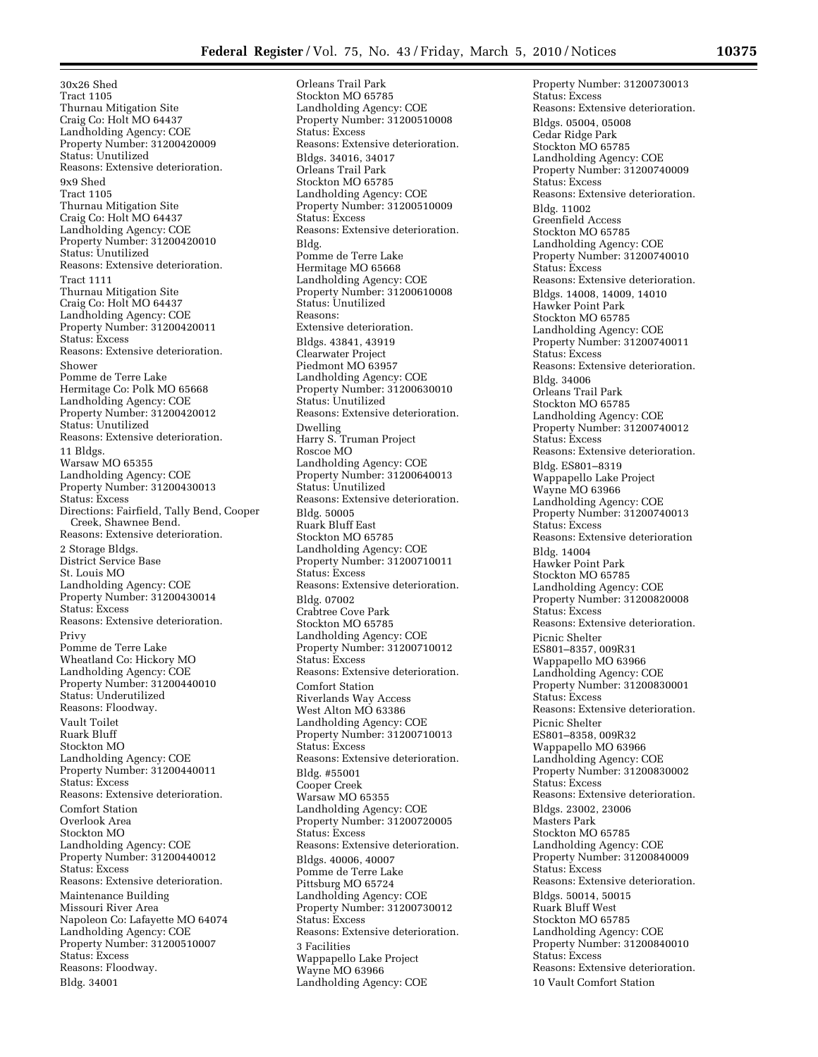30x26 Shed Tract 1105 Thurnau Mitigation Site Craig Co: Holt MO 64437 Landholding Agency: COE Property Number: 31200420009 Status: Unutilized Reasons: Extensive deterioration. 9x9 Shed Tract 1105 Thurnau Mitigation Site Craig Co: Holt MO 64437 Landholding Agency: COE Property Number: 31200420010 Status: Unutilized Reasons: Extensive deterioration. Tract 1111 Thurnau Mitigation Site Craig Co: Holt MO 64437 Landholding Agency: COE Property Number: 31200420011 Status: Excess Reasons: Extensive deterioration. Shower Pomme de Terre Lake Hermitage Co: Polk MO 65668 Landholding Agency: COE Property Number: 31200420012 Status: Unutilized Reasons: Extensive deterioration. 11 Bldgs. Warsaw MO 65355 Landholding Agency: COE Property Number: 31200430013 Status: Excess Directions: Fairfield, Tally Bend, Cooper Creek, Shawnee Bend. Reasons: Extensive deterioration. 2 Storage Bldgs. District Service Base St. Louis MO Landholding Agency: COE Property Number: 31200430014 Status: Excess Reasons: Extensive deterioration. Privy Pomme de Terre Lake Wheatland Co: Hickory MO Landholding Agency: COE Property Number: 31200440010 Status: Underutilized Reasons: Floodway. Vault Toilet Ruark Bluff Stockton MO Landholding Agency: COE Property Number: 31200440011 Status: Excess Reasons: Extensive deterioration. Comfort Station Overlook Area Stockton MO Landholding Agency: COE Property Number: 31200440012 Status: Excess Reasons: Extensive deterioration. Maintenance Building Missouri River Area Napoleon Co: Lafayette MO 64074 Landholding Agency: COE Property Number: 31200510007 Status: Excess Reasons: Floodway. Bldg. 34001

Orleans Trail Park Stockton MO 65785 Landholding Agency: COE Property Number: 31200510008 Status: Excess Reasons: Extensive deterioration. Bldgs. 34016, 34017 Orleans Trail Park Stockton MO 65785 Landholding Agency: COE Property Number: 31200510009 Status: Excess Reasons: Extensive deterioration. Bldg. Pomme de Terre Lake Hermitage MO 65668 Landholding Agency: COE Property Number: 31200610008 Status: Unutilized Reasons: Extensive deterioration. Bldgs. 43841, 43919 Clearwater Project Piedmont MO 63957 Landholding Agency: COE Property Number: 31200630010 Status: Unutilized Reasons: Extensive deterioration. Dwelling Harry S. Truman Project Roscoe MO Landholding Agency: COE Property Number: 31200640013 Status: Unutilized Reasons: Extensive deterioration. Bldg. 50005 Ruark Bluff East Stockton MO 65785 Landholding Agency: COE Property Number: 31200710011 Status: Excess Reasons: Extensive deterioration. Bldg. 07002 Crabtree Cove Park Stockton MO 65785 Landholding Agency: COE Property Number: 31200710012 Status: Excess Reasons: Extensive deterioration. Comfort Station Riverlands Way Access West Alton MO 63386 Landholding Agency: COE Property Number: 31200710013 Status: Excess Reasons: Extensive deterioration. Bldg. #55001 Cooper Creek Warsaw MO 65355 Landholding Agency: COE Property Number: 31200720005 Status: Excess Reasons: Extensive deterioration. Bldgs. 40006, 40007 Pomme de Terre Lake Pittsburg MO 65724 Landholding Agency: COE Property Number: 31200730012 Status: Excess Reasons: Extensive deterioration. 3 Facilities Wappapello Lake Project Wayne MO 63966 Landholding Agency: COE

Property Number: 31200730013 Status: Excess Reasons: Extensive deterioration. Bldgs. 05004, 05008 Cedar Ridge Park Stockton MO 65785 Landholding Agency: COE Property Number: 31200740009 Status: Excess Reasons: Extensive deterioration. Bldg. 11002 Greenfield Access Stockton MO 65785 Landholding Agency: COE Property Number: 31200740010 Status: Excess Reasons: Extensive deterioration. Bldgs. 14008, 14009, 14010 Hawker Point Park Stockton MO 65785 Landholding Agency: COE Property Number: 31200740011 Status: Excess Reasons: Extensive deterioration. Bldg. 34006 Orleans Trail Park Stockton MO 65785 Landholding Agency: COE Property Number: 31200740012 Status: Excess Reasons: Extensive deterioration. Bldg. ES801–8319 Wappapello Lake Project Wayne MO 63966 Landholding Agency: COE Property Number: 31200740013 Status: Excess Reasons: Extensive deterioration Bldg. 14004 Hawker Point Park Stockton MO 65785 Landholding Agency: COE Property Number: 31200820008 Status: Excess Reasons: Extensive deterioration. Picnic Shelter ES801–8357, 009R31 Wappapello MO 63966 Landholding Agency: COE Property Number: 31200830001 Status: Excess Reasons: Extensive deterioration. Picnic Shelter ES801–8358, 009R32 Wappapello MO 63966 Landholding Agency: COE Property Number: 31200830002 Status: Excess Reasons: Extensive deterioration. Bldgs. 23002, 23006 Masters Park Stockton MO 65785 Landholding Agency: COE Property Number: 31200840009 Status: Excess Reasons: Extensive deterioration. Bldgs. 50014, 50015 Ruark Bluff West Stockton MO 65785 Landholding Agency: COE Property Number: 31200840010 Status: Excess Reasons: Extensive deterioration. 10 Vault Comfort Station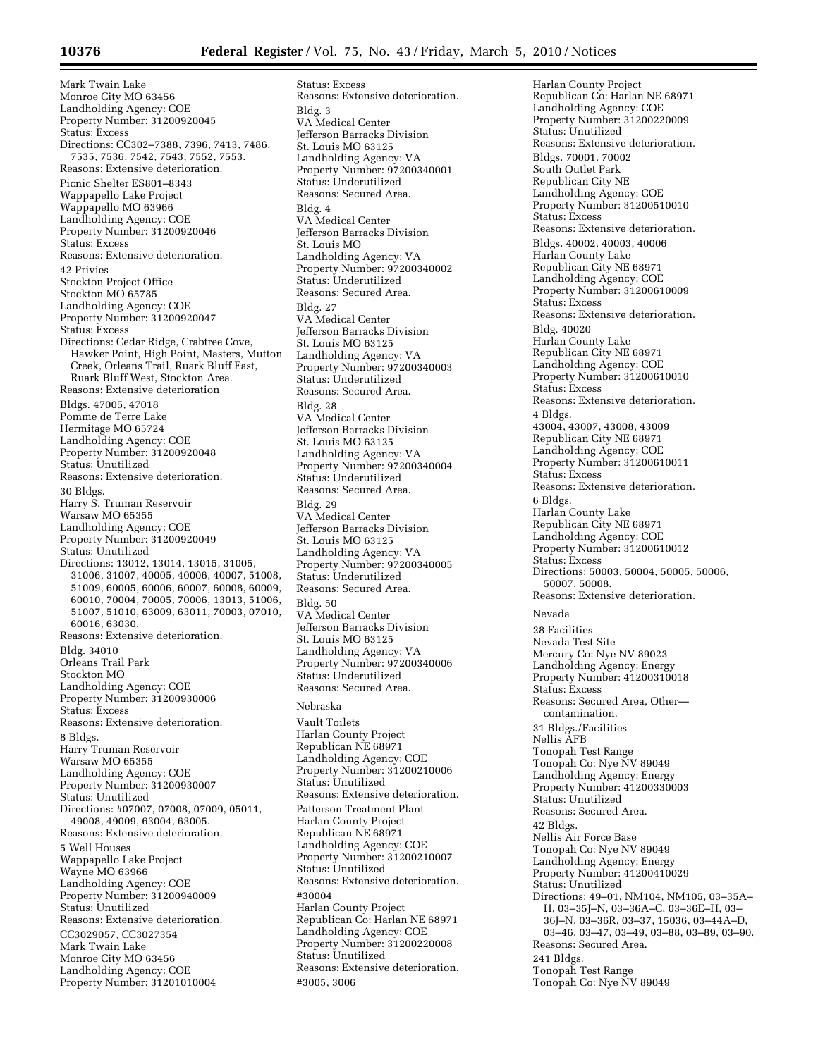Status: Excess

Mark Twain Lake Monroe City MO 63456 Landholding Agency: COE Property Number: 31200920045 Status: Excess Directions: CC302–7388, 7396, 7413, 7486, 7535, 7536, 7542, 7543, 7552, 7553. Reasons: Extensive deterioration. Picnic Shelter ES801–8343 Wappapello Lake Project Wappapello MO 63966 Landholding Agency: COE Property Number: 31200920046 Status: Excess Reasons: Extensive deterioration. 42 Privies Stockton Project Office Stockton MO 65785 Landholding Agency: COE Property Number: 31200920047 Status: Excess Directions: Cedar Ridge, Crabtree Cove, Hawker Point, High Point, Masters, Mutton Creek, Orleans Trail, Ruark Bluff East, Ruark Bluff West, Stockton Area. Reasons: Extensive deterioration Bldgs. 47005, 47018 Pomme de Terre Lake Hermitage MO 65724 Landholding Agency: COE Property Number: 31200920048 Status: Unutilized Reasons: Extensive deterioration. 30 Bldgs. Harry S. Truman Reservoir Warsaw MO 65355 Landholding Agency: COE Property Number: 31200920049 Status: Unutilized Directions: 13012, 13014, 13015, 31005, 31006, 31007, 40005, 40006, 40007, 51008, 51009, 60005, 60006, 60007, 60008, 60009, 60010, 70004, 70005, 70006, 13013, 51006, 51007, 51010, 63009, 63011, 70003, 07010, 60016, 63030. Reasons: Extensive deterioration. Bldg. 34010 Orleans Trail Park Stockton MO Landholding Agency: COE Property Number: 31200930006 Status: Excess Reasons: Extensive deterioration. 8 Bldgs. Harry Truman Reservoir Warsaw MO 65355 Landholding Agency: COE Property Number: 31200930007 Status: Unutilized Directions: #07007, 07008, 07009, 05011, 49008, 49009, 63004, 63005. Reasons: Extensive deterioration. 5 Well Houses Wappapello Lake Project Wayne MO 63966 Landholding Agency: COE Property Number: 31200940009 Status: Unutilized Reasons: Extensive deterioration. CC3029057, CC3027354 Mark Twain Lake Monroe City MO 63456 Landholding Agency: COE Property Number: 31201010004

Reasons: Extensive deterioration. Bldg. 3 VA Medical Center Jefferson Barracks Division St. Louis MO 63125 Landholding Agency: VA Property Number: 97200340001 Status: Underutilized Reasons: Secured Area. Bldg. 4 VA Medical Center Jefferson Barracks Division St. Louis MO Landholding Agency: VA Property Number: 97200340002 Status: Underutilized Reasons: Secured Area. Bldg. 27 VA Medical Center Jefferson Barracks Division St. Louis MO 63125 Landholding Agency: VA Property Number: 97200340003 Status: Underutilized Reasons: Secured Area. Bldg. 28 VA Medical Center Jefferson Barracks Division St. Louis MO 63125 Landholding Agency: VA Property Number: 97200340004 Status: Underutilized Reasons: Secured Area. Bldg. 29 VA Medical Center Jefferson Barracks Division St. Louis MO 63125 Landholding Agency: VA Property Number: 97200340005 Status: Underutilized Reasons: Secured Area. Bldg. 50 VA Medical Center Jefferson Barracks Division St. Louis MO 63125 Landholding Agency: VA Property Number: 97200340006 Status: Underutilized Reasons: Secured Area. Nebraska Vault Toilets Harlan County Project Republican NE 68971 Landholding Agency: COE Property Number: 31200210006 Status: Unutilized Reasons: Extensive deterioration. Patterson Treatment Plant Harlan County Project Republican NE 68971 Landholding Agency: COE Property Number: 31200210007 Status: Unutilized Reasons: Extensive deterioration. #30004 Harlan County Project Republican Co: Harlan NE 68971 Landholding Agency: COE Property Number: 31200220008 Status: Unutilized Reasons: Extensive deterioration. #3005, 3006

Harlan County Project Republican Co: Harlan NE 68971 Landholding Agency: COE Property Number: 31200220009 Status: Unutilized Reasons: Extensive deterioration. Bldgs. 70001, 70002 South Outlet Park Republican City NE Landholding Agency: COE Property Number: 31200510010 Status: Excess Reasons: Extensive deterioration. Bldgs. 40002, 40003, 40006 Harlan County Lake Republican City NE 68971 Landholding Agency: COE Property Number: 31200610009 Status: Excess Reasons: Extensive deterioration. Bldg. 40020 Harlan County Lake Republican City NE 68971 Landholding Agency: COE Property Number: 31200610010 Status: Excess Reasons: Extensive deterioration. 4 Bldgs. 43004, 43007, 43008, 43009 Republican City NE 68971 Landholding Agency: COE Property Number: 31200610011 Status: Excess Reasons: Extensive deterioration. 6 Bldgs. Harlan County Lake Republican City NE 68971 Landholding Agency: COE Property Number: 31200610012 Status: Excess Directions: 50003, 50004, 50005, 50006, 50007, 50008. Reasons: Extensive deterioration. Nevada 28 Facilities Nevada Test Site Mercury Co: Nye NV 89023 Landholding Agency: Energy Property Number: 41200310018 Status: Excess Reasons: Secured Area, Other contamination. 31 Bldgs./Facilities Nellis AFB Tonopah Test Range Tonopah Co: Nye NV 89049 Landholding Agency: Energy Property Number: 41200330003 Status: Unutilized Reasons: Secured Area. 42 Bldgs. Nellis Air Force Base Tonopah Co: Nye NV 89049 Landholding Agency: Energy Property Number: 41200410029 Status: Unutilized Directions: 49–01, NM104, NM105, 03–35A– H, 03–35J–N, 03–36A–C, 03–36E–H, 03– 36J–N, 03–36R, 03–37, 15036, 03–44A–D, 03–46, 03–47, 03–49, 03–88, 03–89, 03–90. Reasons: Secured Area. 241 Bldgs. Tonopah Test Range Tonopah Co: Nye NV 89049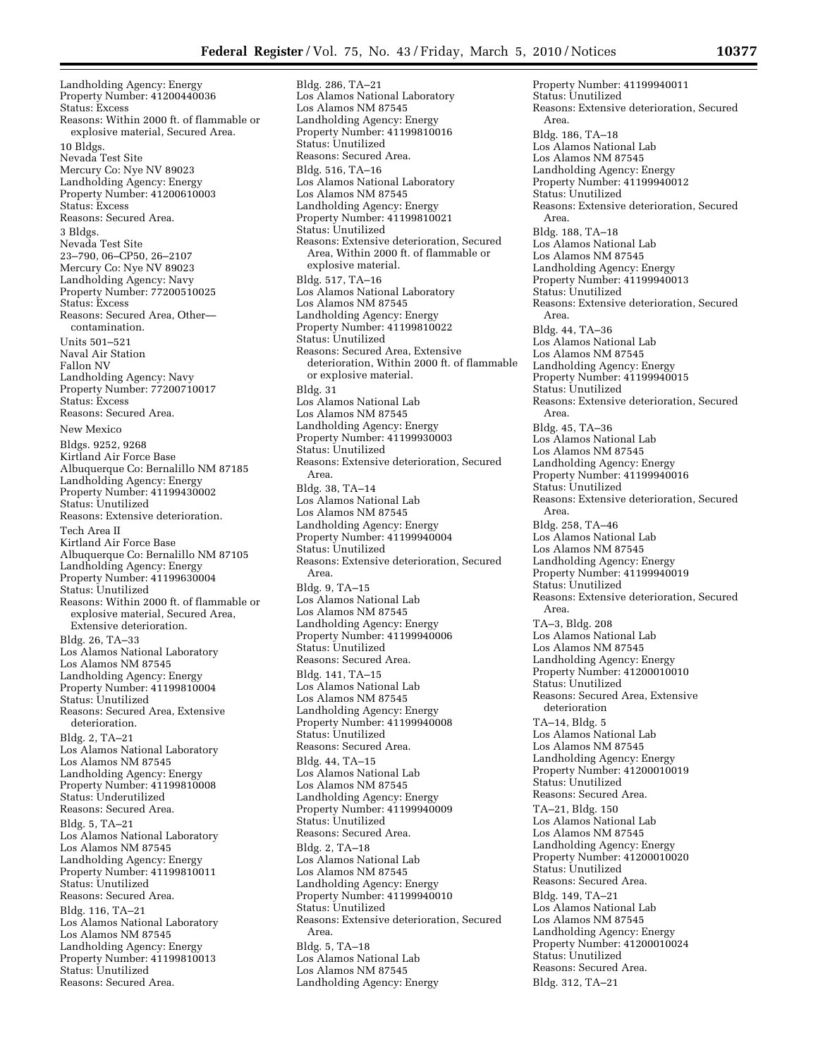Landholding Agency: Energy Property Number: 41200440036 Status: Excess Reasons: Within 2000 ft. of flammable or explosive material, Secured Area. 10 Bldgs. Nevada Test Site Mercury Co: Nye NV 89023 Landholding Agency: Energy Property Number: 41200610003 Status: Excess Reasons: Secured Area. 3 Bldgs. Nevada Test Site 23–790, 06–CP50, 26–2107 Mercury Co: Nye NV 89023 Landholding Agency: Navy Property Number: 77200510025 Status: Excess Reasons: Secured Area, Other contamination. Units 501–521 Naval Air Station Fallon NV Landholding Agency: Navy Property Number: 77200710017 Status: Excess Reasons: Secured Area. New Mexico Bldgs. 9252, 9268 Kirtland Air Force Base Albuquerque Co: Bernalillo NM 87185 Landholding Agency: Energy Property Number: 41199430002 Status: Unutilized Reasons: Extensive deterioration. Tech Area II Kirtland Air Force Base Albuquerque Co: Bernalillo NM 87105 Landholding Agency: Energy Property Number: 41199630004 Status: Unutilized Reasons: Within 2000 ft. of flammable or explosive material, Secured Area, Extensive deterioration. Bldg. 26, TA–33 Los Alamos National Laboratory Los Alamos NM 87545 Landholding Agency: Energy Property Number: 41199810004 Status: Unutilized Reasons: Secured Area, Extensive deterioration. Bldg. 2, TA–21 Los Alamos National Laboratory Los Alamos NM 87545 Landholding Agency: Energy Property Number: 41199810008 Status: Underutilized Reasons: Secured Area. Bldg. 5, TA–21 Los Alamos National Laboratory Los Alamos NM 87545 Landholding Agency: Energy Property Number: 41199810011 Status: Unutilized Reasons: Secured Area. Bldg. 116, TA–21 Los Alamos National Laboratory Los Alamos NM 87545 Landholding Agency: Energy Property Number: 41199810013 Status: Unutilized Reasons: Secured Area.

Bldg. 286, TA–21 Los Alamos National Laboratory Los Alamos NM 87545 Landholding Agency: Energy Property Number: 41199810016 Status: Unutilized Reasons: Secured Area. Bldg. 516, TA–16 Los Alamos National Laboratory Los Alamos NM 87545 Landholding Agency: Energy Property Number: 41199810021 Status: Unutilized Reasons: Extensive deterioration, Secured Area, Within 2000 ft. of flammable or explosive material. Bldg. 517, TA–16 Los Alamos National Laboratory Los Alamos NM 87545 Landholding Agency: Energy Property Number: 41199810022 Status: Unutilized Reasons: Secured Area, Extensive deterioration, Within 2000 ft. of flammable or explosive material. Bldg. 31 Los Alamos National Lab Los Alamos NM 87545 Landholding Agency: Energy Property Number: 41199930003 Status: Unutilized Reasons: Extensive deterioration, Secured Area. Bldg. 38, TA–14 Los Alamos National Lab Los Alamos NM 87545 Landholding Agency: Energy Property Number: 41199940004 Status: Unutilized Reasons: Extensive deterioration, Secured Area. Bldg. 9, TA–15 Los Alamos National Lab Los Alamos NM 87545 Landholding Agency: Energy Property Number: 41199940006 Status: Unutilized Reasons: Secured Area. Bldg. 141, TA–15 Los Alamos National Lab Los Alamos NM 87545 Landholding Agency: Energy Property Number: 41199940008 Status: Unutilized Reasons: Secured Area. Bldg. 44, TA–15 Los Alamos National Lab Los Alamos NM 87545 Landholding Agency: Energy Property Number: 41199940009 Status: Unutilized Reasons: Secured Area. Bldg. 2, TA–18 Los Alamos National Lab Los Alamos NM 87545 Landholding Agency: Energy Property Number: 41199940010 Status: Unutilized Reasons: Extensive deterioration, Secured Area. Bldg. 5, TA–18 Los Alamos National Lab Los Alamos NM 87545 Landholding Agency: Energy

Property Number: 41199940011 Status: Unutilized Reasons: Extensive deterioration, Secured Area. Bldg. 186, TA–18 Los Alamos National Lab Los Alamos NM 87545 Landholding Agency: Energy Property Number: 41199940012 Status: Unutilized Reasons: Extensive deterioration, Secured Area. Bldg. 188, TA–18 Los Alamos National Lab Los Alamos NM 87545 Landholding Agency: Energy Property Number: 41199940013 Status: Unutilized Reasons: Extensive deterioration, Secured Area. Bldg. 44, TA–36 Los Alamos National Lab Los Alamos NM 87545 Landholding Agency: Energy Property Number: 41199940015 Status: Unutilized Reasons: Extensive deterioration, Secured Area. Bldg. 45, TA–36 Los Alamos National Lab Los Alamos NM 87545 Landholding Agency: Energy Property Number: 41199940016 Status: Unutilized Reasons: Extensive deterioration, Secured Area. Bldg. 258, TA–46 Los Alamos National Lab Los Alamos NM 87545 Landholding Agency: Energy Property Number: 41199940019 Status: Unutilized Reasons: Extensive deterioration, Secured Area. TA–3, Bldg. 208 Los Alamos National Lab Los Alamos NM 87545 Landholding Agency: Energy Property Number: 41200010010 Status: Unutilized Reasons: Secured Area, Extensive deterioration TA–14, Bldg. 5 Los Alamos National Lab Los Alamos NM 87545 Landholding Agency: Energy Property Number: 41200010019 Status: Unutilized Reasons: Secured Area. TA–21, Bldg. 150 Los Alamos National Lab Los Alamos NM 87545 Landholding Agency: Energy Property Number: 41200010020 Status: Unutilized Reasons: Secured Area. Bldg. 149, TA–21 Los Alamos National Lab Los Alamos NM 87545 Landholding Agency: Energy Property Number: 41200010024 Status: Unutilized Reasons: Secured Area. Bldg. 312, TA–21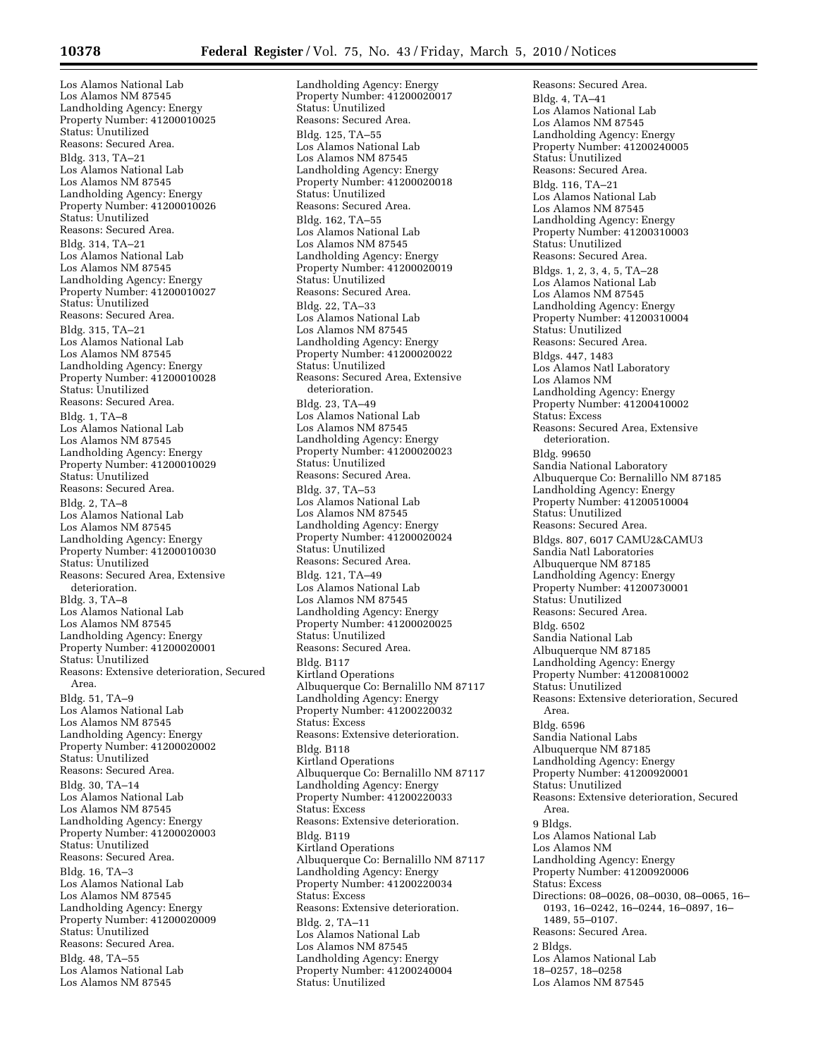Los Alamos National Lab Los Alamos NM 87545 Landholding Agency: Energy Property Number: 41200010025 Status: Unutilized Reasons: Secured Area. Bldg. 313, TA–21 Los Alamos National Lab Los Alamos NM 87545 Landholding Agency: Energy Property Number: 41200010026 Status: Unutilized Reasons: Secured Area. Bldg. 314, TA–21 Los Alamos National Lab Los Alamos NM 87545 Landholding Agency: Energy Property Number: 41200010027 Status: Unutilized Reasons: Secured Area. Bldg. 315, TA–21 Los Alamos National Lab Los Alamos NM 87545 Landholding Agency: Energy Property Number: 41200010028 Status: Unutilized Reasons: Secured Area. Bldg. 1, TA–8 Los Alamos National Lab Los Alamos NM 87545 Landholding Agency: Energy Property Number: 41200010029 Status: Unutilized Reasons: Secured Area. Bldg. 2, TA–8 Los Alamos National Lab Los Alamos NM 87545 Landholding Agency: Energy Property Number: 41200010030 Status: Unutilized Reasons: Secured Area, Extensive deterioration. Bldg. 3, TA–8 Los Alamos National Lab Los Alamos NM 87545 Landholding Agency: Energy Property Number: 41200020001 Status: Unutilized Reasons: Extensive deterioration, Secured Area. Bldg. 51, TA–9 Los Alamos National Lab Los Alamos NM 87545 Landholding Agency: Energy Property Number: 41200020002 Status: Unutilized Reasons: Secured Area. Bldg. 30, TA–14 Los Alamos National Lab Los Alamos NM 87545 Landholding Agency: Energy Property Number: 41200020003 Status: Unutilized Reasons: Secured Area. Bldg. 16, TA–3 Los Alamos National Lab Los Alamos NM 87545 Landholding Agency: Energy Property Number: 41200020009 Status: Unutilized Reasons: Secured Area. Bldg. 48, TA–55 Los Alamos National Lab

Los Alamos NM 87545

Landholding Agency: Energy Property Number: 41200020017 Status: Unutilized Reasons: Secured Area. Bldg. 125, TA–55 Los Alamos National Lab Los Alamos NM 87545 Landholding Agency: Energy Property Number: 41200020018 Status: Unutilized Reasons: Secured Area. Bldg. 162, TA–55 Los Alamos National Lab Los Alamos NM 87545 Landholding Agency: Energy Property Number: 41200020019 Status: Unutilized Reasons: Secured Area. Bldg. 22, TA–33 Los Alamos National Lab Los Alamos NM 87545 Landholding Agency: Energy Property Number: 41200020022 Status: Unutilized Reasons: Secured Area, Extensive deterioration. Bldg. 23, TA–49 Los Alamos National Lab Los Alamos NM 87545 Landholding Agency: Energy Property Number: 41200020023 Status: Unutilized Reasons: Secured Area. Bldg. 37, TA–53 Los Alamos National Lab Los Alamos NM 87545 Landholding Agency: Energy Property Number: 41200020024 Status: Unutilized Reasons: Secured Area. Bldg. 121, TA–49 Los Alamos National Lab Los Alamos NM 87545 Landholding Agency: Energy Property Number: 41200020025 Status: Unutilized Reasons: Secured Area. Bldg. B117 Kirtland Operations Albuquerque Co: Bernalillo NM 87117 Landholding Agency: Energy Property Number: 41200220032 Status: Excess Reasons: Extensive deterioration. Bldg. B118 Kirtland Operations Albuquerque Co: Bernalillo NM 87117 Landholding Agency: Energy Property Number: 41200220033 Status: Excess Reasons: Extensive deterioration. Bldg. B119 Kirtland Operations Albuquerque Co: Bernalillo NM 87117 Landholding Agency: Energy Property Number: 41200220034 Status: Excess Reasons: Extensive deterioration. Bldg. 2, TA–11 Los Alamos National Lab Los Alamos NM 87545 Landholding Agency: Energy Property Number: 41200240004 Status: Unutilized

Reasons: Secured Area. Bldg. 4, TA–41 Los Alamos National Lab Los Alamos NM 87545 Landholding Agency: Energy Property Number: 41200240005 Status: Unutilized Reasons: Secured Area. Bldg. 116, TA–21 Los Alamos National Lab Los Alamos NM 87545 Landholding Agency: Energy Property Number: 41200310003 Status: Unutilized Reasons: Secured Area. Bldgs. 1, 2, 3, 4, 5, TA–28 Los Alamos National Lab Los Alamos NM 87545 Landholding Agency: Energy Property Number: 41200310004 Status: Unutilized Reasons: Secured Area. Bldgs. 447, 1483 Los Alamos Natl Laboratory Los Alamos NM Landholding Agency: Energy Property Number: 41200410002 Status: Excess Reasons: Secured Area, Extensive deterioration. Bldg. 99650 Sandia National Laboratory Albuquerque Co: Bernalillo NM 87185 Landholding Agency: Energy Property Number: 41200510004 Status: Unutilized Reasons: Secured Area. Bldgs. 807, 6017 CAMU2&CAMU3 Sandia Natl Laboratories Albuquerque NM 87185 Landholding Agency: Energy Property Number: 41200730001 Status: Unutilized Reasons: Secured Area. Bldg. 6502 Sandia National Lab Albuquerque NM 87185 Landholding Agency: Energy Property Number: 41200810002 Status: Unutilized Reasons: Extensive deterioration, Secured Area. Bldg. 6596 Sandia National Labs Albuquerque NM 87185 Landholding Agency: Energy Property Number: 41200920001 Status: Unutilized Reasons: Extensive deterioration, Secured Area. 9 Bldgs. Los Alamos National Lab Los Alamos NM Landholding Agency: Energy Property Number: 41200920006 Status: Excess Directions: 08–0026, 08–0030, 08–0065, 16– 0193, 16–0242, 16–0244, 16–0897, 16– 1489, 55–0107. Reasons: Secured Area. 2 Bldgs. Los Alamos National Lab 18–0257, 18–0258 Los Alamos NM 87545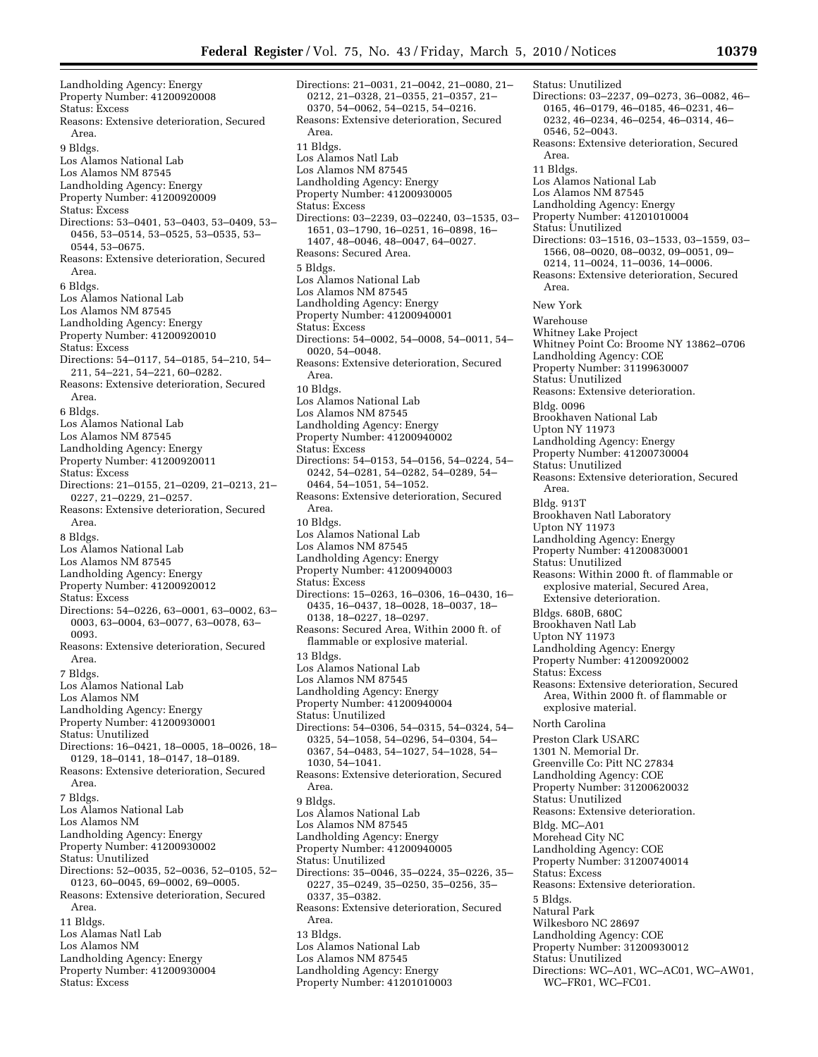Landholding Agency: Energy Property Number: 41200920008 Status: Excess Reasons: Extensive deterioration, Secured Area. 9 Bldgs. Los Alamos National Lab Los Alamos NM 87545 Landholding Agency: Energy Property Number: 41200920009 Status: Excess Directions: 53–0401, 53–0403, 53–0409, 53– 0456, 53–0514, 53–0525, 53–0535, 53– 0544, 53–0675. Reasons: Extensive deterioration, Secured Area. 6 Bldgs. Los Alamos National Lab Los Alamos NM 87545 Landholding Agency: Energy Property Number: 41200920010 Status: Excess Directions: 54–0117, 54–0185, 54–210, 54– 211, 54–221, 54–221, 60–0282. Reasons: Extensive deterioration, Secured Area. 6 Bldgs. Los Alamos National Lab Los Alamos NM 87545 Landholding Agency: Energy Property Number: 41200920011 Status: Excess Directions: 21–0155, 21–0209, 21–0213, 21– 0227, 21–0229, 21–0257. Reasons: Extensive deterioration, Secured Area. 8 Bldgs. Los Alamos National Lab Los Alamos NM 87545 Landholding Agency: Energy Property Number: 41200920012 Status: Excess Directions: 54–0226, 63–0001, 63–0002, 63– 0003, 63–0004, 63–0077, 63–0078, 63– 0093. Reasons: Extensive deterioration, Secured Area. 7 Bldgs. Los Alamos National Lab Los Alamos NM Landholding Agency: Energy Property Number: 41200930001 Status: Unutilized Directions: 16–0421, 18–0005, 18–0026, 18– 0129, 18–0141, 18–0147, 18–0189. Reasons: Extensive deterioration, Secured Area. 7 Bldgs. Los Alamos National Lab Los Alamos NM Landholding Agency: Energy Property Number: 41200930002 Status: Unutilized Directions: 52–0035, 52–0036, 52–0105, 52– 0123, 60–0045, 69–0002, 69–0005. Reasons: Extensive deterioration, Secured Area. 11 Bldgs. Los Alamas Natl Lab Los Alamos NM Landholding Agency: Energy Property Number: 41200930004 Status: Excess

Directions: 21–0031, 21–0042, 21–0080, 21– 0212, 21–0328, 21–0355, 21–0357, 21– 0370, 54–0062, 54–0215, 54–0216. Reasons: Extensive deterioration, Secured Area. 11 Bldgs. Los Alamos Natl Lab Los Alamos NM 87545 Landholding Agency: Energy Property Number: 41200930005 Status: Excess Directions: 03–2239, 03–02240, 03–1535, 03– 1651, 03–1790, 16–0251, 16–0898, 16– 1407, 48–0046, 48–0047, 64–0027. Reasons: Secured Area. 5 Bldgs. Los Alamos National Lab Los Alamos NM 87545 Landholding Agency: Energy Property Number: 41200940001 Status: Excess Directions: 54–0002, 54–0008, 54–0011, 54– 0020, 54–0048. Reasons: Extensive deterioration, Secured Area. 10 Bldgs. Los Alamos National Lab Los Alamos NM 87545 Landholding Agency: Energy Property Number: 41200940002 Status: Excess Directions: 54–0153, 54–0156, 54–0224, 54– 0242, 54–0281, 54–0282, 54–0289, 54– 0464, 54–1051, 54–1052. Reasons: Extensive deterioration, Secured Area. 10 Bldgs. Los Alamos National Lab Los Alamos NM 87545 Landholding Agency: Energy Property Number: 41200940003 Status: Excess Directions: 15–0263, 16–0306, 16–0430, 16– 0435, 16–0437, 18–0028, 18–0037, 18– 0138, 18–0227, 18–0297. Reasons: Secured Area, Within 2000 ft. of flammable or explosive material. 13 Bldgs. Los Alamos National Lab Los Alamos NM 87545 Landholding Agency: Energy Property Number: 41200940004 Status: Unutilized Directions: 54–0306, 54–0315, 54–0324, 54– 0325, 54–1058, 54–0296, 54–0304, 54– 0367, 54–0483, 54–1027, 54–1028, 54– 1030, 54–1041. Reasons: Extensive deterioration, Secured Area. 9 Bldgs. Los Alamos National Lab Los Alamos NM 87545 Landholding Agency: Energy Property Number: 41200940005 Status: Unutilized Directions: 35–0046, 35–0224, 35–0226, 35– 0227, 35–0249, 35–0250, 35–0256, 35– 0337, 35–0382. Reasons: Extensive deterioration, Secured Area. 13 Bldgs. Los Alamos National Lab Los Alamos NM 87545 Landholding Agency: Energy Property Number: 41201010003

Directions: 03–2237, 09–0273, 36–0082, 46– 0165, 46–0179, 46–0185, 46–0231, 46– 0232, 46–0234, 46–0254, 46–0314, 46– 0546, 52–0043. Reasons: Extensive deterioration, Secured Area. 11 Bldgs. Los Alamos National Lab Los Alamos NM 87545 Landholding Agency: Energy Property Number: 41201010004 Status: Unutilized Directions: 03–1516, 03–1533, 03–1559, 03– 1566, 08–0020, 08–0032, 09–0051, 09– 0214, 11–0024, 11–0036, 14–0006. Reasons: Extensive deterioration, Secured Area. New York Warehouse Whitney Lake Project Whitney Point Co: Broome NY 13862–0706 Landholding Agency: COE Property Number: 31199630007 Status: Unutilized Reasons: Extensive deterioration. Bldg. 0096 Brookhaven National Lab Upton NY 11973 Landholding Agency: Energy Property Number: 41200730004 Status: Unutilized Reasons: Extensive deterioration, Secured Area. Bldg. 913T Brookhaven Natl Laboratory Upton NY 11973 Landholding Agency: Energy Property Number: 41200830001 Status: Unutilized Reasons: Within 2000 ft. of flammable or explosive material, Secured Area, Extensive deterioration. Bldgs. 680B, 680C Brookhaven Natl Lab Upton NY 11973 Landholding Agency: Energy Property Number: 41200920002 Status: Excess Reasons: Extensive deterioration, Secured Area, Within 2000 ft. of flammable or explosive material. North Carolina Preston Clark USARC 1301 N. Memorial Dr. Greenville Co: Pitt NC 27834 Landholding Agency: COE Property Number: 31200620032 Status: Unutilized Reasons: Extensive deterioration. Bldg. MC–A01 Morehead City NC Landholding Agency: COE Property Number: 31200740014 Status: Excess Reasons: Extensive deterioration. 5 Bldgs. Natural Park Wilkesboro NC 28697 Landholding Agency: COE Property Number: 31200930012 Status: Unutilized Directions: WC–A01, WC–AC01, WC–AW01, WC–FR01, WC–FC01.

Status: Unutilized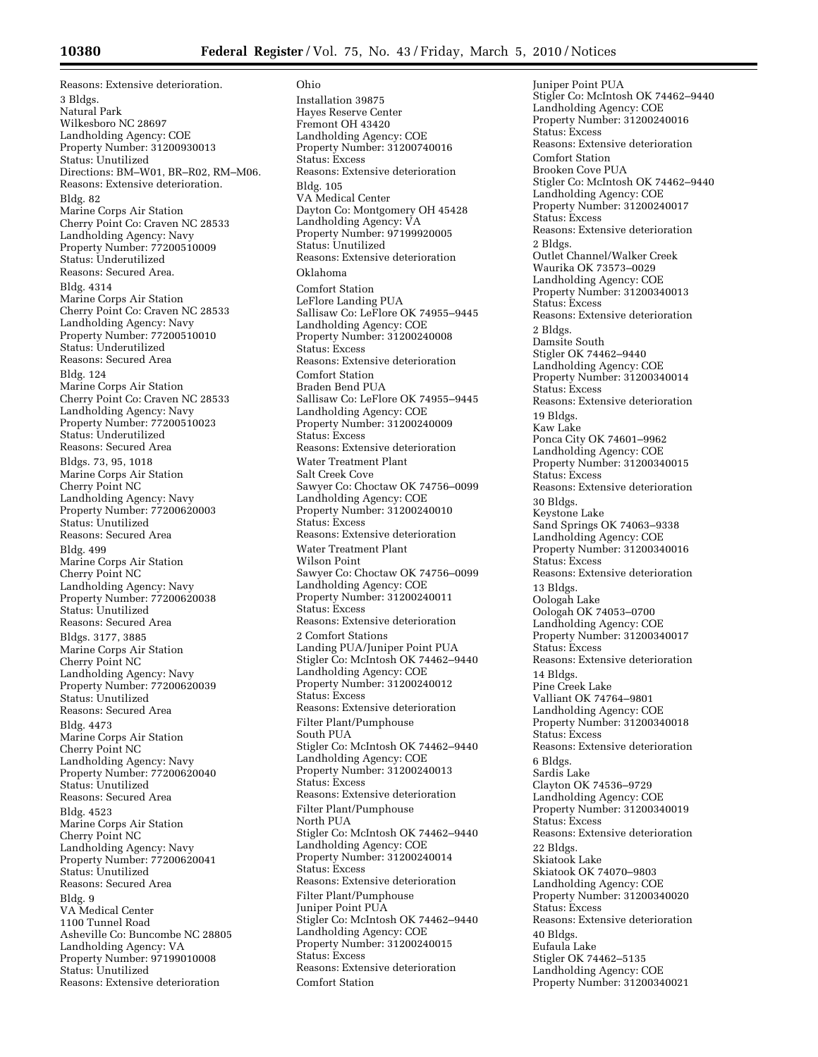Reasons: Extensive deterioration. 3 Bldgs. Natural Park Wilkesboro NC 28697 Landholding Agency: COE Property Number: 31200930013 Status: Unutilized Directions: BM–W01, BR–R02, RM–M06. Reasons: Extensive deterioration. Bldg. 82 Marine Corps Air Station Cherry Point Co: Craven NC 28533 Landholding Agency: Navy Property Number: 77200510009 Status: Underutilized Reasons: Secured Area. Bldg. 4314 Marine Corps Air Station Cherry Point Co: Craven NC 28533 Landholding Agency: Navy Property Number: 77200510010 Status: Underutilized Reasons: Secured Area Bldg. 124 Marine Corps Air Station Cherry Point Co: Craven NC 28533 Landholding Agency: Navy Property Number: 77200510023 Status: Underutilized Reasons: Secured Area Bldgs. 73, 95, 1018 Marine Corps Air Station Cherry Point NC Landholding Agency: Navy Property Number: 77200620003 Status: Unutilized Reasons: Secured Area Bldg. 499 Marine Corps Air Station Cherry Point NC Landholding Agency: Navy Property Number: 77200620038 Status: Unutilized Reasons: Secured Area Bldgs. 3177, 3885 Marine Corps Air Station Cherry Point NC Landholding Agency: Navy Property Number: 77200620039 Status: Unutilized Reasons: Secured Area Bldg. 4473 Marine Corps Air Station Cherry Point NC Landholding Agency: Navy Property Number: 77200620040 Status: Unutilized Reasons: Secured Area Bldg. 4523 Marine Corps Air Station Cherry Point NC Landholding Agency: Navy Property Number: 77200620041 Status: Unutilized Reasons: Secured Area Bldg. 9 VA Medical Center 1100 Tunnel Road Asheville Co: Buncombe NC 28805 Landholding Agency: VA Property Number: 97199010008 Status: Unutilized Reasons: Extensive deterioration

Ohio Installation 39875 Hayes Reserve Center Fremont OH 43420 Landholding Agency: COE Property Number: 31200740016 Status: Excess Reasons: Extensive deterioration Bldg. 105 VA Medical Center Dayton Co: Montgomery OH 45428 Landholding Agency: VA Property Number: 97199920005 Status: Unutilized Reasons: Extensive deterioration Oklahoma Comfort Station LeFlore Landing PUA Sallisaw Co: LeFlore OK 74955–9445 Landholding Agency: COE Property Number: 31200240008 Status: Excess Reasons: Extensive deterioration Comfort Station Braden Bend PUA Sallisaw Co: LeFlore OK 74955–9445 Landholding Agency: COE Property Number: 31200240009 Status: Excess Reasons: Extensive deterioration Water Treatment Plant Salt Creek Cove Sawyer Co: Choctaw OK 74756–0099 Landholding Agency: COE Property Number: 31200240010 Status: Excess Reasons: Extensive deterioration Water Treatment Plant Wilson Point Sawyer Co: Choctaw OK 74756–0099 Landholding Agency: COE Property Number: 31200240011 Status: Excess Reasons: Extensive deterioration 2 Comfort Stations Landing PUA/Juniper Point PUA Stigler Co: McIntosh OK 74462–9440 Landholding Agency: COE Property Number: 31200240012 Status: Excess Reasons: Extensive deterioration Filter Plant/Pumphouse South PUA Stigler Co: McIntosh OK 74462–9440 Landholding Agency: COE Property Number: 31200240013 Status: Excess Reasons: Extensive deterioration Filter Plant/Pumphouse North PUA Stigler Co: McIntosh OK 74462–9440 Landholding Agency: COE Property Number: 31200240014 Status: Excess Reasons: Extensive deterioration Filter Plant/Pumphouse Juniper Point PUA Stigler Co: McIntosh OK 74462–9440 Landholding Agency: COE Property Number: 31200240015 Status: Excess Reasons: Extensive deterioration Comfort Station

Juniper Point PUA Stigler Co: McIntosh OK 74462–9440 Landholding Agency: COE Property Number: 31200240016 Status: Excess Reasons: Extensive deterioration Comfort Station Brooken Cove PUA Stigler Co: McIntosh OK 74462–9440 Landholding Agency: COE Property Number: 31200240017 Status: Excess Reasons: Extensive deterioration 2 Bldgs. Outlet Channel/Walker Creek Waurika OK 73573–0029 Landholding Agency: COE Property Number: 31200340013 Status: Excess Reasons: Extensive deterioration 2 Bldgs. Damsite South Stigler OK 74462–9440 Landholding Agency: COE Property Number: 31200340014 Status: Excess Reasons: Extensive deterioration 19 Bldgs. Kaw Lake Ponca City OK 74601–9962 Landholding Agency: COE Property Number: 31200340015 Status: Excess Reasons: Extensive deterioration 30 Bldgs. Keystone Lake Sand Springs OK 74063–9338 Landholding Agency: COE Property Number: 31200340016 Status: Excess Reasons: Extensive deterioration 13 Bldgs. Oologah Lake Oologah OK 74053–0700 Landholding Agency: COE Property Number: 31200340017 Status: Excess Reasons: Extensive deterioration 14 Bldgs. Pine Creek Lake Valliant OK 74764–9801 Landholding Agency: COE Property Number: 31200340018 Status: Excess Reasons: Extensive deterioration 6 Bldgs. Sardis Lake Clayton OK 74536–9729 Landholding Agency: COE Property Number: 31200340019 Status: Excess Reasons: Extensive deterioration 22 Bldgs. Skiatook Lake Skiatook OK 74070–9803 Landholding Agency: COE Property Number: 31200340020 Status: Excess Reasons: Extensive deterioration 40 Bldgs. Eufaula Lake Stigler OK 74462–5135 Landholding Agency: COE Property Number: 31200340021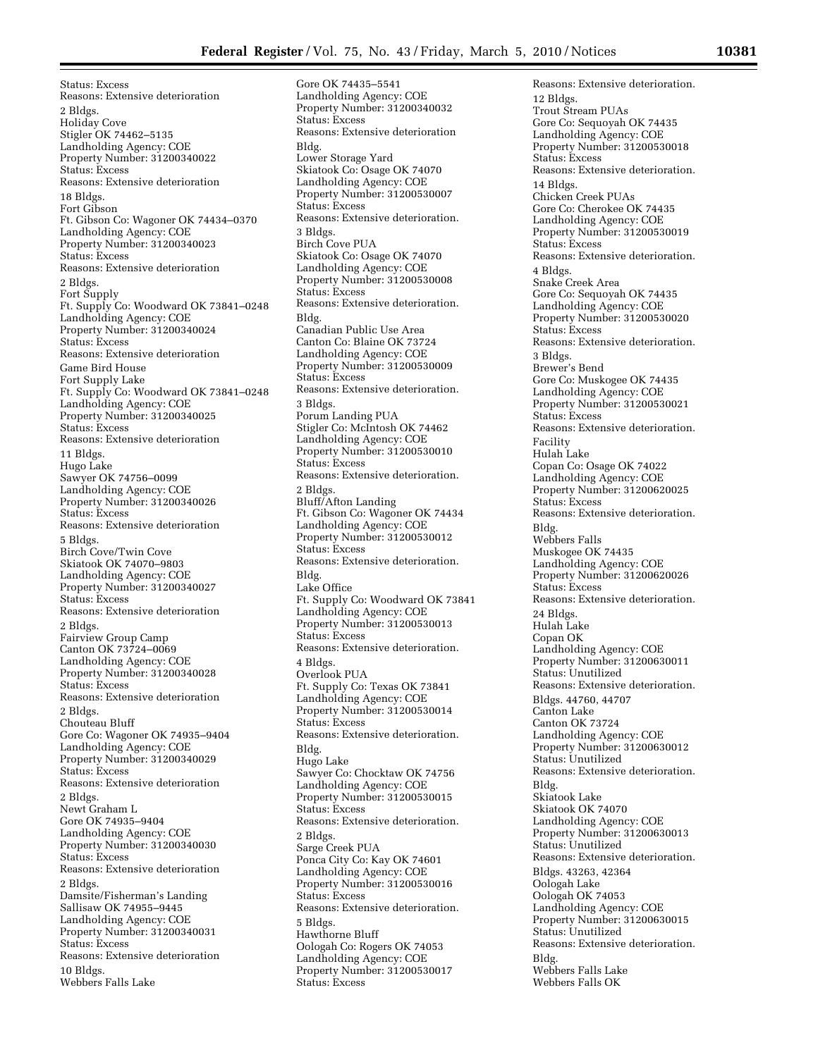Status: Excess Reasons: Extensive deterioration 2 Bldgs. Holiday Cove Stigler OK 74462–5135 Landholding Agency: COE Property Number: 31200340022 Status: Excess Reasons: Extensive deterioration 18 Bldgs. Fort Gibson Ft. Gibson Co: Wagoner OK 74434–0370 Landholding Agency: COE Property Number: 31200340023 Status: Excess Reasons: Extensive deterioration 2 Bldgs. Fort Supply Ft. Supply Co: Woodward OK 73841–0248 Landholding Agency: COE Property Number: 31200340024 Status: Excess Reasons: Extensive deterioration Game Bird House Fort Supply Lake Ft. Supply Co: Woodward OK 73841–0248 Landholding Agency: COE Property Number: 31200340025 Status: Excess Reasons: Extensive deterioration 11 Bldgs. Hugo Lake Sawyer OK 74756–0099 Landholding Agency: COE Property Number: 31200340026 Status: Excess Reasons: Extensive deterioration 5 Bldgs. Birch Cove/Twin Cove Skiatook OK 74070–9803 Landholding Agency: COE Property Number: 31200340027 Status: Excess Reasons: Extensive deterioration 2 Bldgs. Fairview Group Camp Canton OK 73724–0069 Landholding Agency: COE Property Number: 31200340028 Status: Excess Reasons: Extensive deterioration 2 Bldgs. Chouteau Bluff Gore Co: Wagoner OK 74935–9404 Landholding Agency: COE Property Number: 31200340029 Status: Excess Reasons: Extensive deterioration 2 Bldgs. Newt Graham L Gore OK 74935–9404 Landholding Agency: COE Property Number: 31200340030 Status: Excess Reasons: Extensive deterioration 2 Bldgs. Damsite/Fisherman's Landing Sallisaw OK 74955–9445 Landholding Agency: COE Property Number: 31200340031 Status: Excess Reasons: Extensive deterioration 10 Bldgs. Webbers Falls Lake

Gore OK 74435–5541 Landholding Agency: COE Property Number: 31200340032 Status: Excess Reasons: Extensive deterioration Bldg. Lower Storage Yard Skiatook Co: Osage OK 74070 Landholding Agency: COE Property Number: 31200530007 Status: Excess Reasons: Extensive deterioration. 3 Bldgs. Birch Cove PUA Skiatook Co: Osage OK 74070 Landholding Agency: COE Property Number: 31200530008 Status: Excess Reasons: Extensive deterioration. Bldg. Canadian Public Use Area Canton Co: Blaine OK 73724 Landholding Agency: COE Property Number: 31200530009 Status: Excess Reasons: Extensive deterioration. 3 Bldgs. Porum Landing PUA Stigler Co: McIntosh OK 74462 Landholding Agency: COE Property Number: 31200530010 Status: Excess Reasons: Extensive deterioration. 2 Bldgs. Bluff/Afton Landing Ft. Gibson Co: Wagoner OK 74434 Landholding Agency: COE Property Number: 31200530012 Status: Excess Reasons: Extensive deterioration. Bldg. Lake Office Ft. Supply Co: Woodward OK 73841 Landholding Agency: COE Property Number: 31200530013 Status: Excess Reasons: Extensive deterioration. 4 Bldgs. Overlook PUA Ft. Supply Co: Texas OK 73841 Landholding Agency: COE Property Number: 31200530014 Status: Excess Reasons: Extensive deterioration. Bldg. Hugo Lake Sawyer Co: Chocktaw OK 74756 Landholding Agency: COE Property Number: 31200530015 Status: Excess Reasons: Extensive deterioration. 2 Bldgs. Sarge Creek PUA Ponca City Co: Kay OK 74601 Landholding Agency: COE Property Number: 31200530016 Status: Excess Reasons: Extensive deterioration. 5 Bldgs. Hawthorne Bluff Oologah Co: Rogers OK 74053 Landholding Agency: COE Property Number: 31200530017 Status: Excess

Reasons: Extensive deterioration. 12 Bldgs. Trout Stream PUAs Gore Co: Sequoyah OK 74435 Landholding Agency: COE Property Number: 31200530018 Status: Excess Reasons: Extensive deterioration. 14 Bldgs. Chicken Creek PUAs Gore Co: Cherokee OK 74435 Landholding Agency: COE Property Number: 31200530019 Status: Excess Reasons: Extensive deterioration. 4 Bldgs. Snake Creek Area Gore Co: Sequoyah OK 74435 Landholding Agency: COE Property Number: 31200530020 Status: Excess Reasons: Extensive deterioration. 3 Bldgs. Brewer's Bend Gore Co: Muskogee OK 74435 Landholding Agency: COE Property Number: 31200530021 Status: Excess Reasons: Extensive deterioration. Facility Hulah Lake Copan Co: Osage OK 74022 Landholding Agency: COE Property Number: 31200620025 Status: Excess Reasons: Extensive deterioration. Bldg. Webbers Falls Muskogee OK 74435 Landholding Agency: COE Property Number: 31200620026 Status: Excess Reasons: Extensive deterioration. 24 Bldgs. Hulah Lake Copan OK Landholding Agency: COE Property Number: 31200630011 Status: Unutilized Reasons: Extensive deterioration. Bldgs. 44760, 44707 Canton Lake Canton OK 73724 Landholding Agency: COE Property Number: 31200630012 Status: Unutilized Reasons: Extensive deterioration. Bldg. Skiatook Lake Skiatook OK 74070 Landholding Agency: COE Property Number: 31200630013 Status: Unutilized Reasons: Extensive deterioration. Bldgs. 43263, 42364 Oologah Lake Oologah OK 74053 Landholding Agency: COE Property Number: 31200630015 Status: Unutilized Reasons: Extensive deterioration. Bldg. Webbers Falls Lake Webbers Falls OK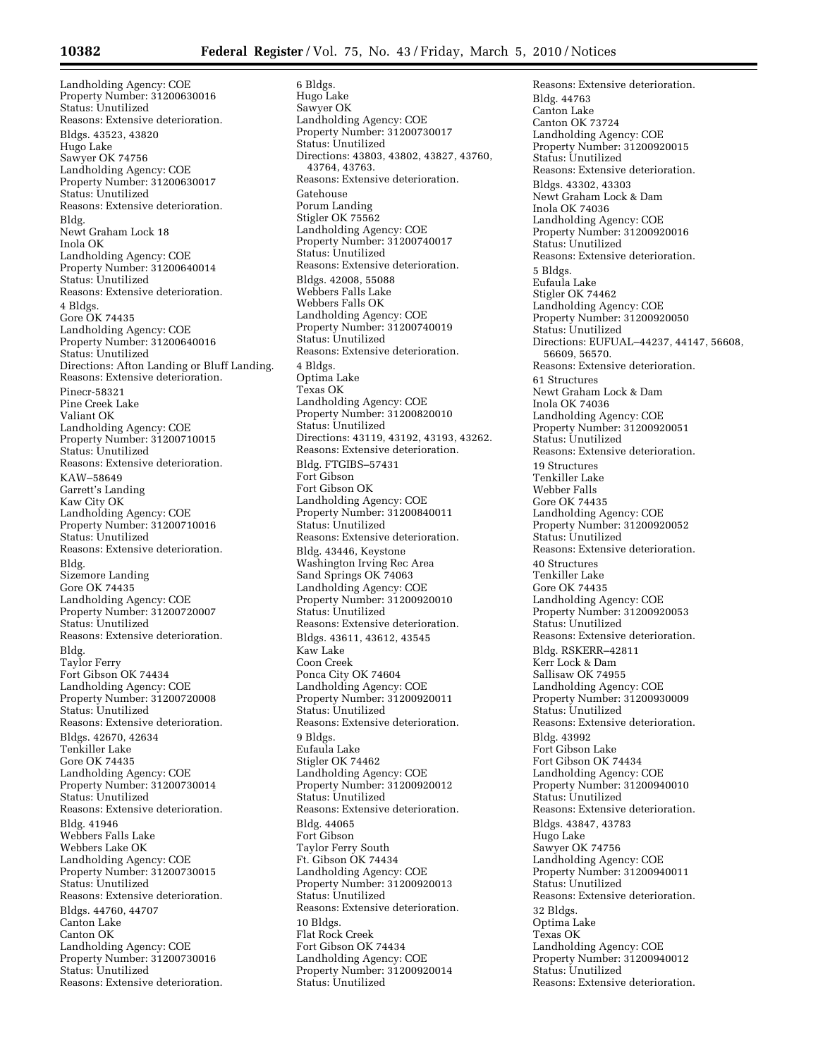Landholding Agency: COE Property Number: 31200630016 Status: Unutilized Reasons: Extensive deterioration. Bldgs. 43523, 43820 Hugo Lake Sawyer OK 74756 Landholding Agency: COE Property Number: 31200630017 Status: Unutilized Reasons: Extensive deterioration. Bldg. Newt Graham Lock 18 Inola OK Landholding Agency: COE Property Number: 31200640014 Status: Unutilized Reasons: Extensive deterioration. 4 Bldgs. Gore OK 74435 Landholding Agency: COE Property Number: 31200640016 Status: Unutilized Directions: Afton Landing or Bluff Landing. Reasons: Extensive deterioration. Pinecr-58321 Pine Creek Lake Valiant OK Landholding Agency: COE Property Number: 31200710015 Status: Unutilized Reasons: Extensive deterioration. KAW–58649 Garrett's Landing Kaw City OK Landholding Agency: COE Property Number: 31200710016 Status: Unutilized Reasons: Extensive deterioration. Bldg. Sizemore Landing Gore OK 74435 Landholding Agency: COE Property Number: 31200720007 Status: Unutilized Reasons: Extensive deterioration. Bldg. Taylor Ferry Fort Gibson OK 74434 Landholding Agency: COE Property Number: 31200720008 Status: Unutilized Reasons: Extensive deterioration. Bldgs. 42670, 42634 Tenkiller Lake Gore OK 74435 Landholding Agency: COE Property Number: 31200730014 Status: Unutilized Reasons: Extensive deterioration. Bldg. 41946 Webbers Falls Lake Webbers Lake OK Landholding Agency: COE Property Number: 31200730015 Status: Unutilized Reasons: Extensive deterioration. Bldgs. 44760, 44707 Canton Lake Canton OK Landholding Agency: COE Property Number: 31200730016 Status: Unutilized Reasons: Extensive deterioration.

6 Bldgs. Hugo Lake Sawyer OK Landholding Agency: COE Property Number: 31200730017 Status: Unutilized Directions: 43803, 43802, 43827, 43760, 43764, 43763. Reasons: Extensive deterioration. Gatehouse Porum Landing Stigler OK 75562 Landholding Agency: COE Property Number: 31200740017 Status: Unutilized Reasons: Extensive deterioration. Bldgs. 42008, 55088 Webbers Falls Lake Webbers Falls OK Landholding Agency: COE Property Number: 31200740019 Status: Unutilized Reasons: Extensive deterioration. 4 Bldgs. Optima Lake Texas OK Landholding Agency: COE Property Number: 31200820010 Status: Unutilized Directions: 43119, 43192, 43193, 43262. Reasons: Extensive deterioration. Bldg. FTGIBS–57431 Fort Gibson Fort Gibson OK Landholding Agency: COE Property Number: 31200840011 Status: Unutilized Reasons: Extensive deterioration. Bldg. 43446, Keystone Washington Irving Rec Area Sand Springs OK 74063 Landholding Agency: COE Property Number: 31200920010 Status: Unutilized Reasons: Extensive deterioration. Bldgs. 43611, 43612, 43545 Kaw Lake Coon Creek Ponca City OK 74604 Landholding Agency: COE Property Number: 31200920011 Status: Unutilized Reasons: Extensive deterioration. 9 Bldgs. Eufaula Lake Stigler OK 74462 Landholding Agency: COE Property Number: 31200920012 Status: Unutilized Reasons: Extensive deterioration. Bldg. 44065 Fort Gibson Taylor Ferry South Ft. Gibson OK 74434 Landholding Agency: COE Property Number: 31200920013 Status: Unutilized Reasons: Extensive deterioration. 10 Bldgs. Flat Rock Creek Fort Gibson OK 74434 Landholding Agency: COE Property Number: 31200920014 Status: Unutilized

Reasons: Extensive deterioration. Bldg. 44763 Canton Lake Canton OK 73724 Landholding Agency: COE Property Number: 31200920015 Status: Unutilized Reasons: Extensive deterioration. Bldgs. 43302, 43303 Newt Graham Lock & Dam Inola OK 74036 Landholding Agency: COE Property Number: 31200920016 Status: Unutilized Reasons: Extensive deterioration. 5 Bldgs. Eufaula Lake Stigler OK 74462 Landholding Agency: COE Property Number: 31200920050 Status: Unutilized Directions: EUFUAL–44237, 44147, 56608, 56609, 56570. Reasons: Extensive deterioration. 61 Structures Newt Graham Lock & Dam Inola OK 74036 Landholding Agency: COE Property Number: 31200920051 Status: Unutilized Reasons: Extensive deterioration. 19 Structures Tenkiller Lake Webber Falls Gore OK 74435 Landholding Agency: COE Property Number: 31200920052 Status: Unutilized Reasons: Extensive deterioration. 40 Structures Tenkiller Lake Gore OK 74435 Landholding Agency: COE Property Number: 31200920053 Status: Unutilized Reasons: Extensive deterioration. Bldg. RSKERR–42811 Kerr Lock & Dam Sallisaw OK 74955 Landholding Agency: COE Property Number: 31200930009 Status: Unutilized Reasons: Extensive deterioration. Bldg. 43992 Fort Gibson Lake Fort Gibson OK 74434 Landholding Agency: COE Property Number: 31200940010 Status: Unutilized Reasons: Extensive deterioration. Bldgs. 43847, 43783 Hugo Lake Sawyer OK 74756 Landholding Agency: COE Property Number: 31200940011 Status: Unutilized Reasons: Extensive deterioration. 32 Bldgs. Optima Lake Texas OK Landholding Agency: COE Property Number: 31200940012 Status: Unutilized Reasons: Extensive deterioration.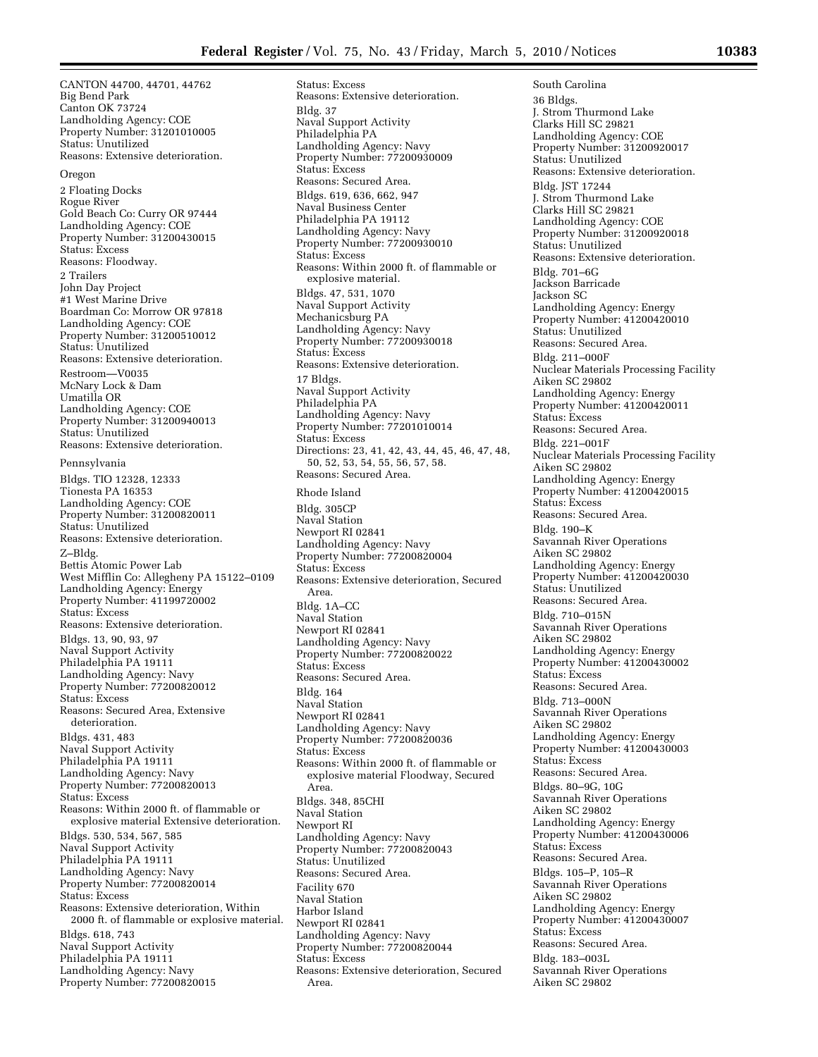CANTON 44700, 44701, 44762 Big Bend Park Canton OK 73724 Landholding Agency: COE Property Number: 31201010005 Status: Unutilized Reasons: Extensive deterioration.

#### Oregon

2 Floating Docks Rogue River Gold Beach Co: Curry OR 97444 Landholding Agency: COE Property Number: 31200430015 Status: Excess Reasons: Floodway. 2 Trailers John Day Project #1 West Marine Drive Boardman Co: Morrow OR 97818 Landholding Agency: COE Property Number: 31200510012 Status: Unutilized Reasons: Extensive deterioration. Restroom—V0035 McNary Lock & Dam Umatilla OR Landholding Agency: COE Property Number: 31200940013 Status: Unutilized Reasons: Extensive deterioration. Pennsylvania Bldgs. TIO 12328, 12333 Tionesta PA 16353 Landholding Agency: COE Property Number: 31200820011 Status: Unutilized Reasons: Extensive deterioration. Z–Bldg. Bettis Atomic Power Lab West Mifflin Co: Allegheny PA 15122–0109 Landholding Agency: Energy Property Number: 41199720002 Status: Excess Reasons: Extensive deterioration. Bldgs. 13, 90, 93, 97 Naval Support Activity Philadelphia PA 19111 Landholding Agency: Navy Property Number: 77200820012 Status: Excess Reasons: Secured Area, Extensive deterioration. Bldgs. 431, 483 Naval Support Activity Philadelphia PA 19111 Landholding Agency: Navy Property Number: 77200820013 Status: Excess Reasons: Within 2000 ft. of flammable or explosive material Extensive deterioration. Bldgs. 530, 534, 567, 585 Naval Support Activity Philadelphia PA 19111 Landholding Agency: Navy Property Number: 77200820014 Status: Excess Reasons: Extensive deterioration, Within 2000 ft. of flammable or explosive material. Bldgs. 618, 743 Naval Support Activity Philadelphia PA 19111 Landholding Agency: Navy Property Number: 77200820015

Status: Excess Reasons: Extensive deterioration. Bldg. 37 Naval Support Activity Philadelphia PA Landholding Agency: Navy Property Number: 77200930009 Status: Excess Reasons: Secured Area. Bldgs. 619, 636, 662, 947 Naval Business Center Philadelphia PA 19112 Landholding Agency: Navy Property Number: 77200930010 Status: Excess Reasons: Within 2000 ft. of flammable or explosive material. Bldgs. 47, 531, 1070 Naval Support Activity Mechanicsburg PA Landholding Agency: Navy Property Number: 77200930018 Status: Excess Reasons: Extensive deterioration. 17 Bldgs. Naval Support Activity Philadelphia PA Landholding Agency: Navy Property Number: 77201010014 Status: Excess Directions: 23, 41, 42, 43, 44, 45, 46, 47, 48, 50, 52, 53, 54, 55, 56, 57, 58. Reasons: Secured Area.

### Rhode Island

Bldg. 305CP Naval Station Newport RI 02841 Landholding Agency: Navy Property Number: 77200820004 Status: Excess Reasons: Extensive deterioration, Secured Area. Bldg. 1A–CC Naval Station Newport RI 02841 Landholding Agency: Navy Property Number: 77200820022 Status: Excess Reasons: Secured Area. Bldg. 164 Naval Station Newport RI 02841 Landholding Agency: Navy Property Number: 77200820036 Status: Excess Reasons: Within 2000 ft. of flammable or explosive material Floodway, Secured Area. Bldgs. 348, 85CHI Naval Station Newport RI Landholding Agency: Navy Property Number: 77200820043 Status: Unutilized Reasons: Secured Area. Facility 670 Naval Station Harbor Island Newport RI 02841 Landholding Agency: Navy Property Number: 77200820044 Status: Excess Reasons: Extensive deterioration, Secured Area.

South Carolina 36 Bldgs. J. Strom Thurmond Lake Clarks Hill SC 29821 Landholding Agency: COE Property Number: 31200920017 Status: Unutilized Reasons: Extensive deterioration. Bldg. JST 17244 J. Strom Thurmond Lake Clarks Hill SC 29821 Landholding Agency: COE Property Number: 31200920018 Status: Unutilized Reasons: Extensive deterioration. Bldg. 701–6G Jackson Barricade Jackson SC Landholding Agency: Energy Property Number: 41200420010 Status: Unutilized Reasons: Secured Area. Bldg. 211–000F Nuclear Materials Processing Facility Aiken SC 29802 Landholding Agency: Energy Property Number: 41200420011 Status: Excess Reasons: Secured Area. Bldg. 221–001F Nuclear Materials Processing Facility Aiken SC 29802 Landholding Agency: Energy Property Number: 41200420015 Status: Excess Reasons: Secured Area. Bldg. 190–K Savannah River Operations Aiken SC 29802 Landholding Agency: Energy Property Number: 41200420030 Status: Unutilized Reasons: Secured Area. Bldg. 710–015N Savannah River Operations Aiken SC 29802 Landholding Agency: Energy Property Number: 41200430002 Status: Excess Reasons: Secured Area. Bldg. 713–000N Savannah River Operations Aiken SC 29802 Landholding Agency: Energy Property Number: 41200430003 Status: Excess Reasons: Secured Area. Bldgs. 80–9G, 10G Savannah River Operations Aiken SC 29802 Landholding Agency: Energy Property Number: 41200430006 Status: Excess Reasons: Secured Area. Bldgs. 105–P, 105–R Savannah River Operations Aiken SC 29802 Landholding Agency: Energy Property Number: 41200430007 Status: Excess Reasons: Secured Area. Bldg. 183–003L Savannah River Operations Aiken SC 29802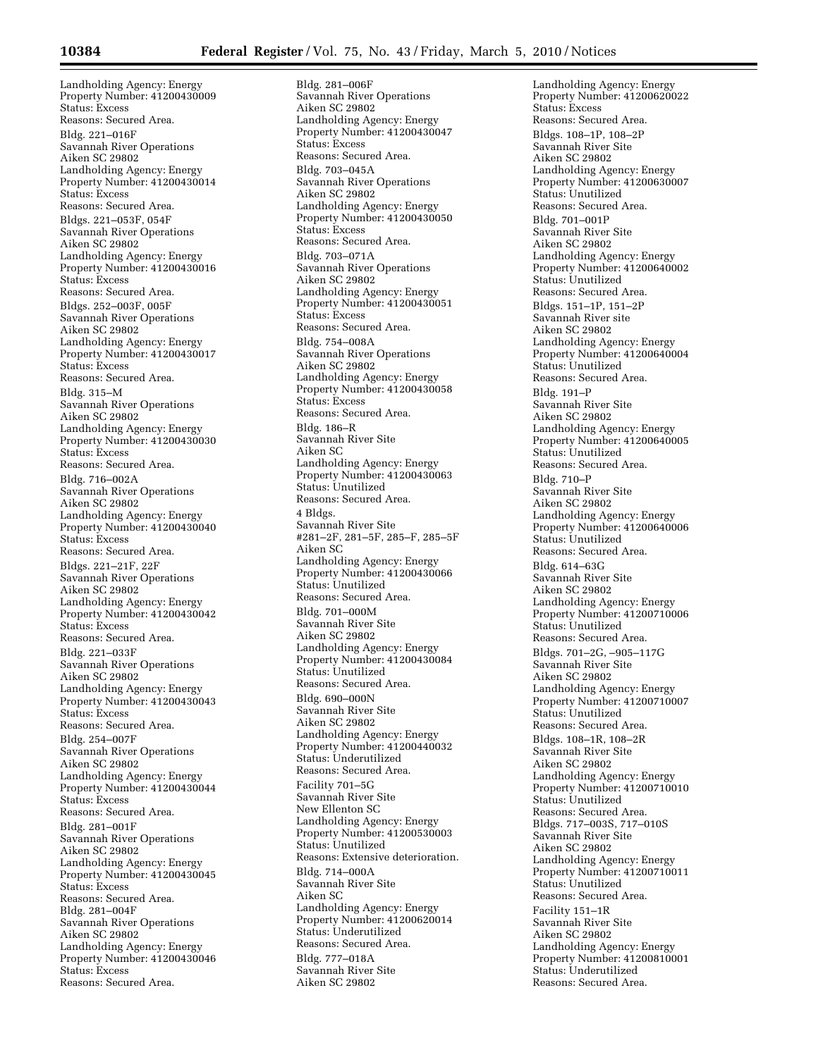Landholding Agency: Energy Property Number: 41200430009 Status: Excess Reasons: Secured Area. Bldg. 221–016F Savannah River Operations Aiken SC 29802 Landholding Agency: Energy Property Number: 41200430014 Status: Excess Reasons: Secured Area. Bldgs. 221–053F, 054F Savannah River Operations Aiken SC 29802 Landholding Agency: Energy Property Number: 41200430016 Status: Excess Reasons: Secured Area. Bldgs. 252–003F, 005F Savannah River Operations Aiken SC 29802 Landholding Agency: Energy Property Number: 41200430017 Status: Excess Reasons: Secured Area. Bldg. 315–M Savannah River Operations Aiken SC 29802 Landholding Agency: Energy Property Number: 41200430030 Status: Excess Reasons: Secured Area. Bldg. 716–002A Savannah River Operations Aiken SC 29802 Landholding Agency: Energy Property Number: 41200430040 Status: Excess Reasons: Secured Area. Bldgs. 221–21F, 22F Savannah River Operations Aiken SC 29802 Landholding Agency: Energy Property Number: 41200430042 Status: Excess Reasons: Secured Area. Bldg. 221–033F Savannah River Operations Aiken SC 29802 Landholding Agency: Energy Property Number: 41200430043 Status: Excess Reasons: Secured Area. Bldg. 254–007F Savannah River Operations Aiken SC 29802 Landholding Agency: Energy Property Number: 41200430044 Status: Excess Reasons: Secured Area. Bldg. 281–001F Savannah River Operations Aiken SC 29802 Landholding Agency: Energy Property Number: 41200430045 Status: Excess Reasons: Secured Area. Bldg. 281–004F Savannah River Operations Aiken SC 29802 Landholding Agency: Energy Property Number: 41200430046 Status: Excess Reasons: Secured Area.

Bldg. 281–006F Savannah River Operations Aiken SC 29802 Landholding Agency: Energy Property Number: 41200430047 Status: Excess Reasons: Secured Area. Bldg. 703–045A Savannah River Operations Aiken SC 29802 Landholding Agency: Energy Property Number: 41200430050 Status: Excess Reasons: Secured Area. Bldg. 703–071A Savannah River Operations Aiken SC 29802 Landholding Agency: Energy Property Number: 41200430051 Status: Excess Reasons: Secured Area. Bldg. 754–008A Savannah River Operations Aiken SC 29802 Landholding Agency: Energy Property Number: 41200430058 Status: Excess Reasons: Secured Area. Bldg. 186–R Savannah River Site Aiken SC Landholding Agency: Energy Property Number: 41200430063 Status: Unutilized Reasons: Secured Area. 4 Bldgs. Savannah River Site #281–2F, 281–5F, 285–F, 285–5F Aiken SC Landholding Agency: Energy Property Number: 41200430066 Status: Unutilized Reasons: Secured Area. Bldg. 701–000M Savannah River Site Aiken SC 29802 Landholding Agency: Energy Property Number: 41200430084 Status: Unutilized Reasons: Secured Area. Bldg. 690–000N Savannah River Site Aiken SC 29802 Landholding Agency: Energy Property Number: 41200440032 Status: Underutilized Reasons: Secured Area. Facility 701–5G Savannah River Site New Ellenton SC Landholding Agency: Energy Property Number: 41200530003 Status: Unutilized Reasons: Extensive deterioration. Bldg. 714–000A Savannah River Site Aiken SC Landholding Agency: Energy Property Number: 41200620014 Status: Underutilized Reasons: Secured Area. Bldg. 777–018A Savannah River Site Aiken SC 29802

Landholding Agency: Energy Property Number: 41200620022 Status: Excess Reasons: Secured Area. Bldgs. 108–1P, 108–2P Savannah River Site Aiken SC 29802 Landholding Agency: Energy Property Number: 41200630007 Status: Unutilized Reasons: Secured Area. Bldg. 701–001P Savannah River Site Aiken SC 29802 Landholding Agency: Energy Property Number: 41200640002 Status: Unutilized Reasons: Secured Area. Bldgs. 151–1P, 151–2P Savannah River site Aiken SC 29802 Landholding Agency: Energy Property Number: 41200640004 Status: Unutilized Reasons: Secured Area. Bldg. 191–P Savannah River Site Aiken SC 29802 Landholding Agency: Energy Property Number: 41200640005 Status: Unutilized Reasons: Secured Area. Bldg. 710–P Savannah River Site Aiken SC 29802 Landholding Agency: Energy Property Number: 41200640006 Status: Unutilized Reasons: Secured Area. Bldg. 614–63G Savannah River Site Aiken SC 29802 Landholding Agency: Energy Property Number: 41200710006 Status: Unutilized Reasons: Secured Area. Bldgs. 701–2G, –905–117G Savannah River Site Aiken SC 29802 Landholding Agency: Energy Property Number: 41200710007 Status: Unutilized Reasons: Secured Area. Bldgs. 108–1R, 108–2R Savannah River Site Aiken SC 29802 Landholding Agency: Energy Property Number: 41200710010 Status: Unutilized Reasons: Secured Area. Bldgs. 717–003S, 717–010S Savannah River Site Aiken SC 29802 Landholding Agency: Energy Property Number: 41200710011 Status: Unutilized Reasons: Secured Area. Facility 151–1R Savannah River Site Aiken SC 29802 Landholding Agency: Energy Property Number: 41200810001 Status: Underutilized Reasons: Secured Area.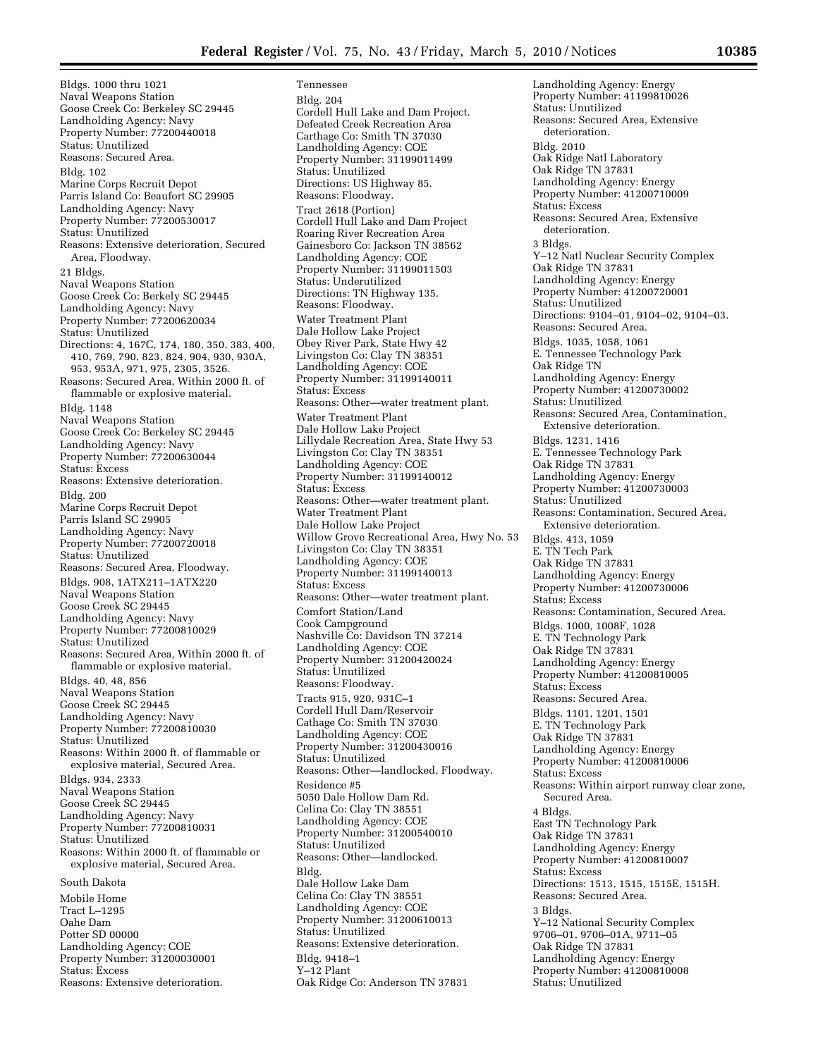Tennessee Bldg. 204

Bldgs. 1000 thru 1021 Naval Weapons Station Goose Creek Co: Berkeley SC 29445 Landholding Agency: Navy Property Number: 77200440018 Status: Unutilized Reasons: Secured Area. Bldg. 102 Marine Corps Recruit Depot Parris Island Co: Beaufort SC 29905 Landholding Agency: Navy Property Number: 77200530017 Status: Unutilized Reasons: Extensive deterioration, Secured Area, Floodway. 21 Bldgs. Naval Weapons Station Goose Creek Co: Berkely SC 29445 Landholding Agency: Navy Property Number: 77200620034 Status: Unutilized Directions: 4, 167C, 174, 180, 350, 383, 400, 410, 769, 790, 823, 824, 904, 930, 930A, 953, 953A, 971, 975, 2305, 3526. Reasons: Secured Area, Within 2000 ft. of flammable or explosive material. Bldg. 1148 Naval Weapons Station Goose Creek Co: Berkeley SC 29445 Landholding Agency: Navy Property Number: 77200630044 Status: Excess Reasons: Extensive deterioration. Bldg. 200 Marine Corps Recruit Depot Parris Island SC 29905 Landholding Agency: Navy Property Number: 77200720018 Status: Unutilized Reasons: Secured Area, Floodway. Bldgs. 908, 1ATX211–1ATX220 Naval Weapons Station Goose Creek SC 29445 Landholding Agency: Navy Property Number: 77200810029 Status: Unutilized Reasons: Secured Area, Within 2000 ft. of flammable or explosive material. Bldgs. 40, 48, 856 Naval Weapons Station Goose Creek SC 29445 Landholding Agency: Navy Property Number: 77200810030 Status: Unutilized Reasons: Within 2000 ft. of flammable or explosive material, Secured Area. Bldgs. 934, 2333 Naval Weapons Station Goose Creek SC 29445 Landholding Agency: Navy Property Number: 77200810031 Status: Unutilized Reasons: Within 2000 ft. of flammable or explosive material, Secured Area. South Dakota Mobile Home Tract L–1295 Oahe Dam Potter SD 00000 Landholding Agency: COE Property Number: 31200030001

Status: Excess

Reasons: Extensive deterioration.

Cordell Hull Lake and Dam Project. Defeated Creek Recreation Area Carthage Co: Smith TN 37030 Landholding Agency: COE Property Number: 31199011499 Status: Unutilized Directions: US Highway 85. Reasons: Floodway. Tract 2618 (Portion) Cordell Hull Lake and Dam Project Roaring River Recreation Area Gainesboro Co: Jackson TN 38562 Landholding Agency: COE Property Number: 31199011503 Status: Underutilized Directions: TN Highway 135. Reasons: Floodway. Water Treatment Plant Dale Hollow Lake Project Obey River Park, State Hwy 42 Livingston Co: Clay TN 38351 Landholding Agency: COE Property Number: 31199140011 Status: Excess Reasons: Other—water treatment plant. Water Treatment Plant Dale Hollow Lake Project Lillydale Recreation Area, State Hwy 53 Livingston Co: Clay TN 38351 Landholding Agency: COE Property Number: 31199140012 Status: Excess Reasons: Other—water treatment plant. Water Treatment Plant Dale Hollow Lake Project Willow Grove Recreational Area, Hwy No. 53 Livingston Co: Clay TN 38351 Landholding Agency: COE Property Number: 31199140013 Status: Excess Reasons: Other—water treatment plant. Comfort Station/Land Cook Campground Nashville Co: Davidson TN 37214 Landholding Agency: COE Property Number: 31200420024 Status: Unutilized Reasons: Floodway. Tracts 915, 920, 931C–1 Cordell Hull Dam/Reservoir Cathage Co: Smith TN 37030 Landholding Agency: COE Property Number: 31200430016 Status: Unutilized Reasons: Other—landlocked, Floodway. Residence #5 5050 Dale Hollow Dam Rd. Celina Co: Clay TN 38551 Landholding Agency: COE Property Number: 31200540010 Status: Unutilized Reasons: Other—landlocked. Bldg. Dale Hollow Lake Dam Celina Co: Clay TN 38551 Landholding Agency: COE Property Number: 31200610013 Status: Unutilized Reasons: Extensive deterioration. Bldg. 9418–1 Y–12 Plant Oak Ridge Co: Anderson TN 37831

Landholding Agency: Energy Property Number: 41199810026 Status: Unutilized Reasons: Secured Area, Extensive deterioration. Bldg. 2010 Oak Ridge Natl Laboratory Oak Ridge TN 37831 Landholding Agency: Energy Property Number: 41200710009 Status: Excess Reasons: Secured Area, Extensive deterioration. 3 Bldgs. Y–12 Natl Nuclear Security Complex Oak Ridge TN 37831 Landholding Agency: Energy Property Number: 41200720001 Status: Unutilized Directions: 9104–01, 9104–02, 9104–03. Reasons: Secured Area. Bldgs. 1035, 1058, 1061 E. Tennessee Technology Park Oak Ridge TN Landholding Agency: Energy Property Number: 41200730002 Status: Unutilized Reasons: Secured Area, Contamination, Extensive deterioration. Bldgs. 1231, 1416 E. Tennessee Technology Park Oak Ridge TN 37831 Landholding Agency: Energy Property Number: 41200730003 Status: Unutilized Reasons: Contamination, Secured Area, Extensive deterioration. Bldgs. 413, 1059 E. TN Tech Park Oak Ridge TN 37831 Landholding Agency: Energy Property Number: 41200730006 Status: Excess Reasons: Contamination, Secured Area. Bldgs. 1000, 1008F, 1028 E. TN Technology Park Oak Ridge TN 37831 Landholding Agency: Energy Property Number: 41200810005 Status: Excess Reasons: Secured Area. Bldgs. 1101, 1201, 1501 E. TN Technology Park Oak Ridge TN 37831 Landholding Agency: Energy Property Number: 41200810006 Status: Excess Reasons: Within airport runway clear zone, Secured Area. 4 Bldgs. East TN Technology Park Oak Ridge TN 37831 Landholding Agency: Energy Property Number: 41200810007 Status: Excess Directions: 1513, 1515, 1515E, 1515H. Reasons: Secured Area. 3 Bldgs. Y–12 National Security Complex 9706–01, 9706–01A, 9711–05 Oak Ridge TN 37831 Landholding Agency: Energy Property Number: 41200810008 Status: Unutilized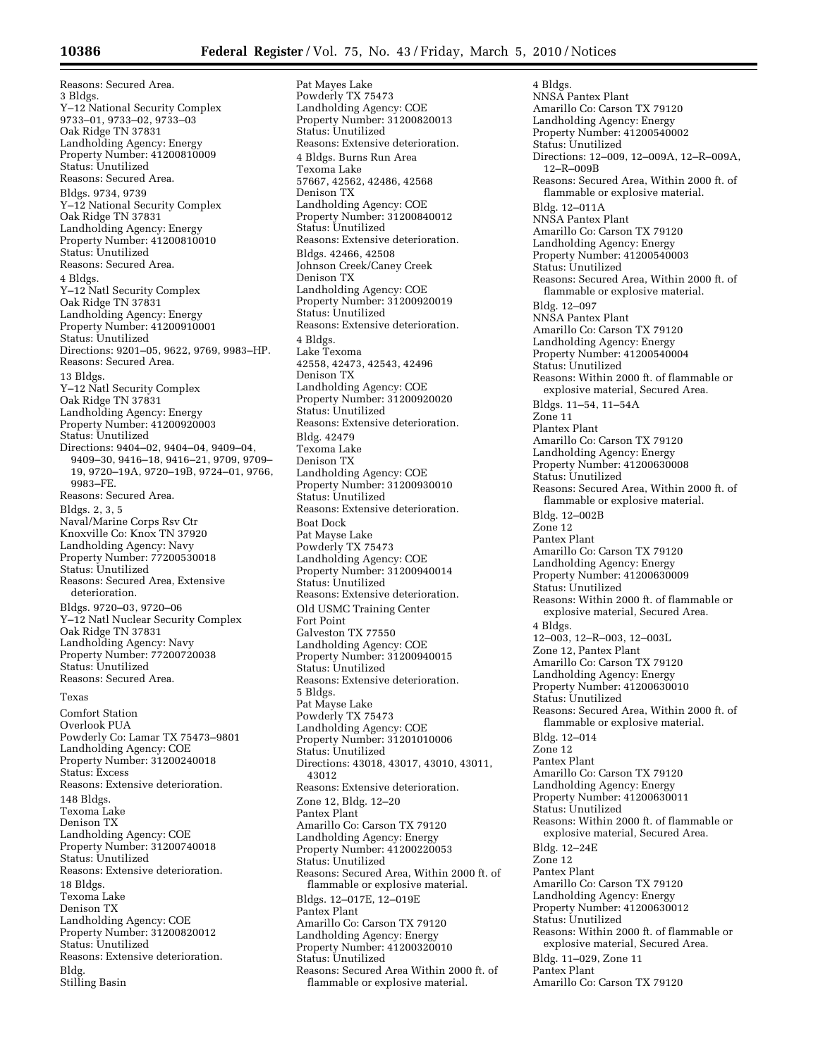Reasons: Secured Area. 3 Bldgs. Y–12 National Security Complex 9733–01, 9733–02, 9733–03 Oak Ridge TN 37831 Landholding Agency: Energy Property Number: 41200810009 Status: Unutilized Reasons: Secured Area. Bldgs. 9734, 9739 Y–12 National Security Complex Oak Ridge TN 37831 Landholding Agency: Energy Property Number: 41200810010 Status: Unutilized Reasons: Secured Area. 4 Bldgs. Y–12 Natl Security Complex Oak Ridge TN 37831 Landholding Agency: Energy Property Number: 41200910001 Status: Unutilized Directions: 9201–05, 9622, 9769, 9983–HP. Reasons: Secured Area. 13 Bldgs. Y–12 Natl Security Complex Oak Ridge TN 37831 Landholding Agency: Energy Property Number: 41200920003 Status: Unutilized Directions: 9404–02, 9404–04, 9409–04, 9409–30, 9416–18, 9416–21, 9709, 9709– 19, 9720–19A, 9720–19B, 9724–01, 9766, 9983–FE. Reasons: Secured Area. Bldgs. 2, 3, 5 Naval/Marine Corps Rsv Ctr Knoxville Co: Knox TN 37920 Landholding Agency: Navy Property Number: 77200530018 Status: Unutilized Reasons: Secured Area, Extensive deterioration. Bldgs. 9720–03, 9720–06 Y–12 Natl Nuclear Security Complex Oak Ridge TN 37831 Landholding Agency: Navy Property Number: 77200720038 Status: Unutilized Reasons: Secured Area. **Toyas** Comfort Station Overlook PUA Powderly Co: Lamar TX 75473–9801 Landholding Agency: COE Property Number: 31200240018 Status: Excess Reasons: Extensive deterioration. 148 Bldgs. Texoma Lake Denison TX Landholding Agency: COE Property Number: 31200740018 Status: Unutilized Reasons: Extensive deterioration. 18 Bldgs. Texoma Lake Denison TX Landholding Agency: COE Property Number: 31200820012 Status: Unutilized Reasons: Extensive deterioration.

Bldg. Stilling Basin

Pat Mayes Lake Powderly TX 75473 Landholding Agency: COE Property Number: 31200820013 Status: Unutilized Reasons: Extensive deterioration. 4 Bldgs. Burns Run Area Texoma Lake 57667, 42562, 42486, 42568 Denison TX Landholding Agency: COE Property Number: 31200840012 Status: Unutilized Reasons: Extensive deterioration. Bldgs. 42466, 42508 Johnson Creek/Caney Creek Denison TX Landholding Agency: COE Property Number: 31200920019 Status: Unutilized Reasons: Extensive deterioration. 4 Bldgs. Lake Texoma 42558, 42473, 42543, 42496 Denison TX Landholding Agency: COE Property Number: 31200920020 Status: Unutilized Reasons: Extensive deterioration. Bldg. 42479 Texoma Lake Denison TX Landholding Agency: COE Property Number: 31200930010 Status: Unutilized Reasons: Extensive deterioration. Boat Dock Pat Mayse Lake Powderly TX 75473 Landholding Agency: COE Property Number: 31200940014 Status: Unutilized Reasons: Extensive deterioration. Old USMC Training Center Fort Point Galveston TX 77550 Landholding Agency: COE Property Number: 31200940015 Status: Unutilized Reasons: Extensive deterioration. 5 Bldgs. Pat Mayse Lake Powderly TX 75473 Landholding Agency: COE Property Number: 31201010006 Status: Unutilized Directions: 43018, 43017, 43010, 43011, 43012 Reasons: Extensive deterioration. Zone 12, Bldg. 12–20 Pantex Plant Amarillo Co: Carson TX 79120 Landholding Agency: Energy Property Number: 41200220053 Status: Unutilized Reasons: Secured Area, Within 2000 ft. of flammable or explosive material. Bldgs. 12–017E, 12–019E Pantex Plant Amarillo Co: Carson TX 79120 Landholding Agency: Energy Property Number: 41200320010 Status: Unutilized Reasons: Secured Area Within 2000 ft. of flammable or explosive material.

4 Bldgs. NNSA Pantex Plant Amarillo Co: Carson TX 79120 Landholding Agency: Energy Property Number: 41200540002 Status: Unutilized Directions: 12–009, 12–009A, 12–R–009A, 12–R–009B Reasons: Secured Area, Within 2000 ft. of flammable or explosive material. Bldg. 12–011A NNSA Pantex Plant Amarillo Co: Carson TX 79120 Landholding Agency: Energy Property Number: 41200540003 Status: Unutilized Reasons: Secured Area, Within 2000 ft. of flammable or explosive material. Bldg. 12–097 NNSA Pantex Plant Amarillo Co: Carson TX 79120 Landholding Agency: Energy Property Number: 41200540004 Status: Unutilized Reasons: Within 2000 ft. of flammable or explosive material, Secured Area. Bldgs. 11–54, 11–54A Zone 11 Plantex Plant Amarillo Co: Carson TX 79120 Landholding Agency: Energy Property Number: 41200630008 Status: Unutilized Reasons: Secured Area, Within 2000 ft. of flammable or explosive material. Bldg. 12–002B Zone 12 Pantex Plant Amarillo Co: Carson TX 79120 Landholding Agency: Energy Property Number: 41200630009 Status: Unutilized Reasons: Within 2000 ft. of flammable or explosive material, Secured Area. 4 Bldgs. 12–003, 12–R–003, 12–003L Zone 12, Pantex Plant Amarillo Co: Carson TX 79120 Landholding Agency: Energy Property Number: 41200630010 Status: Unutilized Reasons: Secured Area, Within 2000 ft. of flammable or explosive material. Bldg. 12–014 Zone 12 Pantex Plant Amarillo Co: Carson TX 79120 Landholding Agency: Energy Property Number: 41200630011 Status: Unutilized Reasons: Within 2000 ft. of flammable or explosive material, Secured Area. Bldg. 12–24E Zone 12 Pantex Plant Amarillo Co: Carson TX 79120 Landholding Agency: Energy Property Number: 41200630012 Status: Unutilized Reasons: Within 2000 ft. of flammable or explosive material, Secured Area. Bldg. 11–029, Zone 11 Pantex Plant Amarillo Co: Carson TX 79120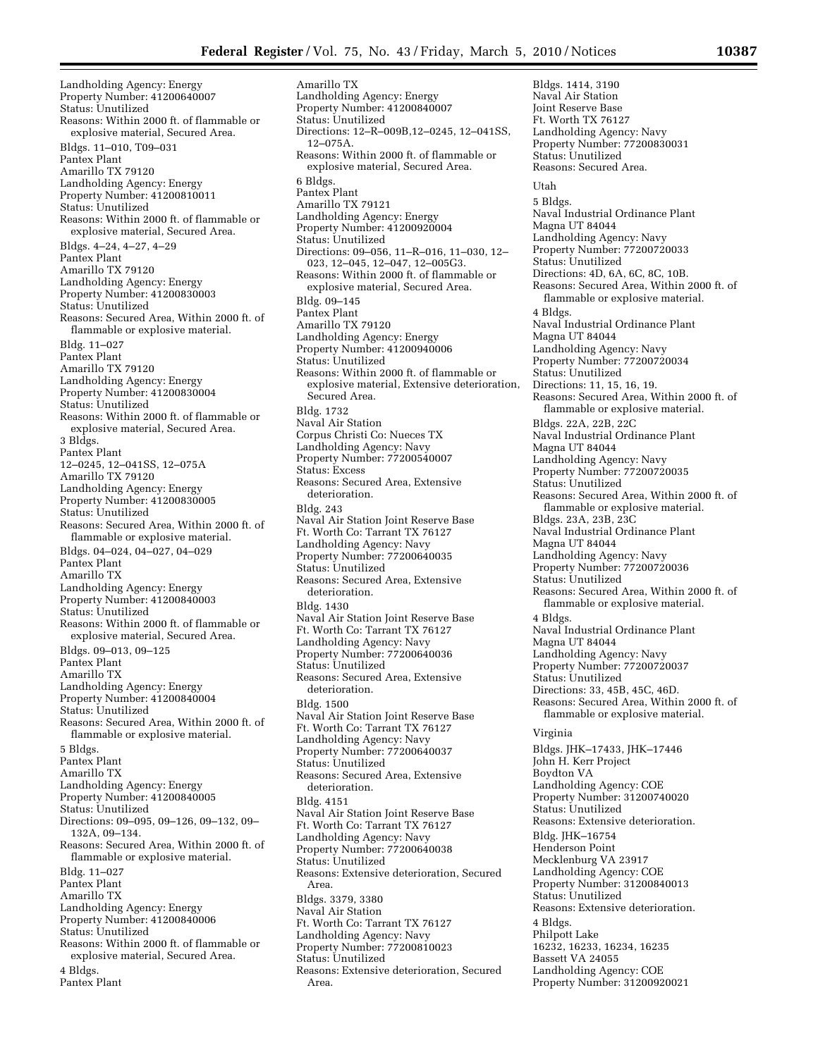Landholding Agency: Energy Property Number: 41200640007 Status: Unutilized Reasons: Within 2000 ft. of flammable or explosive material, Secured Area. Bldgs. 11–010, T09–031 Pantex Plant Amarillo TX 79120 Landholding Agency: Energy Property Number: 41200810011 Status: Unutilized Reasons: Within 2000 ft. of flammable or explosive material, Secured Area. Bldgs. 4–24, 4–27, 4–29 Pantex Plant Amarillo TX 79120 Landholding Agency: Energy Property Number: 41200830003 Status: Unutilized Reasons: Secured Area, Within 2000 ft. of flammable or explosive material. Bldg. 11–027 Pantex Plant Amarillo TX 79120 Landholding Agency: Energy Property Number: 41200830004 Status: Unutilized Reasons: Within 2000 ft. of flammable or explosive material, Secured Area. 3 Bldgs. Pantex Plant 12–0245, 12–041SS, 12–075A Amarillo TX 79120 Landholding Agency: Energy Property Number: 41200830005 Status: Unutilized Reasons: Secured Area, Within 2000 ft. of flammable or explosive material. Bldgs. 04–024, 04–027, 04–029 Pantex Plant Amarillo TX Landholding Agency: Energy Property Number: 41200840003 Status: Unutilized Reasons: Within 2000 ft. of flammable or explosive material, Secured Area. Bldgs. 09–013, 09–125 Pantex Plant Amarillo TX Landholding Agency: Energy Property Number: 41200840004 Status: Unutilized Reasons: Secured Area, Within 2000 ft. of flammable or explosive material. 5 Bldgs. Pantex Plant Amarillo TX Landholding Agency: Energy Property Number: 41200840005 Status: Unutilized Directions: 09–095, 09–126, 09–132, 09– 132A, 09–134. Reasons: Secured Area, Within 2000 ft. of flammable or explosive material. Bldg. 11–027 Pantex Plant Amarillo TX Landholding Agency: Energy Property Number: 41200840006 Status: Unutilized Reasons: Within 2000 ft. of flammable or explosive material, Secured Area. 4 Bldgs. Pantex Plant

Amarillo TX Landholding Agency: Energy Property Number: 41200840007 Status: Unutilized Directions: 12–R–009B,12–0245, 12–041SS, 12–075A. Reasons: Within 2000 ft. of flammable or explosive material, Secured Area. 6 Bldgs. Pantex Plant Amarillo TX 79121 Landholding Agency: Energy Property Number: 41200920004 Status: Unutilized Directions: 09–056, 11–R–016, 11–030, 12– 023, 12–045, 12–047, 12–005G3. Reasons: Within 2000 ft. of flammable or explosive material, Secured Area. Bldg. 09–145 Pantex Plant Amarillo TX 79120 Landholding Agency: Energy Property Number: 41200940006 Status: Unutilized Reasons: Within 2000 ft. of flammable or explosive material, Extensive deterioration, Secured Area. Bldg. 1732 Naval Air Station Corpus Christi Co: Nueces TX Landholding Agency: Navy Property Number: 77200540007 Status: Excess Reasons: Secured Area, Extensive deterioration. Bldg. 243 Naval Air Station Joint Reserve Base Ft. Worth Co: Tarrant TX 76127 Landholding Agency: Navy Property Number: 77200640035 Status: Unutilized Reasons: Secured Area, Extensive deterioration. Bldg. 1430 Naval Air Station Joint Reserve Base Ft. Worth Co: Tarrant TX 76127 Landholding Agency: Navy Property Number: 77200640036 Status: Unutilized Reasons: Secured Area, Extensive deterioration. Bldg. 1500 Naval Air Station Joint Reserve Base Ft. Worth Co: Tarrant TX 76127 Landholding Agency: Navy Property Number: 77200640037 Status: Unutilized Reasons: Secured Area, Extensive deterioration. Bldg. 4151 Naval Air Station Joint Reserve Base Ft. Worth Co: Tarrant TX 76127 Landholding Agency: Navy Property Number: 77200640038 Status: Unutilized Reasons: Extensive deterioration, Secured Area. Bldgs. 3379, 3380 Naval Air Station Ft. Worth Co: Tarrant TX 76127 Landholding Agency: Navy Property Number: 77200810023 Status: Unutilized Reasons: Extensive deterioration, Secured Area.

Bldgs. 1414, 3190 Naval Air Station Joint Reserve Base Ft. Worth TX 76127 Landholding Agency: Navy Property Number: 77200830031 Status: Unutilized Reasons: Secured Area. Utah 5 Bldgs. Naval Industrial Ordinance Plant Magna UT 84044 Landholding Agency: Navy Property Number: 77200720033 Status: Unutilized Directions: 4D, 6A, 6C, 8C, 10B. Reasons: Secured Area, Within 2000 ft. of flammable or explosive material. 4 Bldgs. Naval Industrial Ordinance Plant Magna UT 84044 Landholding Agency: Navy Property Number: 77200720034 Status: Unutilized Directions: 11, 15, 16, 19. Reasons: Secured Area, Within 2000 ft. of flammable or explosive material. Bldgs. 22A, 22B, 22C Naval Industrial Ordinance Plant Magna UT 84044 Landholding Agency: Navy Property Number: 77200720035 Status: Unutilized Reasons: Secured Area, Within 2000 ft. of flammable or explosive material. Bldgs. 23A, 23B, 23C Naval Industrial Ordinance Plant Magna UT 84044 Landholding Agency: Navy Property Number: 77200720036 Status: Unutilized Reasons: Secured Area, Within 2000 ft. of flammable or explosive material. 4 Bldgs. Naval Industrial Ordinance Plant Magna UT 84044 Landholding Agency: Navy Property Number: 77200720037 Status: Unutilized Directions: 33, 45B, 45C, 46D. Reasons: Secured Area, Within 2000 ft. of flammable or explosive material. Virginia Bldgs. JHK–17433, JHK–17446 John H. Kerr Project Boydton VA Landholding Agency: COE Property Number: 31200740020 Status: Unutilized Reasons: Extensive deterioration. Bldg. JHK–16754 Henderson Point Mecklenburg VA 23917 Landholding Agency: COE Property Number: 31200840013 Status: Unutilized Reasons: Extensive deterioration. 4 Bldgs. Philpott Lake 16232, 16233, 16234, 16235 Bassett VA 24055 Landholding Agency: COE Property Number: 31200920021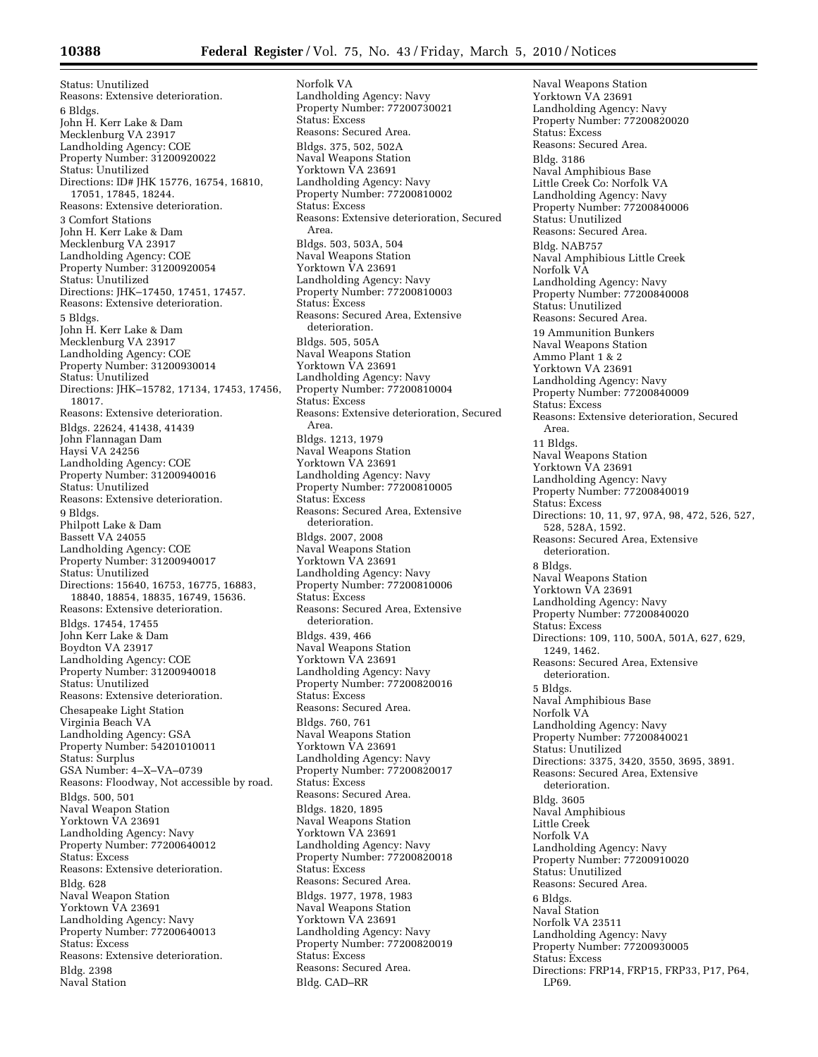Status: Unutilized Reasons: Extensive deterioration. 6 Bldgs. John H. Kerr Lake & Dam Mecklenburg VA 23917 Landholding Agency: COE Property Number: 31200920022 Status: Unutilized Directions: ID# JHK 15776, 16754, 16810, 17051, 17845, 18244. Reasons: Extensive deterioration. 3 Comfort Stations John H. Kerr Lake & Dam Mecklenburg VA 23917 Landholding Agency: COE Property Number: 31200920054 Status: Unutilized Directions: JHK–17450, 17451, 17457. Reasons: Extensive deterioration. 5 Bldgs. John H. Kerr Lake & Dam Mecklenburg VA 23917 Landholding Agency: COE Property Number: 31200930014 Status: Unutilized Directions: JHK–15782, 17134, 17453, 17456, 18017. Reasons: Extensive deterioration. Bldgs. 22624, 41438, 41439 John Flannagan Dam Haysi VA 24256 Landholding Agency: COE Property Number: 31200940016 Status: Unutilized Reasons: Extensive deterioration. 9 Bldgs. Philpott Lake & Dam Bassett VA 24055 Landholding Agency: COE Property Number: 31200940017 Status: Unutilized Directions: 15640, 16753, 16775, 16883, 18840, 18854, 18835, 16749, 15636. Reasons: Extensive deterioration. Bldgs. 17454, 17455 John Kerr Lake & Dam Boydton VA 23917 Landholding Agency: COE Property Number: 31200940018 Status: Unutilized Reasons: Extensive deterioration. Chesapeake Light Station Virginia Beach VA Landholding Agency: GSA Property Number: 54201010011 Status: Surplus GSA Number: 4–X–VA–0739 Reasons: Floodway, Not accessible by road. Bldgs. 500, 501 Naval Weapon Station Yorktown VA 23691 Landholding Agency: Navy Property Number: 77200640012 Status: Excess Reasons: Extensive deterioration. Bldg. 628 Naval Weapon Station Yorktown VA 23691 Landholding Agency: Navy Property Number: 77200640013 Status: Excess Reasons: Extensive deterioration. Bldg. 2398 Naval Station

Norfolk VA Landholding Agency: Navy Property Number: 77200730021 Status: Excess Reasons: Secured Area. Bldgs. 375, 502, 502A Naval Weapons Station Yorktown VA 23691 Landholding Agency: Navy Property Number: 77200810002 Status: Excess Reasons: Extensive deterioration, Secured Area. Bldgs. 503, 503A, 504 Naval Weapons Station Yorktown VA 23691 Landholding Agency: Navy Property Number: 77200810003 Status: Excess Reasons: Secured Area, Extensive deterioration. Bldgs. 505, 505A Naval Weapons Station Yorktown VA 23691 Landholding Agency: Navy Property Number: 77200810004 Status: Excess Reasons: Extensive deterioration, Secured Area. Bldgs. 1213, 1979 Naval Weapons Station Yorktown VA 23691 Landholding Agency: Navy Property Number: 77200810005 Status: Excess Reasons: Secured Area, Extensive deterioration. Bldgs. 2007, 2008 Naval Weapons Station Yorktown VA 23691 Landholding Agency: Navy Property Number: 77200810006 Status: Excess Reasons: Secured Area, Extensive deterioration. Bldgs. 439, 466 Naval Weapons Station Yorktown VA 23691 Landholding Agency: Navy Property Number: 77200820016 Status: Excess Reasons: Secured Area. Bldgs. 760, 761 Naval Weapons Station Yorktown VA 23691 Landholding Agency: Navy Property Number: 77200820017 Status: Excess Reasons: Secured Area. Bldgs. 1820, 1895 Naval Weapons Station Yorktown VA 23691 Landholding Agency: Navy Property Number: 77200820018 Status: Excess Reasons: Secured Area. Bldgs. 1977, 1978, 1983 Naval Weapons Station Yorktown VA 23691 Landholding Agency: Navy Property Number: 77200820019 Status: Excess Reasons: Secured Area. Bldg. CAD–RR

Naval Weapons Station Yorktown VA 23691 Landholding Agency: Navy Property Number: 77200820020 Status: Excess Reasons: Secured Area. Bldg. 3186 Naval Amphibious Base Little Creek Co: Norfolk VA Landholding Agency: Navy Property Number: 77200840006 Status: Unutilized Reasons: Secured Area. Bldg. NAB757 Naval Amphibious Little Creek Norfolk VA Landholding Agency: Navy Property Number: 77200840008 Status: Unutilized Reasons: Secured Area. 19 Ammunition Bunkers Naval Weapons Station Ammo Plant 1 & 2 Yorktown VA 23691 Landholding Agency: Navy Property Number: 77200840009 Status: Excess Reasons: Extensive deterioration, Secured Area. 11 Bldgs. Naval Weapons Station Yorktown VA 23691 Landholding Agency: Navy Property Number: 77200840019 Status: Excess Directions: 10, 11, 97, 97A, 98, 472, 526, 527, 528, 528A, 1592. Reasons: Secured Area, Extensive deterioration. 8 Bldgs. Naval Weapons Station Yorktown VA 23691 Landholding Agency: Navy Property Number: 77200840020 Status: Excess Directions: 109, 110, 500A, 501A, 627, 629, 1249, 1462. Reasons: Secured Area, Extensive deterioration. 5 Bldgs. Naval Amphibious Base Norfolk VA Landholding Agency: Navy Property Number: 77200840021 Status: Unutilized Directions: 3375, 3420, 3550, 3695, 3891. Reasons: Secured Area, Extensive deterioration. Bldg. 3605 Naval Amphibious Little Creek Norfolk VA Landholding Agency: Navy Property Number: 77200910020 Status: Unutilized Reasons: Secured Area. 6 Bldgs. Naval Station Norfolk VA 23511 Landholding Agency: Navy Property Number: 77200930005 Status: Excess Directions: FRP14, FRP15, FRP33, P17, P64, LP69.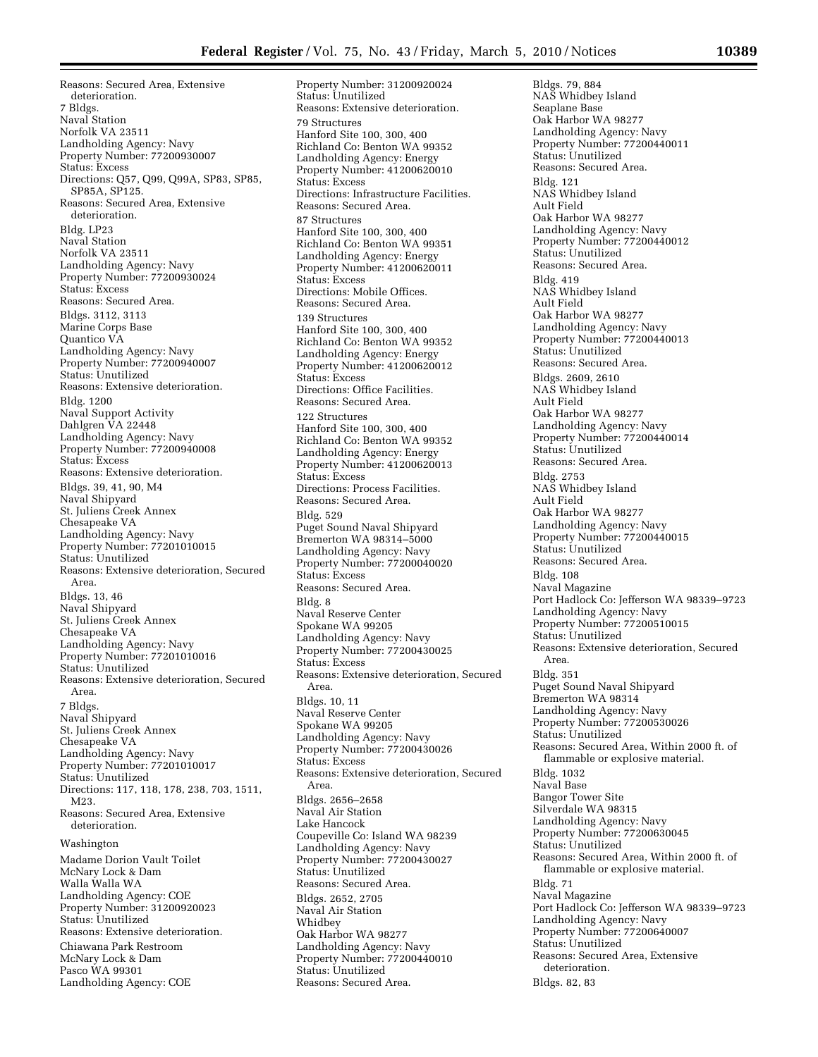Reasons: Secured Area, Extensive deterioration. 7 Bldgs. Naval Station Norfolk VA 23511 Landholding Agency: Navy Property Number: 77200930007 Status: Excess Directions: Q57, Q99, Q99A, SP83, SP85, SP85A, SP125. Reasons: Secured Area, Extensive deterioration. Bldg. LP23 Naval Station Norfolk VA 23511 Landholding Agency: Navy Property Number: 77200930024 Status: Excess Reasons: Secured Area. Bldgs. 3112, 3113 Marine Corps Base Quantico VA Landholding Agency: Navy Property Number: 77200940007 Status: Unutilized Reasons: Extensive deterioration. Bldg. 1200 Naval Support Activity Dahlgren VA 22448 Landholding Agency: Navy Property Number: 77200940008 Status: Excess Reasons: Extensive deterioration. Bldgs. 39, 41, 90, M4 Naval Shipyard St. Juliens Creek Annex Chesapeake VA Landholding Agency: Navy Property Number: 77201010015 Status: Unutilized Reasons: Extensive deterioration, Secured Area. Bldgs. 13, 46 Naval Shipyard St. Juliens Creek Annex Chesapeake VA Landholding Agency: Navy Property Number: 77201010016 Status: Unutilized Reasons: Extensive deterioration, Secured Area. 7 Bldgs. Naval Shipyard St. Juliens Creek Annex Chesapeake VA Landholding Agency: Navy Property Number: 77201010017 Status: Unutilized Directions: 117, 118, 178, 238, 703, 1511, M23. Reasons: Secured Area, Extensive deterioration. Washington Madame Dorion Vault Toilet McNary Lock & Dam Walla Walla WA Landholding Agency: COE Property Number: 31200920023 Status: Unutilized

Reasons: Extensive deterioration. Chiawana Park Restroom McNary Lock & Dam Pasco WA 99301 Landholding Agency: COE

Property Number: 31200920024 Status: Unutilized Reasons: Extensive deterioration. 79 Structures Hanford Site 100, 300, 400 Richland Co: Benton WA 99352 Landholding Agency: Energy Property Number: 41200620010 Status: Excess Directions: Infrastructure Facilities. Reasons: Secured Area. 87 Structures Hanford Site 100, 300, 400 Richland Co: Benton WA 99351 Landholding Agency: Energy Property Number: 41200620011 Status: Excess Directions: Mobile Offices. Reasons: Secured Area. 139 Structures Hanford Site 100, 300, 400 Richland Co: Benton WA 99352 Landholding Agency: Energy Property Number: 41200620012 Status: Excess Directions: Office Facilities. Reasons: Secured Area. 122 Structures Hanford Site 100, 300, 400 Richland Co: Benton WA 99352 Landholding Agency: Energy Property Number: 41200620013 Status: Excess Directions: Process Facilities. Reasons: Secured Area. Bldg. 529 Puget Sound Naval Shipyard Bremerton WA 98314–5000 Landholding Agency: Navy Property Number: 77200040020 Status: Excess Reasons: Secured Area. Bldg. 8 Naval Reserve Center Spokane WA 99205 Landholding Agency: Navy Property Number: 77200430025 Status: Excess Reasons: Extensive deterioration, Secured Area. Bldgs. 10, 11 Naval Reserve Center Spokane WA 99205 Landholding Agency: Navy Property Number: 77200430026 Status: Excess Reasons: Extensive deterioration, Secured Area. Bldgs. 2656–2658 Naval Air Station Lake Hancock Coupeville Co: Island WA 98239 Landholding Agency: Navy Property Number: 77200430027 Status: Unutilized Reasons: Secured Area. Bldgs. 2652, 2705 Naval Air Station Whidbey Oak Harbor WA 98277 Landholding Agency: Navy Property Number: 77200440010 Status: Unutilized Reasons: Secured Area.

Bldgs. 79, 884 NAS Whidbey Island Seaplane Base Oak Harbor WA 98277 Landholding Agency: Navy Property Number: 77200440011 Status: Unutilized Reasons: Secured Area. Bldg. 121 NAS Whidbey Island Ault Field Oak Harbor WA 98277 Landholding Agency: Navy Property Number: 77200440012 Status: Unutilized Reasons: Secured Area. Bldg. 419 NAS Whidbey Island Ault Field Oak Harbor WA 98277 Landholding Agency: Navy Property Number: 77200440013 Status: Unutilized Reasons: Secured Area. Bldgs. 2609, 2610 NAS Whidbey Island Ault Field Oak Harbor WA 98277 Landholding Agency: Navy Property Number: 77200440014 Status: Unutilized Reasons: Secured Area. Bldg. 2753 NAS Whidbey Island Ault Field Oak Harbor WA 98277 Landholding Agency: Navy Property Number: 77200440015 Status: Unutilized Reasons: Secured Area. Bldg. 108 Naval Magazine Port Hadlock Co: Jefferson WA 98339–9723 Landholding Agency: Navy Property Number: 77200510015 Status: Unutilized Reasons: Extensive deterioration, Secured Area. Bldg. 351 Puget Sound Naval Shipyard Bremerton WA 98314 Landholding Agency: Navy Property Number: 77200530026 Status: Unutilized Reasons: Secured Area, Within 2000 ft. of flammable or explosive material. Bldg. 1032 Naval Base Bangor Tower Site Silverdale WA 98315 Landholding Agency: Navy Property Number: 77200630045 Status: Unutilized Reasons: Secured Area, Within 2000 ft. of flammable or explosive material. Bldg. 71 Naval Magazine Port Hadlock Co: Jefferson WA 98339–9723 Landholding Agency: Navy Property Number: 77200640007 Status: Unutilized Reasons: Secured Area, Extensive deterioration. Bldgs. 82, 83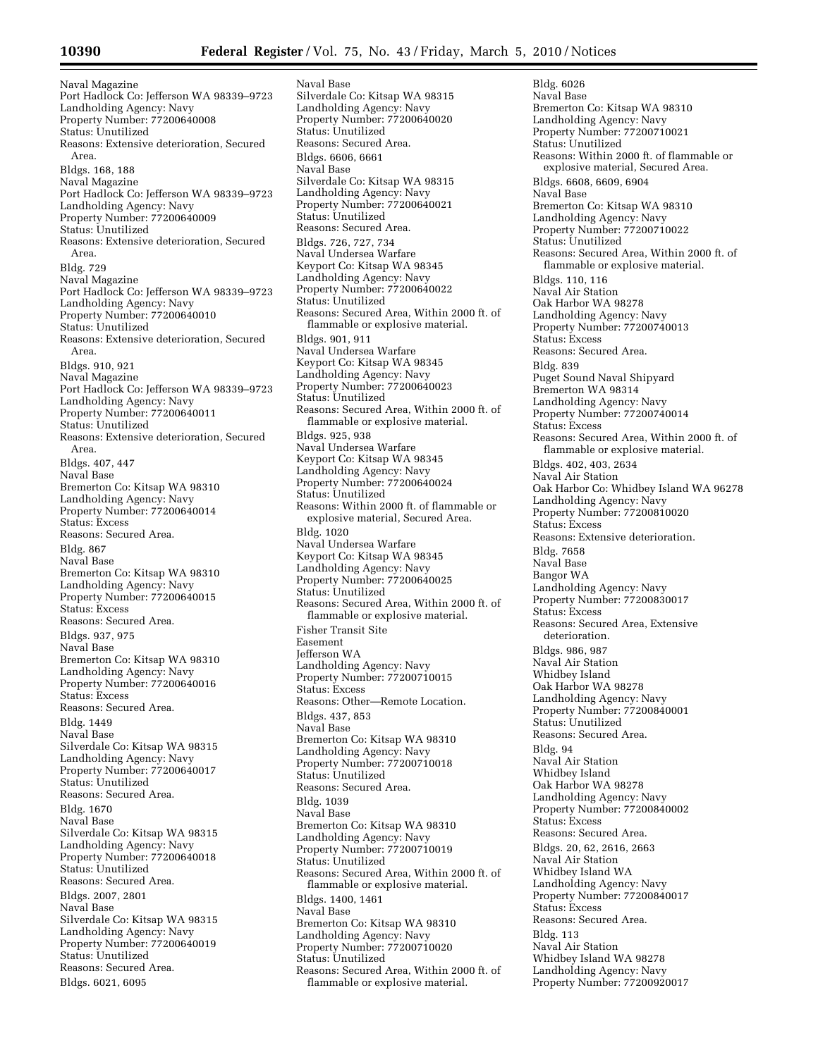Naval Magazine Port Hadlock Co: Jefferson WA 98339–9723 Landholding Agency: Navy Property Number: 77200640008 Status: Unutilized Reasons: Extensive deterioration, Secured Area. Bldgs. 168, 188 Naval Magazine Port Hadlock Co: Jefferson WA 98339–9723 Landholding Agency: Navy Property Number: 77200640009 Status: Unutilized Reasons: Extensive deterioration, Secured Area. Bldg. 729 Naval Magazine Port Hadlock Co: Jefferson WA 98339–9723 Landholding Agency: Navy Property Number: 77200640010 Status: Unutilized Reasons: Extensive deterioration, Secured Area. Bldgs. 910, 921 Naval Magazine Port Hadlock Co: Jefferson WA 98339–9723 Landholding Agency: Navy Property Number: 77200640011 Status: Unutilized Reasons: Extensive deterioration, Secured Area. Bldgs. 407, 447 Naval Base Bremerton Co: Kitsap WA 98310 Landholding Agency: Navy Property Number: 77200640014 Status: Excess Reasons: Secured Area. Bldg. 867 Naval Base Bremerton Co: Kitsap WA 98310 Landholding Agency: Navy Property Number: 77200640015 Status: Excess Reasons: Secured Area. Bldgs. 937, 975 Naval Base Bremerton Co: Kitsap WA 98310 Landholding Agency: Navy Property Number: 77200640016 Status: Excess Reasons: Secured Area. Bldg. 1449 Naval Base Silverdale Co: Kitsap WA 98315 Landholding Agency: Navy Property Number: 77200640017 Status: Unutilized Reasons: Secured Area. Bldg. 1670 Naval Base Silverdale Co: Kitsap WA 98315 Landholding Agency: Navy Property Number: 77200640018 Status: Unutilized Reasons: Secured Area. Bldgs. 2007, 2801 Naval Base Silverdale Co: Kitsap WA 98315 Landholding Agency: Navy Property Number: 77200640019 Status: Unutilized Reasons: Secured Area. Bldgs. 6021, 6095

Naval Base Silverdale Co: Kitsap WA 98315 Landholding Agency: Navy Property Number: 77200640020 Status: Unutilized Reasons: Secured Area. Bldgs. 6606, 6661 Naval Base Silverdale Co: Kitsap WA 98315 Landholding Agency: Navy Property Number: 77200640021 Status: Unutilized Reasons: Secured Area. Bldgs. 726, 727, 734 Naval Undersea Warfare Keyport Co: Kitsap WA 98345 Landholding Agency: Navy Property Number: 77200640022 Status: Unutilized Reasons: Secured Area, Within 2000 ft. of flammable or explosive material. Bldgs. 901, 911 Naval Undersea Warfare Keyport Co: Kitsap WA 98345 Landholding Agency: Navy Property Number: 77200640023 Status: Unutilized Reasons: Secured Area, Within 2000 ft. of flammable or explosive material. Bldgs. 925, 938 Naval Undersea Warfare Keyport Co: Kitsap WA 98345 Landholding Agency: Navy Property Number: 77200640024 Status: Unutilized Reasons: Within 2000 ft. of flammable or explosive material, Secured Area. Bldg. 1020 Naval Undersea Warfare Keyport Co: Kitsap WA 98345 Landholding Agency: Navy Property Number: 77200640025 Status: Unutilized Reasons: Secured Area, Within 2000 ft. of flammable or explosive material. Fisher Transit Site Easement Jefferson WA Landholding Agency: Navy Property Number: 77200710015 Status: Excess Reasons: Other—Remote Location. Bldgs. 437, 853 Naval Base Bremerton Co: Kitsap WA 98310 Landholding Agency: Navy Property Number: 77200710018 Status: Unutilized Reasons: Secured Area. Bldg. 1039 Naval Base Bremerton Co: Kitsap WA 98310 Landholding Agency: Navy Property Number: 77200710019 Status: Unutilized Reasons: Secured Area, Within 2000 ft. of flammable or explosive material. Bldgs. 1400, 1461 Naval Base Bremerton Co: Kitsap WA 98310 Landholding Agency: Navy Property Number: 77200710020 Status: Unutilized Reasons: Secured Area, Within 2000 ft. of flammable or explosive material.

Bldg. 6026 Naval Base Bremerton Co: Kitsap WA 98310 Landholding Agency: Navy Property Number: 77200710021 Status: Unutilized Reasons: Within 2000 ft. of flammable or explosive material, Secured Area. Bldgs. 6608, 6609, 6904 Naval Base Bremerton Co: Kitsap WA 98310 Landholding Agency: Navy Property Number: 77200710022 Status: Unutilized Reasons: Secured Area, Within 2000 ft. of flammable or explosive material. Bldgs. 110, 116 Naval Air Station Oak Harbor WA 98278 Landholding Agency: Navy Property Number: 77200740013 Status: Excess Reasons: Secured Area. Bldg. 839 Puget Sound Naval Shipyard Bremerton WA 98314 Landholding Agency: Navy Property Number: 77200740014 Status: Excess Reasons: Secured Area, Within 2000 ft. of flammable or explosive material. Bldgs. 402, 403, 2634 Naval Air Station Oak Harbor Co: Whidbey Island WA 96278 Landholding Agency: Navy Property Number: 77200810020 Status: Excess Reasons: Extensive deterioration. Bldg. 7658 Naval Base Bangor WA Landholding Agency: Navy Property Number: 77200830017 Status: Excess Reasons: Secured Area, Extensive deterioration. Bldgs. 986, 987 Naval Air Station Whidbey Island Oak Harbor WA 98278 Landholding Agency: Navy Property Number: 77200840001 Status: Unutilized Reasons: Secured Area. Bldg. 94 Naval Air Station Whidbey Island Oak Harbor WA 98278 Landholding Agency: Navy Property Number: 77200840002 Status: Excess Reasons: Secured Area. Bldgs. 20, 62, 2616, 2663 Naval Air Station Whidbey Island WA Landholding Agency: Navy Property Number: 77200840017 Status: Excess Reasons: Secured Area. Bldg. 113 Naval Air Station Whidbey Island WA 98278 Landholding Agency: Navy Property Number: 77200920017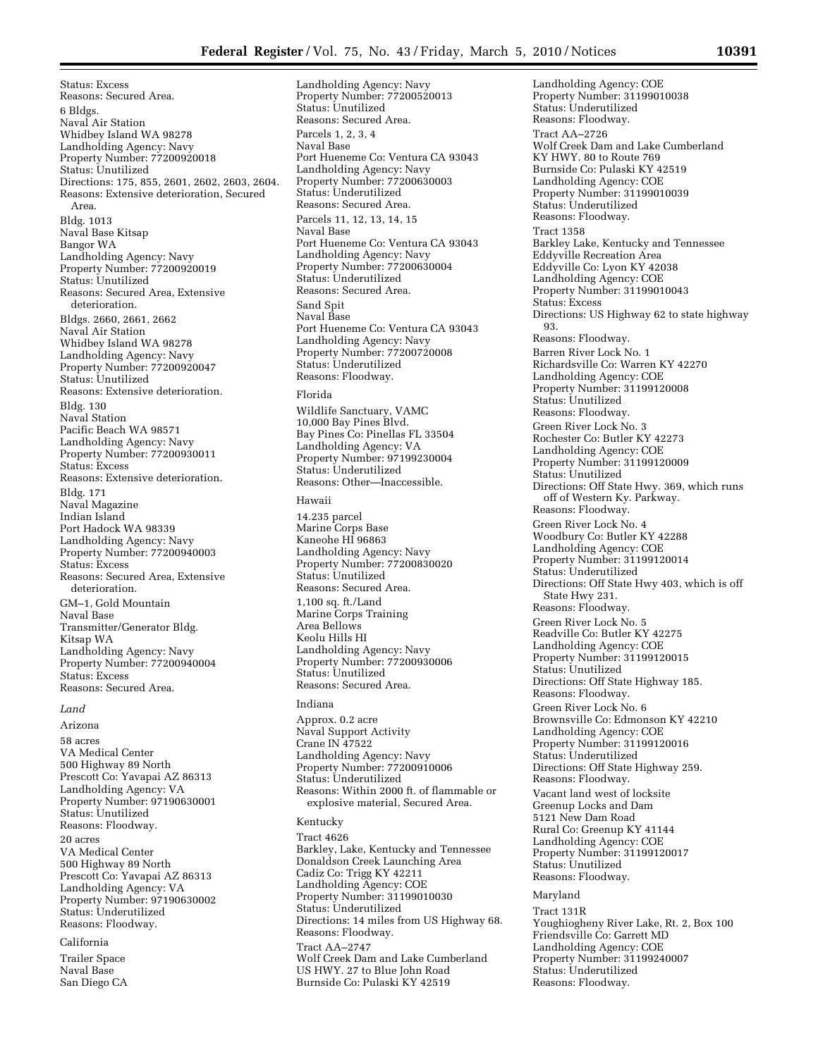Status: Excess Reasons: Secured Area. 6 Bldgs. Naval Air Station Whidbey Island WA 98278 Landholding Agency: Navy Property Number: 77200920018 Status: Unutilized Directions: 175, 855, 2601, 2602, 2603, 2604. Reasons: Extensive deterioration, Secured Area. Bldg. 1013 Naval Base Kitsap Bangor WA Landholding Agency: Navy Property Number: 77200920019 Status: Unutilized Reasons: Secured Area, Extensive deterioration. Bldgs. 2660, 2661, 2662 Naval Air Station Whidbey Island WA 98278 Landholding Agency: Navy Property Number: 77200920047 Status: Unutilized Reasons: Extensive deterioration. Bldg. 130 Naval Station Pacific Beach WA 98571 Landholding Agency: Navy Property Number: 77200930011 Status: Excess Reasons: Extensive deterioration. Bldg. 171 Naval Magazine Indian Island Port Hadock WA 98339 Landholding Agency: Navy Property Number: 77200940003 Status: Excess Reasons: Secured Area, Extensive deterioration. GM–1, Gold Mountain Naval Base Transmitter/Generator Bldg. Kitsap WA Landholding Agency: Navy Property Number: 77200940004 Status: Excess Reasons: Secured Area.

#### *Land*

Arizona

58 acres VA Medical Center 500 Highway 89 North Prescott Co: Yavapai AZ 86313 Landholding Agency: VA Property Number: 97190630001 Status: Unutilized Reasons: Floodway.

20 acres VA Medical Center 500 Highway 89 North Prescott Co: Yavapai AZ 86313 Landholding Agency: VA Property Number: 97190630002 Status: Underutilized Reasons: Floodway.

# California

Trailer Space Naval Base San Diego CA Landholding Agency: Navy Property Number: 77200520013 Status: Unutilized Reasons: Secured Area. Parcels 1, 2, 3, 4 Naval Base Port Hueneme Co: Ventura CA 93043 Landholding Agency: Navy Property Number: 77200630003 Status: Underutilized Reasons: Secured Area. Parcels 11, 12, 13, 14, 15 Naval Base Port Hueneme Co: Ventura CA 93043 Landholding Agency: Navy Property Number: 77200630004 Status: Underutilized Reasons: Secured Area. Sand Spit Naval Base Port Hueneme Co: Ventura CA 93043 Landholding Agency: Navy Property Number: 77200720008 Status: Underutilized Reasons: Floodway.

## Florida

Wildlife Sanctuary, VAMC 10,000 Bay Pines Blvd. Bay Pines Co: Pinellas FL 33504 Landholding Agency: VA Property Number: 97199230004 Status: Underutilized Reasons: Other—Inaccessible.

#### Hawaii

14.235 parcel Marine Corps Base Kaneohe HI 96863 Landholding Agency: Navy Property Number: 77200830020 Status: Unutilized Reasons: Secured Area. 1,100 sq. ft./Land Marine Corps Training Area Bellows Keolu Hills HI Landholding Agency: Navy Property Number: 77200930006 Status: Unutilized Reasons: Secured Area.

# Indiana

Approx. 0.2 acre Naval Support Activity Crane IN 47522 Landholding Agency: Navy Property Number: 77200910006 Status: Underutilized Reasons: Within 2000 ft. of flammable or explosive material, Secured Area.

## Kentucky

Tract 4626 Barkley, Lake, Kentucky and Tennessee Donaldson Creek Launching Area Cadiz Co: Trigg KY 42211 Landholding Agency: COE Property Number: 31199010030 Status: Underutilized Directions: 14 miles from US Highway 68. Reasons: Floodway. Tract AA–2747 Wolf Creek Dam and Lake Cumberland US HWY. 27 to Blue John Road Burnside Co: Pulaski KY 42519

Landholding Agency: COE Property Number: 31199010038 Status: Underutilized Reasons: Floodway. Tract AA–2726 Wolf Creek Dam and Lake Cumberland KY HWY. 80 to Route 769 Burnside Co: Pulaski KY 42519 Landholding Agency: COE Property Number: 31199010039 Status: Underutilized Reasons: Floodway. Tract 1358 Barkley Lake, Kentucky and Tennessee Eddyville Recreation Area Eddyville Co: Lyon KY 42038 Landholding Agency: COE Property Number: 31199010043 Status: Excess Directions: US Highway 62 to state highway 93. Reasons: Floodway. Barren River Lock No. 1 Richardsville Co: Warren KY 42270 Landholding Agency: COE Property Number: 31199120008 Status: Unutilized Reasons: Floodway. Green River Lock No. 3 Rochester Co: Butler KY 42273 Landholding Agency: COE Property Number: 31199120009 Status: Unutilized Directions: Off State Hwy. 369, which runs off of Western Ky. Parkway. Reasons: Floodway. Green River Lock No. 4 Woodbury Co: Butler KY 42288 Landholding Agency: COE Property Number: 31199120014 Status: Underutilized Directions: Off State Hwy 403, which is off State Hwy 231. Reasons: Floodway. Green River Lock No. 5 Readville Co: Butler KY 42275 Landholding Agency: COE Property Number: 31199120015 Status: Unutilized Directions: Off State Highway 185. Reasons: Floodway. Green River Lock No. 6 Brownsville Co: Edmonson KY 42210 Landholding Agency: COE Property Number: 31199120016 Status: Underutilized Directions: Off State Highway 259. Reasons: Floodway. Vacant land west of locksite Greenup Locks and Dam 5121 New Dam Road Rural Co: Greenup KY 41144 Landholding Agency: COE Property Number: 31199120017 Status: Unutilized Reasons: Floodway. Maryland Tract 131R Youghiogheny River Lake, Rt. 2, Box 100

Friendsville Co: Garrett MD Landholding Agency: COE Property Number: 31199240007 Status: Underutilized Reasons: Floodway.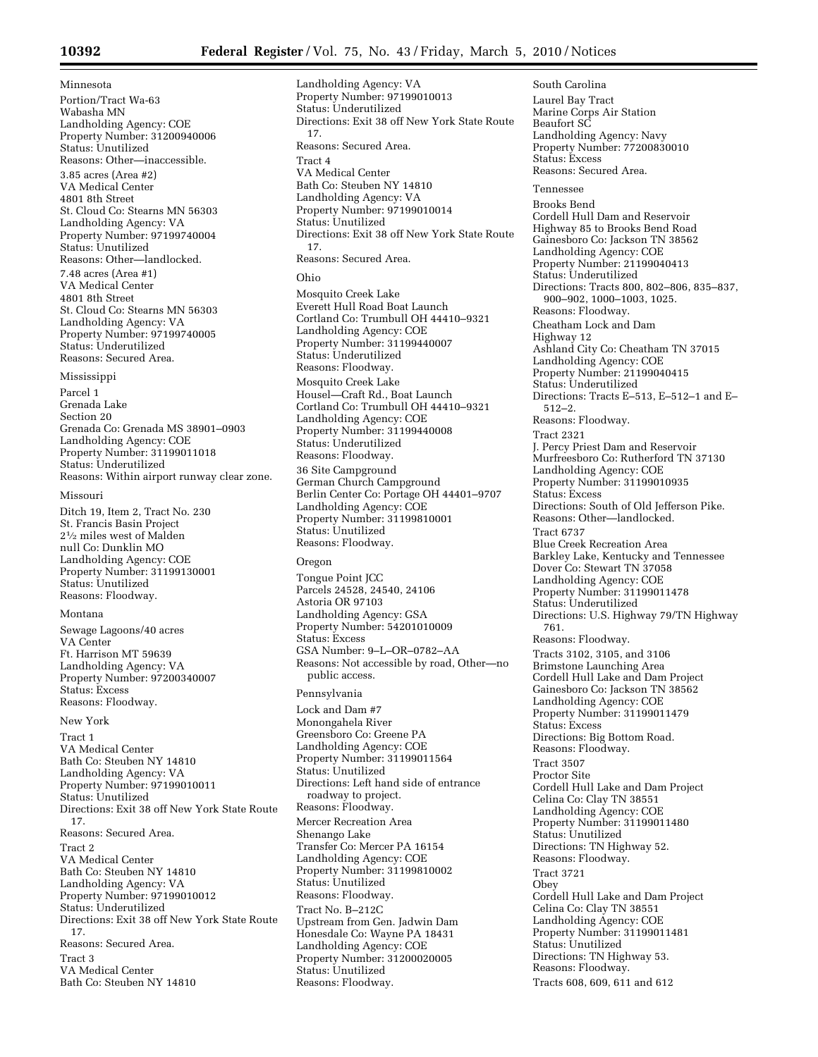Landholding Agency: VA

Minnesota Portion/Tract Wa-63 Wabasha MN Landholding Agency: COE Property Number: 31200940006 Status: Unutilized Reasons: Other—inaccessible. 3.85 acres (Area #2) VA Medical Center 4801 8th Street St. Cloud Co: Stearns MN 56303 Landholding Agency: VA Property Number: 97199740004 Status: Unutilized Reasons: Other—landlocked. 7.48 acres (Area #1) VA Medical Center 4801 8th Street St. Cloud Co: Stearns MN 56303 Landholding Agency: VA Property Number: 97199740005 Status: Underutilized Reasons: Secured Area.

Mississippi

Parcel 1 Grenada Lake Section 20 Grenada Co: Grenada MS 38901–0903 Landholding Agency: COE Property Number: 31199011018 Status: Underutilized Reasons: Within airport runway clear zone.

#### Missouri

Ditch 19, Item 2, Tract No. 230 St. Francis Basin Project 21⁄2 miles west of Malden null Co: Dunklin MO Landholding Agency: COE Property Number: 31199130001 Status: Unutilized Reasons: Floodway.

## Montana

Sewage Lagoons/40 acres VA Center Ft. Harrison MT 59639 Landholding Agency: VA Property Number: 97200340007 Status: Excess Reasons: Floodway.

New York

Tract 1 VA Medical Center Bath Co: Steuben NY 14810 Landholding Agency: VA Property Number: 97199010011 Status: Unutilized Directions: Exit 38 off New York State Route 17. Reasons: Secured Area. Tract 2 VA Medical Center Bath Co: Steuben NY 14810 Landholding Agency: VA Property Number: 97199010012 Status: Underutilized Directions: Exit 38 off New York State Route 17. Reasons: Secured Area. Tract 3 VA Medical Center Bath Co: Steuben NY 14810

Property Number: 97199010013 Status: Underutilized Directions: Exit 38 off New York State Route 17. Reasons: Secured Area. Tract 4 VA Medical Center Bath Co: Steuben NY 14810 Landholding Agency: VA Property Number: 97199010014 Status: Unutilized Directions: Exit 38 off New York State Route 17. Reasons: Secured Area. Ohio Mosquito Creek Lake Everett Hull Road Boat Launch Cortland Co: Trumbull OH 44410–9321 Landholding Agency: COE Property Number: 31199440007 Status: Underutilized Reasons: Floodway. Mosquito Creek Lake Housel—Craft Rd., Boat Launch Cortland Co: Trumbull OH 44410–9321 Landholding Agency: COE Property Number: 31199440008 Status: Underutilized Reasons: Floodway. 36 Site Campground German Church Campground Berlin Center Co: Portage OH 44401–9707 Landholding Agency: COE Property Number: 31199810001 Status: Unutilized Reasons: Floodway. Oregon Tongue Point JCC Parcels 24528, 24540, 24106

Astoria OR 97103 Landholding Agency: GSA Property Number: 54201010009 Status: Excess GSA Number: 9–L–OR–0782–AA Reasons: Not accessible by road, Other—no public access.

Pennsylvania Lock and Dam #7 Monongahela River Greensboro Co: Greene PA Landholding Agency: COE Property Number: 31199011564 Status: Unutilized Directions: Left hand side of entrance roadway to project. Reasons: Floodway. Mercer Recreation Area Shenango Lake Transfer Co: Mercer PA 16154 Landholding Agency: COE Property Number: 31199810002 Status: Unutilized Reasons: Floodway. Tract No. B–212C Upstream from Gen. Jadwin Dam Honesdale Co: Wayne PA 18431 Landholding Agency: COE Property Number: 31200020005 Status: Unutilized Reasons: Floodway.

Laurel Bay Tract Marine Corps Air Station Beaufort SC Landholding Agency: Navy Property Number: 77200830010 Status: Excess Reasons: Secured Area. Tennessee Brooks Bend Cordell Hull Dam and Reservoir Highway 85 to Brooks Bend Road Gainesboro Co: Jackson TN 38562 Landholding Agency: COE Property Number: 21199040413 Status: Underutilized Directions: Tracts 800, 802–806, 835–837, 900–902, 1000–1003, 1025. Reasons: Floodway. Cheatham Lock and Dam Highway 12 Ashland City Co: Cheatham TN 37015 Landholding Agency: COE Property Number: 21199040415 Status: Underutilized Directions: Tracts E–513, E–512–1 and E– 512–2. Reasons: Floodway. Tract 2321 J. Percy Priest Dam and Reservoir Murfreesboro Co: Rutherford TN 37130 Landholding Agency: COE Property Number: 31199010935 Status: Excess Directions: South of Old Jefferson Pike. Reasons: Other—landlocked. Tract 6737 Blue Creek Recreation Area Barkley Lake, Kentucky and Tennessee Dover Co: Stewart TN 37058 Landholding Agency: COE Property Number: 31199011478 Status: Underutilized Directions: U.S. Highway 79/TN Highway 761. Reasons: Floodway. Tracts 3102, 3105, and 3106 Brimstone Launching Area Cordell Hull Lake and Dam Project Gainesboro Co: Jackson TN 38562 Landholding Agency: COE Property Number: 31199011479 Status: Excess Directions: Big Bottom Road. Reasons: Floodway. Tract 3507 Proctor Site Cordell Hull Lake and Dam Project Celina Co: Clay TN 38551 Landholding Agency: COE Property Number: 31199011480 Status: Unutilized Directions: TN Highway 52. Reasons: Floodway. Tract 3721 Obey Cordell Hull Lake and Dam Project Celina Co: Clay TN 38551 Landholding Agency: COE Property Number: 31199011481 Status: Unutilized Directions: TN Highway 53. Reasons: Floodway. Tracts 608, 609, 611 and 612

South Carolina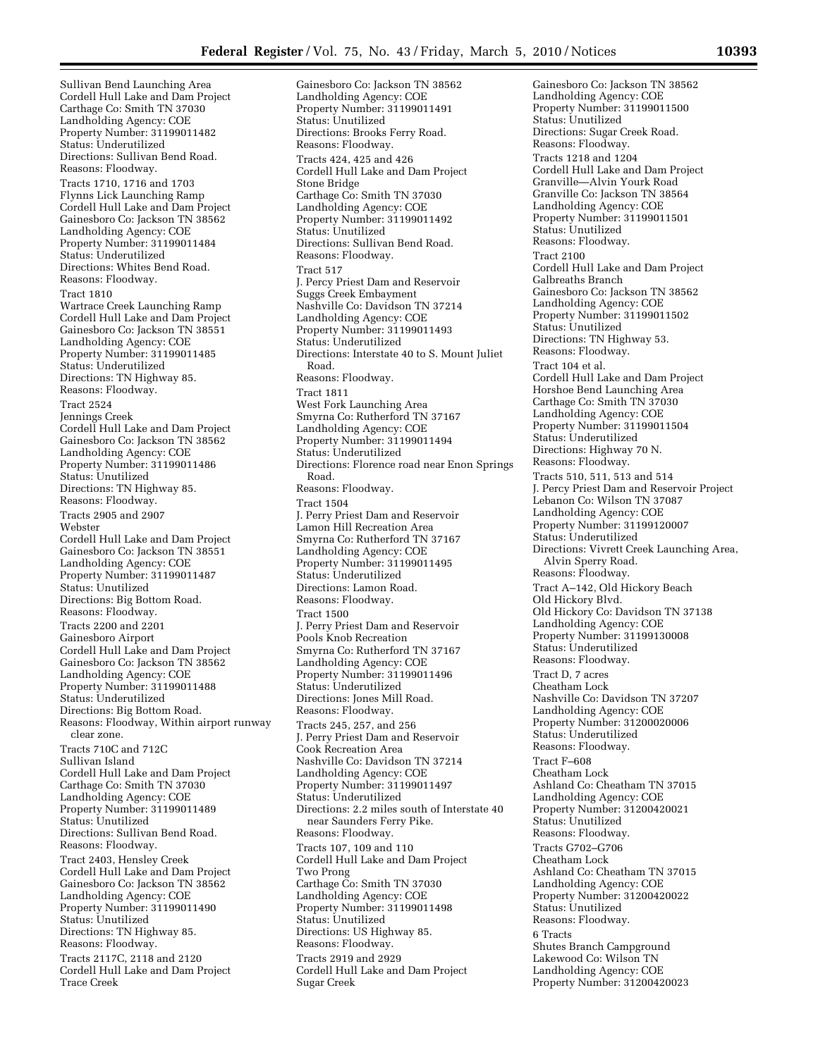Sullivan Bend Launching Area Cordell Hull Lake and Dam Project Carthage Co: Smith TN 37030 Landholding Agency: COE Property Number: 31199011482 Status: Underutilized Directions: Sullivan Bend Road. Reasons: Floodway. Tracts 1710, 1716 and 1703 Flynns Lick Launching Ramp Cordell Hull Lake and Dam Project Gainesboro Co: Jackson TN 38562 Landholding Agency: COE Property Number: 31199011484 Status: Underutilized Directions: Whites Bend Road. Reasons: Floodway. Tract 1810 Wartrace Creek Launching Ramp Cordell Hull Lake and Dam Project Gainesboro Co: Jackson TN 38551 Landholding Agency: COE Property Number: 31199011485 Status: Underutilized Directions: TN Highway 85. Reasons: Floodway. Tract 2524 Jennings Creek Cordell Hull Lake and Dam Project Gainesboro Co: Jackson TN 38562 Landholding Agency: COE Property Number: 31199011486 Status: Unutilized Directions: TN Highway 85. Reasons: Floodway. Tracts 2905 and 2907 Webster Cordell Hull Lake and Dam Project Gainesboro Co: Jackson TN 38551 Landholding Agency: COE Property Number: 31199011487 Status: Unutilized Directions: Big Bottom Road. Reasons: Floodway. Tracts 2200 and 2201 Gainesboro Airport Cordell Hull Lake and Dam Project Gainesboro Co: Jackson TN 38562 Landholding Agency: COE Property Number: 31199011488 Status: Underutilized Directions: Big Bottom Road. Reasons: Floodway, Within airport runway clear zone. Tracts 710C and 712C Sullivan Island Cordell Hull Lake and Dam Project Carthage Co: Smith TN 37030 Landholding Agency: COE Property Number: 31199011489 Status: Unutilized Directions: Sullivan Bend Road. Reasons: Floodway. Tract 2403, Hensley Creek Cordell Hull Lake and Dam Project Gainesboro Co: Jackson TN 38562 Landholding Agency: COE Property Number: 31199011490 Status: Unutilized Directions: TN Highway 85. Reasons: Floodway. Tracts 2117C, 2118 and 2120

Cordell Hull Lake and Dam Project Trace Creek

Gainesboro Co: Jackson TN 38562 Landholding Agency: COE Property Number: 31199011491 Status: Unutilized Directions: Brooks Ferry Road. Reasons: Floodway. Tracts 424, 425 and 426 Cordell Hull Lake and Dam Project Stone Bridge Carthage Co: Smith TN 37030 Landholding Agency: COE Property Number: 31199011492 Status: Unutilized Directions: Sullivan Bend Road. Reasons: Floodway. Tract 517 J. Percy Priest Dam and Reservoir Suggs Creek Embayment Nashville Co: Davidson TN 37214 Landholding Agency: COE Property Number: 31199011493 Status: Underutilized Directions: Interstate 40 to S. Mount Juliet Road. Reasons: Floodway. Tract 1811 West Fork Launching Area Smyrna Co: Rutherford TN 37167 Landholding Agency: COE Property Number: 31199011494 Status: Underutilized Directions: Florence road near Enon Springs Road. Reasons: Floodway. Tract 1504 J. Perry Priest Dam and Reservoir Lamon Hill Recreation Area Smyrna Co: Rutherford TN 37167 Landholding Agency: COE Property Number: 31199011495 Status: Underutilized Directions: Lamon Road. Reasons: Floodway. Tract 1500 J. Perry Priest Dam and Reservoir Pools Knob Recreation Smyrna Co: Rutherford TN 37167 Landholding Agency: COE Property Number: 31199011496 Status: Underutilized Directions: Jones Mill Road. Reasons: Floodway. Tracts 245, 257, and 256 J. Perry Priest Dam and Reservoir Cook Recreation Area Nashville Co: Davidson TN 37214 Landholding Agency: COE Property Number: 31199011497 Status: Underutilized Directions: 2.2 miles south of Interstate 40 near Saunders Ferry Pike. Reasons: Floodway. Tracts 107, 109 and 110 Cordell Hull Lake and Dam Project Two Prong Carthage Co: Smith TN 37030 Landholding Agency: COE Property Number: 31199011498 Status: Unutilized Directions: US Highway 85. Reasons: Floodway. Tracts 2919 and 2929 Cordell Hull Lake and Dam Project Sugar Creek

Gainesboro Co: Jackson TN 38562 Landholding Agency: COE Property Number: 31199011500 Status: Unutilized Directions: Sugar Creek Road. Reasons: Floodway. Tracts 1218 and 1204 Cordell Hull Lake and Dam Project Granville—Alvin Yourk Road Granville Co: Jackson TN 38564 Landholding Agency: COE Property Number: 31199011501 Status: Unutilized Reasons: Floodway. Tract 2100 Cordell Hull Lake and Dam Project Galbreaths Branch Gainesboro Co: Jackson TN 38562 Landholding Agency: COE Property Number: 31199011502 Status: Unutilized Directions: TN Highway 53. Reasons: Floodway. Tract 104 et al. Cordell Hull Lake and Dam Project Horshoe Bend Launching Area Carthage Co: Smith TN 37030 Landholding Agency: COE Property Number: 31199011504 Status: Underutilized Directions: Highway 70 N. Reasons: Floodway. Tracts 510, 511, 513 and 514 J. Percy Priest Dam and Reservoir Project Lebanon Co: Wilson TN 37087 Landholding Agency: COE Property Number: 31199120007 Status: Underutilized Directions: Vivrett Creek Launching Area, Alvin Sperry Road. Reasons: Floodway. Tract A–142, Old Hickory Beach Old Hickory Blvd. Old Hickory Co: Davidson TN 37138 Landholding Agency: COE Property Number: 31199130008 Status: Underutilized Reasons: Floodway. Tract D, 7 acres Cheatham Lock Nashville Co: Davidson TN 37207 Landholding Agency: COE Property Number: 31200020006 Status: Underutilized Reasons: Floodway. Tract F–608 Cheatham Lock Ashland Co: Cheatham TN 37015 Landholding Agency: COE Property Number: 31200420021 Status: Unutilized Reasons: Floodway. Tracts G702–G706 Cheatham Lock Ashland Co: Cheatham TN 37015 Landholding Agency: COE Property Number: 31200420022 Status: Unutilized Reasons: Floodway. 6 Tracts Shutes Branch Campground Lakewood Co: Wilson TN Landholding Agency: COE Property Number: 31200420023